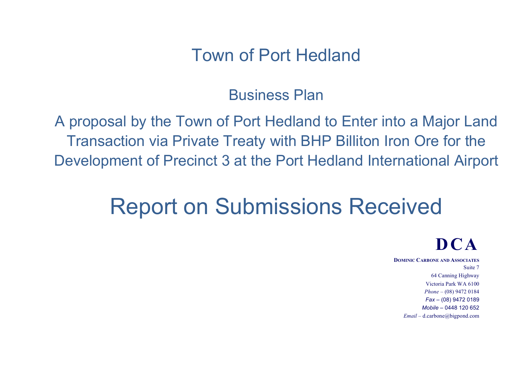## Town of Port Hedland

## Business Plan

A proposal by the Town of Port Hedland to Enter into a Major Land Transaction via Private Treaty with BHP Billiton Iron Ore for the Development of Precinct 3 at the Port Hedland International Airport

# Report on Submissions Received

## **DCA**

**DOMINIC CARBONE AND ASSOCIATES** Suite 7 64 Canning Highway Victoria Park WA 6100 *Phone* – (08) 9472 0184 *Fax* – (08) 9472 0189 *Mobile* – 0448 120 652 *Email* – d.carbone@bigpond.com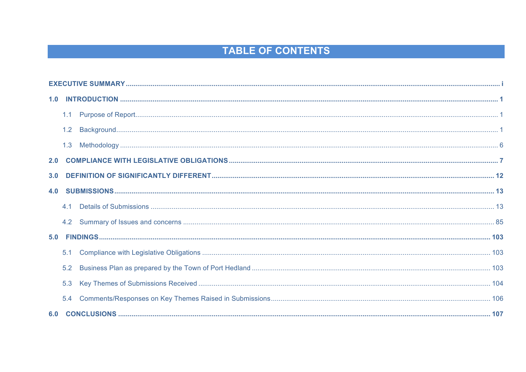### **TABLE OF CONTENTS**

|     | 1.3 |  |  |  |  |  |  |
|-----|-----|--|--|--|--|--|--|
| 2.0 |     |  |  |  |  |  |  |
|     |     |  |  |  |  |  |  |
|     |     |  |  |  |  |  |  |
|     |     |  |  |  |  |  |  |
|     | 4.2 |  |  |  |  |  |  |
| 5.0 |     |  |  |  |  |  |  |
|     | 5.1 |  |  |  |  |  |  |
|     | 5.2 |  |  |  |  |  |  |
|     | 5.3 |  |  |  |  |  |  |
|     | 5.4 |  |  |  |  |  |  |
|     |     |  |  |  |  |  |  |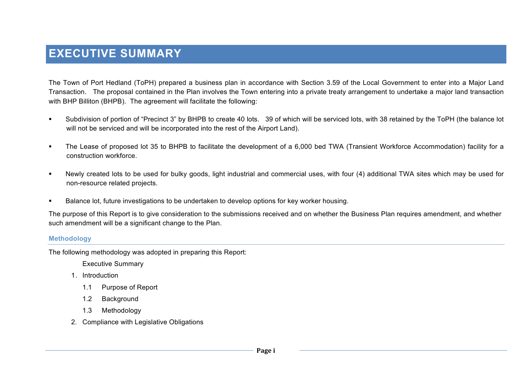### **EXECUTIVE SUMMARY**

The Town of Port Hedland (ToPH) prepared a business plan in accordance with Section 3.59 of the Local Government to enter into a Major Land Transaction. The proposal contained in the Plan involves the Town entering into a private treaty arrangement to undertake a major land transaction with BHP Billiton (BHPB). The agreement will facilitate the following:

- " Subdivision of portion of "Precinct 3" by BHPB to create 40 lots. 39 of which will be serviced lots, with 38 retained by the ToPH (the balance lot will not be serviced and will be incorporated into the rest of the Airport Land).
- ! The Lease of proposed lot 35 to BHPB to facilitate the development of a 6,000 bed TWA (Transient Workforce Accommodation) facility for a construction workforce.
- ! Newly created lots to be used for bulky goods, light industrial and commercial uses, with four (4) additional TWA sites which may be used for non-resource related projects.
- ! Balance lot, future investigations to be undertaken to develop options for key worker housing.

The purpose of this Report is to give consideration to the submissions received and on whether the Business Plan requires amendment, and whether such amendment will be a significant change to the Plan.

#### **Methodology**

The following methodology was adopted in preparing this Report:

Executive Summary

- 1. Introduction
	- 1.1 Purpose of Report
	- 1.2 Background
	- 1.3 Methodology
- 2. Compliance with Legislative Obligations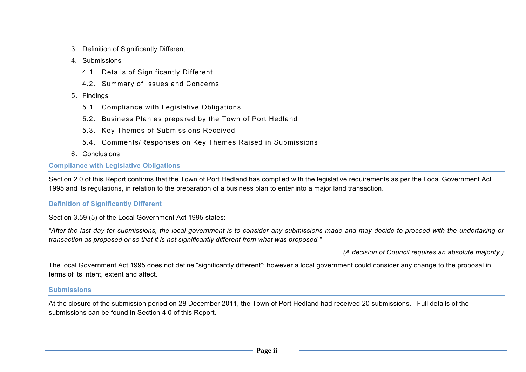- 3. Definition of Significantly Different
- 4. Submissions
	- 4.1. Details of Significantly Different
	- 4.2. Summary of Issues and Concerns
- 5. Findings
	- 5.1. Compliance with Legislative Obligations
	- 5.2. Business Plan as prepared by the Town of Port Hedland
	- 5.3. Key Themes of Submissions Received
	- 5.4. Comments/Responses on Key Themes Raised in Submissions
- 6. Conclusions

#### **Compliance with Legislative Obligations**

Section 2.0 of this Report confirms that the Town of Port Hedland has complied with the legislative requirements as per the Local Government Act 1995 and its regulations, in relation to the preparation of a business plan to enter into a major land transaction.

#### **Definition of Significantly Different**

Section 3.59 (5) of the Local Government Act 1995 states:

*"After the last day for submissions, the local government is to consider any submissions made and may decide to proceed with the undertaking or transaction as proposed or so that it is not significantly different from what was proposed."*

*(A decision of Council requires an absolute majority.)*

The local Government Act 1995 does not define "significantly different"; however a local government could consider any change to the proposal in terms of its intent, extent and affect.

#### **Submissions**

At the closure of the submission period on 28 December 2011, the Town of Port Hedland had received 20 submissions. Full details of the submissions can be found in Section 4.0 of this Report.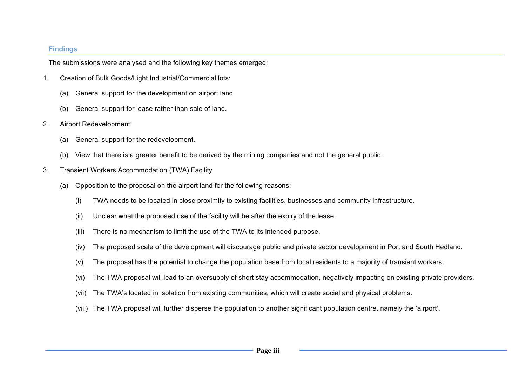#### **Findings**

The submissions were analysed and the following key themes emerged:

- 1. Creation of Bulk Goods/Light Industrial/Commercial lots:
	- (a) General support for the development on airport land.
	- (b) General support for lease rather than sale of land.
- 2. Airport Redevelopment
	- (a) General support for the redevelopment.
	- (b) View that there is a greater benefit to be derived by the mining companies and not the general public.
- 3. Transient Workers Accommodation (TWA) Facility
	- (a) Opposition to the proposal on the airport land for the following reasons:
		- (i) TWA needs to be located in close proximity to existing facilities, businesses and community infrastructure.
		- (ii) Unclear what the proposed use of the facility will be after the expiry of the lease.
		- (iii) There is no mechanism to limit the use of the TWA to its intended purpose.
		- (iv) The proposed scale of the development will discourage public and private sector development in Port and South Hedland.
		- (v) The proposal has the potential to change the population base from local residents to a majority of transient workers.
		- (vi) The TWA proposal will lead to an oversupply of short stay accommodation, negatively impacting on existing private providers.
		- (vii) The TWA's located in isolation from existing communities, which will create social and physical problems.
		- (viii) The TWA proposal will further disperse the population to another significant population centre, namely the 'airport'.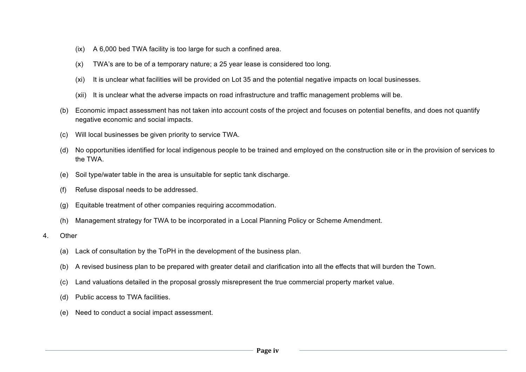- (ix) A 6,000 bed TWA facility is too large for such a confined area.
- (x) TWA's are to be of a temporary nature; a 25 year lease is considered too long.
- (xi) It is unclear what facilities will be provided on Lot 35 and the potential negative impacts on local businesses.
- (xii) It is unclear what the adverse impacts on road infrastructure and traffic management problems will be.
- (b) Economic impact assessment has not taken into account costs of the project and focuses on potential benefits, and does not quantify negative economic and social impacts.
- (c) Will local businesses be given priority to service TWA.
- (d) No opportunities identified for local indigenous people to be trained and employed on the construction site or in the provision of services to the TWA.
- (e) Soil type/water table in the area is unsuitable for septic tank discharge.
- (f) Refuse disposal needs to be addressed.
- (g) Equitable treatment of other companies requiring accommodation.
- (h) Management strategy for TWA to be incorporated in a Local Planning Policy or Scheme Amendment.
- 4. Other
	- (a) Lack of consultation by the ToPH in the development of the business plan.
	- (b) A revised business plan to be prepared with greater detail and clarification into all the effects that will burden the Town.
	- (c) Land valuations detailed in the proposal grossly misrepresent the true commercial property market value.
	- (d) Public access to TWA facilities.
	- (e) Need to conduct a social impact assessment.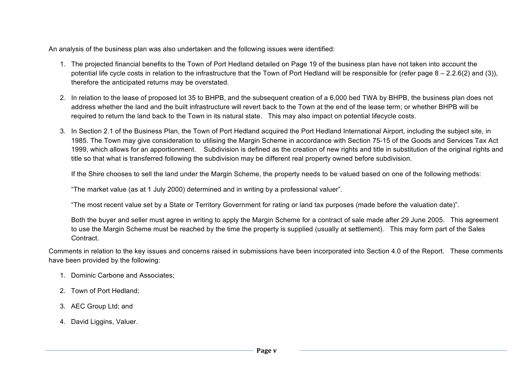An analysis of the business plan was also undertaken and the following issues were identified:

- 1. The projected financial benefits to the Town of Port Hedland detailed on Page 19 of the business plan have not taken into account the potential life cycle costs in relation to the infrastructure that the Town of Port Hedland will be responsible for (refer page  $8 - 2.2.6(2)$  and (3)), therefore the anticipated returns may be overstated.
- 2. In relation to the lease of proposed lot 35 to BHPB, and the subsequent creation of a 6,000 bed TWA by BHPB, the business plan does not address whether the land and the built infrastructure will revert back to the Town at the end of the lease term; or whether BHPB will be required to return the land back to the Town in its natural state. This may also impact on potential lifecycle costs.
- 3. In Section 2.1 of the Business Plan, the Town of Port Hedland acquired the Port Hedland International Airport, including the subject site, in 1985. The Town may give consideration to utilising the Margin Scheme in accordance with Section 75-15 of the Goods and Services Tax Act 1999, which allows for an apportionment. Subdivision is defined as the creation of new rights and title in substitution of the original rights and title so that what is transferred following the subdivision may be different real property owned before subdivision.

If the Shire chooses to sell the land under the Margin Scheme, the property needs to be valued based on one of the following methods:

"The market value (as at 1 July 2000) determined and in writing by a professional valuer".

"The most recent value set by a State or Territory Government for rating or land tax purposes (made before the valuation date)".

Both the buyer and seller must agree in writing to apply the Margin Scheme for a contract of sale made after 29 June 2005. This agreement to use the Margin Scheme must be reached by the time the property is supplied (usually at settlement). This may form part of the Sales **Contract** 

Comments in relation to the key issues and concerns raised in submissions have been incorporated into Section 4.0 of the Report. These comments have been provided by the following:

- 1. Dominic Carbone and Associates;
- 2. Town of Port Hedland;
- 3. AEC Group Ltd; and
- 4. David Liggins, Valuer.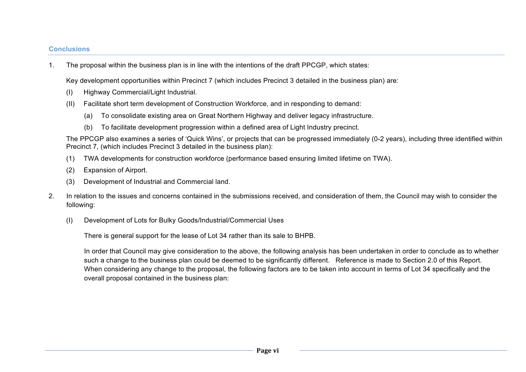#### **Conclusions**

1. The proposal within the business plan is in line with the intentions of the draft PPCGP, which states:

Key development opportunities within Precinct 7 (which includes Precinct 3 detailed in the business plan) are:

- (I) Highway Commercial/Light Industrial.
- (II) Facilitate short term development of Construction Workforce, and in responding to demand:
	- (a) To consolidate existing area on Great Northern Highway and deliver legacy infrastructure.
	- (b) To facilitate development progression within a defined area of Light Industry precinct.

The PPCGP also examines a series of 'Quick Wins', or projects that can be progressed immediately (0-2 years), including three identified within Precinct 7, (which includes Precinct 3 detailed in the business plan):

- (1) TWA developments for construction workforce (performance based ensuring limited lifetime on TWA).
- (2) Expansion of Airport.
- (3) Development of Industrial and Commercial land.
- 2. In relation to the issues and concerns contained in the submissions received, and consideration of them, the Council may wish to consider the following:
	- (I) Development of Lots for Bulky Goods/Industrial/Commercial Uses

There is general support for the lease of Lot 34 rather than its sale to BHPB.

In order that Council may give consideration to the above, the following analysis has been undertaken in order to conclude as to whether such a change to the business plan could be deemed to be significantly different. Reference is made to Section 2.0 of this Report. When considering any change to the proposal, the following factors are to be taken into account in terms of Lot 34 specifically and the overall proposal contained in the business plan: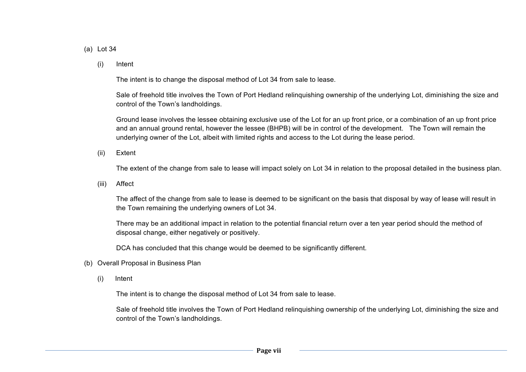#### (a) Lot 34

(i) Intent

The intent is to change the disposal method of Lot 34 from sale to lease.

Sale of freehold title involves the Town of Port Hedland relinquishing ownership of the underlying Lot, diminishing the size and control of the Town's landholdings.

Ground lease involves the lessee obtaining exclusive use of the Lot for an up front price, or a combination of an up front price and an annual ground rental, however the lessee (BHPB) will be in control of the development. The Town will remain the underlying owner of the Lot, albeit with limited rights and access to the Lot during the lease period.

(ii) Extent

The extent of the change from sale to lease will impact solely on Lot 34 in relation to the proposal detailed in the business plan.

(iii) Affect

The affect of the change from sale to lease is deemed to be significant on the basis that disposal by way of lease will result in the Town remaining the underlying owners of Lot 34.

There may be an additional impact in relation to the potential financial return over a ten year period should the method of disposal change, either negatively or positively.

DCA has concluded that this change would be deemed to be significantly different.

- (b) Overall Proposal in Business Plan
	- (i) Intent

The intent is to change the disposal method of Lot 34 from sale to lease.

Sale of freehold title involves the Town of Port Hedland relinquishing ownership of the underlying Lot, diminishing the size and control of the Town's landholdings.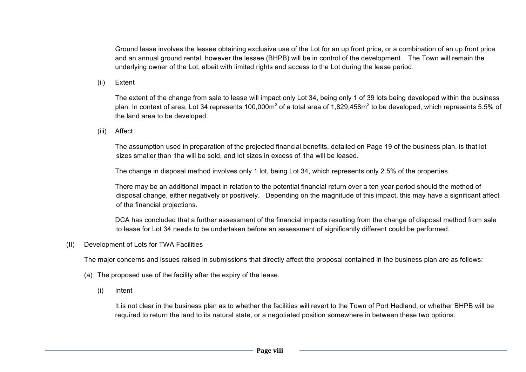Ground lease involves the lessee obtaining exclusive use of the Lot for an up front price, or a combination of an up front price and an annual ground rental, however the lessee (BHPB) will be in control of the development. The Town will remain the underlying owner of the Lot, albeit with limited rights and access to the Lot during the lease period.

(ii) Extent

The extent of the change from sale to lease will impact only Lot 34, being only 1 of 39 lots being developed within the business plan. In context of area, Lot 34 represents 100,000m<sup>2</sup> of a total area of 1,829,458m<sup>2</sup> to be developed, which represents 5.5% of the land area to be developed.

(iii) Affect

The assumption used in preparation of the projected financial benefits, detailed on Page 19 of the business plan, is that lot sizes smaller than 1ha will be sold, and lot sizes in excess of 1ha will be leased.

The change in disposal method involves only 1 lot, being Lot 34, which represents only 2.5% of the properties.

There may be an additional impact in relation to the potential financial return over a ten year period should the method of disposal change, either negatively or positively. Depending on the magnitude of this impact, this may have a significant affect of the financial projections.

DCA has concluded that a further assessment of the financial impacts resulting from the change of disposal method from sale to lease for Lot 34 needs to be undertaken before an assessment of significantly different could be performed.

(II) Development of Lots for TWA Facilities

The major concerns and issues raised in submissions that directly affect the proposal contained in the business plan are as follows:

- (a) The proposed use of the facility after the expiry of the lease.
	- (i) Intent

It is not clear in the business plan as to whether the facilities will revert to the Town of Port Hedland, or whether BHPB will be required to return the land to its natural state, or a negotiated position somewhere in between these two options.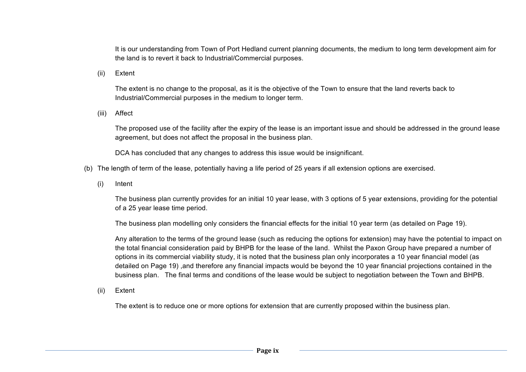It is our understanding from Town of Port Hedland current planning documents, the medium to long term development aim for the land is to revert it back to Industrial/Commercial purposes.

(ii) Extent

The extent is no change to the proposal, as it is the objective of the Town to ensure that the land reverts back to Industrial/Commercial purposes in the medium to longer term.

(iii) Affect

The proposed use of the facility after the expiry of the lease is an important issue and should be addressed in the ground lease agreement, but does not affect the proposal in the business plan.

DCA has concluded that any changes to address this issue would be insignificant.

- (b) The length of term of the lease, potentially having a life period of 25 years if all extension options are exercised.
	- (i) Intent

The business plan currently provides for an initial 10 year lease, with 3 options of 5 year extensions, providing for the potential of a 25 year lease time period.

The business plan modelling only considers the financial effects for the initial 10 year term (as detailed on Page 19).

Any alteration to the terms of the ground lease (such as reducing the options for extension) may have the potential to impact on the total financial consideration paid by BHPB for the lease of the land. Whilst the Paxon Group have prepared a number of options in its commercial viability study, it is noted that the business plan only incorporates a 10 year financial model (as detailed on Page 19) ,and therefore any financial impacts would be beyond the 10 year financial projections contained in the business plan. The final terms and conditions of the lease would be subject to negotiation between the Town and BHPB.

(ii) Extent

The extent is to reduce one or more options for extension that are currently proposed within the business plan.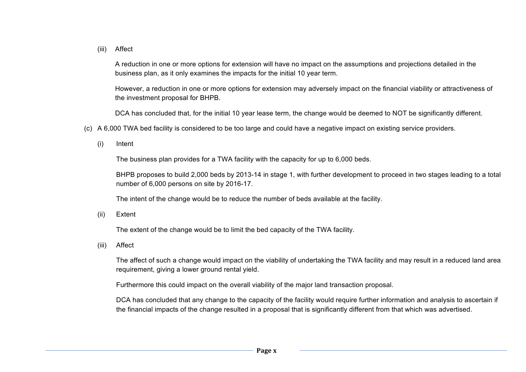(iii) Affect

A reduction in one or more options for extension will have no impact on the assumptions and projections detailed in the business plan, as it only examines the impacts for the initial 10 year term.

However, a reduction in one or more options for extension may adversely impact on the financial viability or attractiveness of the investment proposal for BHPB.

DCA has concluded that, for the initial 10 year lease term, the change would be deemed to NOT be significantly different.

- (c) A 6,000 TWA bed facility is considered to be too large and could have a negative impact on existing service providers.
	- (i) Intent

The business plan provides for a TWA facility with the capacity for up to 6,000 beds.

BHPB proposes to build 2,000 beds by 2013-14 in stage 1, with further development to proceed in two stages leading to a total number of 6,000 persons on site by 2016-17.

The intent of the change would be to reduce the number of beds available at the facility.

(ii) Extent

The extent of the change would be to limit the bed capacity of the TWA facility.

(iii) Affect

The affect of such a change would impact on the viability of undertaking the TWA facility and may result in a reduced land area requirement, giving a lower ground rental yield.

Furthermore this could impact on the overall viability of the major land transaction proposal.

DCA has concluded that any change to the capacity of the facility would require further information and analysis to ascertain if the financial impacts of the change resulted in a proposal that is significantly different from that which was advertised.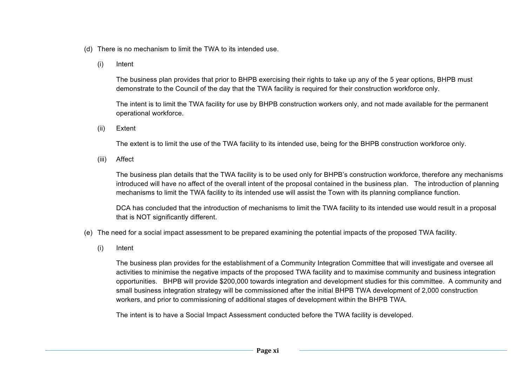- (d) There is no mechanism to limit the TWA to its intended use.
	- (i) Intent

The business plan provides that prior to BHPB exercising their rights to take up any of the 5 year options, BHPB must demonstrate to the Council of the day that the TWA facility is required for their construction workforce only.

The intent is to limit the TWA facility for use by BHPB construction workers only, and not made available for the permanent operational workforce.

(ii) Extent

The extent is to limit the use of the TWA facility to its intended use, being for the BHPB construction workforce only.

(iii) Affect

The business plan details that the TWA facility is to be used only for BHPB's construction workforce, therefore any mechanisms introduced will have no affect of the overall intent of the proposal contained in the business plan. The introduction of planning mechanisms to limit the TWA facility to its intended use will assist the Town with its planning compliance function.

DCA has concluded that the introduction of mechanisms to limit the TWA facility to its intended use would result in a proposal that is NOT significantly different.

- (e) The need for a social impact assessment to be prepared examining the potential impacts of the proposed TWA facility.
	- (i) Intent

The business plan provides for the establishment of a Community Integration Committee that will investigate and oversee all activities to minimise the negative impacts of the proposed TWA facility and to maximise community and business integration opportunities. BHPB will provide \$200,000 towards integration and development studies for this committee. A community and small business integration strategy will be commissioned after the initial BHPB TWA development of 2,000 construction workers, and prior to commissioning of additional stages of development within the BHPB TWA.

The intent is to have a Social Impact Assessment conducted before the TWA facility is developed.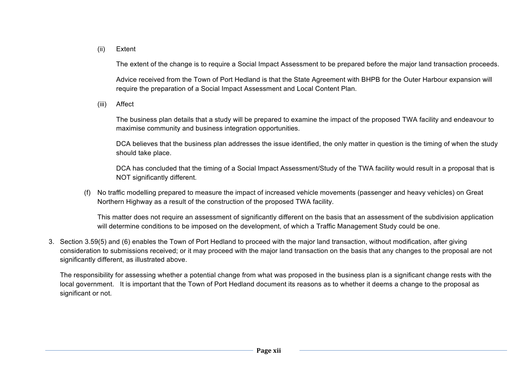#### (ii) Extent

The extent of the change is to require a Social Impact Assessment to be prepared before the major land transaction proceeds.

Advice received from the Town of Port Hedland is that the State Agreement with BHPB for the Outer Harbour expansion will require the preparation of a Social Impact Assessment and Local Content Plan.

(iii) Affect

The business plan details that a study will be prepared to examine the impact of the proposed TWA facility and endeavour to maximise community and business integration opportunities.

DCA believes that the business plan addresses the issue identified, the only matter in question is the timing of when the study should take place.

DCA has concluded that the timing of a Social Impact Assessment/Study of the TWA facility would result in a proposal that is NOT significantly different.

(f) No traffic modelling prepared to measure the impact of increased vehicle movements (passenger and heavy vehicles) on Great Northern Highway as a result of the construction of the proposed TWA facility.

This matter does not require an assessment of significantly different on the basis that an assessment of the subdivision application will determine conditions to be imposed on the development, of which a Traffic Management Study could be one.

3. Section 3.59(5) and (6) enables the Town of Port Hedland to proceed with the major land transaction, without modification, after giving consideration to submissions received; or it may proceed with the major land transaction on the basis that any changes to the proposal are not significantly different, as illustrated above.

The responsibility for assessing whether a potential change from what was proposed in the business plan is a significant change rests with the local government. It is important that the Town of Port Hedland document its reasons as to whether it deems a change to the proposal as significant or not.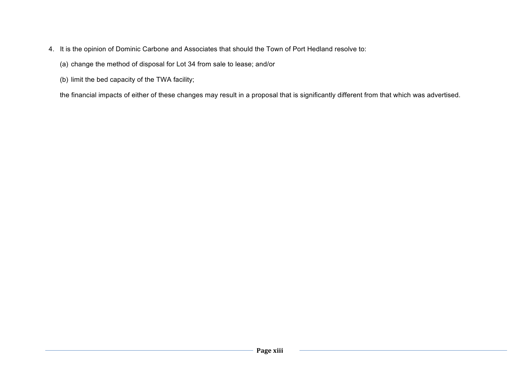- 4. It is the opinion of Dominic Carbone and Associates that should the Town of Port Hedland resolve to:
	- (a) change the method of disposal for Lot 34 from sale to lease; and/or
	- (b) limit the bed capacity of the TWA facility;

the financial impacts of either of these changes may result in a proposal that is significantly different from that which was advertised.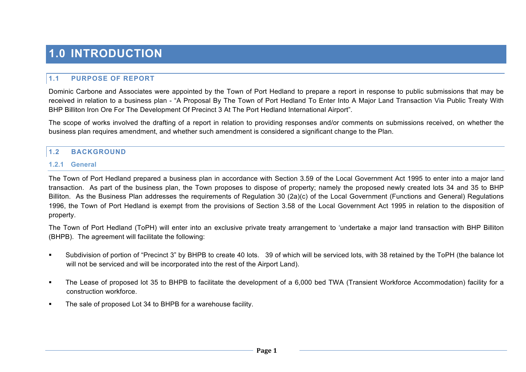## **1.0 INTRODUCTION**

#### **1.1 PURPOSE OF REPORT**

Dominic Carbone and Associates were appointed by the Town of Port Hedland to prepare a report in response to public submissions that may be received in relation to a business plan - "A Proposal By The Town of Port Hedland To Enter Into A Major Land Transaction Via Public Treaty With BHP Billiton Iron Ore For The Development Of Precinct 3 At The Port Hedland International Airport".

The scope of works involved the drafting of a report in relation to providing responses and/or comments on submissions received, on whether the business plan requires amendment, and whether such amendment is considered a significant change to the Plan.

#### **1.2 BACKGROUND**

#### **1.2.1 General**

The Town of Port Hedland prepared a business plan in accordance with Section 3.59 of the Local Government Act 1995 to enter into a major land transaction. As part of the business plan, the Town proposes to dispose of property; namely the proposed newly created lots 34 and 35 to BHP Billiton. As the Business Plan addresses the requirements of Regulation 30 (2a)(c) of the Local Government (Functions and General) Regulations 1996, the Town of Port Hedland is exempt from the provisions of Section 3.58 of the Local Government Act 1995 in relation to the disposition of property.

The Town of Port Hedland (ToPH) will enter into an exclusive private treaty arrangement to 'undertake a major land transaction with BHP Billiton (BHPB). The agreement will facilitate the following:

- " Subdivision of portion of "Precinct 3" by BHPB to create 40 lots. 39 of which will be serviced lots, with 38 retained by the ToPH (the balance lot will not be serviced and will be incorporated into the rest of the Airport Land).
- "The Lease of proposed lot 35 to BHPB to facilitate the development of a 6,000 bed TWA (Transient Workforce Accommodation) facility for a construction workforce.
- The sale of proposed Lot 34 to BHPB for a warehouse facility.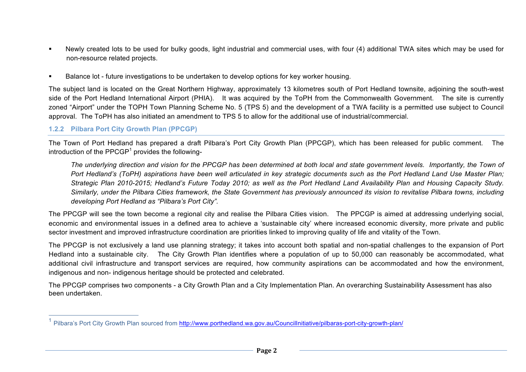- ! Newly created lots to be used for bulky goods, light industrial and commercial uses, with four (4) additional TWA sites which may be used for non-resource related projects.
- ! Balance lot future investigations to be undertaken to develop options for key worker housing.

The subject land is located on the Great Northern Highway, approximately 13 kilometres south of Port Hedland townsite, adjoining the south-west side of the Port Hedland International Airport (PHIA). It was acquired by the ToPH from the Commonwealth Government. The site is currently zoned "Airport" under the TOPH Town Planning Scheme No. 5 (TPS 5) and the development of a TWA facility is a permitted use subject to Council approval. The ToPH has also initiated an amendment to TPS 5 to allow for the additional use of industrial/commercial.

#### **1.2.2 Pilbara Port City Growth Plan (PPCGP)**

The Town of Port Hedland has prepared a draft Pilbara's Port City Growth Plan (PPCGP), which has been released for public comment. The introduction of the PPCGP $1$  provides the following-

*The underlying direction and vision for the PPCGP has been determined at both local and state government levels. Importantly, the Town of Port Hedland's (ToPH) aspirations have been well articulated in key strategic documents such as the Port Hedland Land Use Master Plan; Strategic Plan 2010-2015; Hedland's Future Today 2010; as well as the Port Hedland Land Availability Plan and Housing Capacity Study. Similarly, under the Pilbara Cities framework, the State Government has previously announced its vision to revitalise Pilbara towns, including developing Port Hedland as "Pilbara's Port City".*

The PPCGP will see the town become a regional city and realise the Pilbara Cities vision. The PPCGP is aimed at addressing underlying social, economic and environmental issues in a defined area to achieve a 'sustainable city' where increased economic diversity, more private and public sector investment and improved infrastructure coordination are priorities linked to improving quality of life and vitality of the Town.

The PPCGP is not exclusively a land use planning strategy; it takes into account both spatial and non-spatial challenges to the expansion of Port Hedland into a sustainable city. The City Growth Plan identifies where a population of up to 50,000 can reasonably be accommodated, what additional civil infrastructure and transport services are required, how community aspirations can be accommodated and how the environment, indigenous and non- indigenous heritage should be protected and celebrated.

The PPCGP comprises two components - a City Growth Plan and a City Implementation Plan. An overarching Sustainability Assessment has also been undertaken.

<sup>&</sup>lt;sup>1</sup> Pilbara's Port City Growth Plan sourced from http://www.porthedland.wa.gov.au/Councillnitiative/pilbaras-port-city-growth-plan/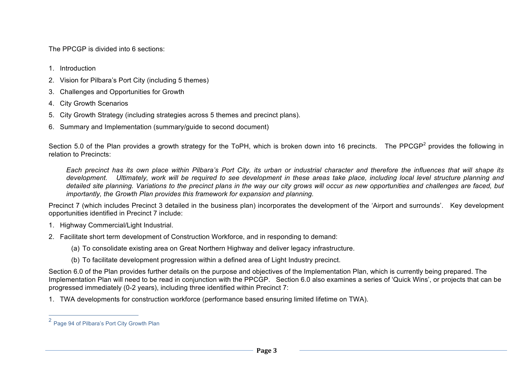The PPCGP is divided into 6 sections:

- 1. Introduction
- 2. Vision for Pilbara's Port City (including 5 themes)
- 3. Challenges and Opportunities for Growth
- 4. City Growth Scenarios
- 5. City Growth Strategy (including strategies across 5 themes and precinct plans).
- 6. Summary and Implementation (summary/guide to second document)

Section 5.0 of the Plan provides a growth strategy for the ToPH, which is broken down into 16 precincts. The PPCGP<sup>2</sup> provides the following in relation to Precincts:

*Each precinct has its own place within Pilbara's Port City, its urban or industrial character and therefore the influences that will shape its development. Ultimately, work will be required to see development in these areas take place, including local level structure planning and detailed site planning. Variations to the precinct plans in the way our city grows will occur as new opportunities and challenges are faced, but importantly, the Growth Plan provides this framework for expansion and planning.* 

Precinct 7 (which includes Precinct 3 detailed in the business plan) incorporates the development of the 'Airport and surrounds'. Key development opportunities identified in Precinct 7 include:

- 1. Highway Commercial/Light Industrial.
- 2. Facilitate short term development of Construction Workforce, and in responding to demand:
	- (a) To consolidate existing area on Great Northern Highway and deliver legacy infrastructure.
	- (b) To facilitate development progression within a defined area of Light Industry precinct.

Section 6.0 of the Plan provides further details on the purpose and objectives of the Implementation Plan, which is currently being prepared. The Implementation Plan will need to be read in conjunction with the PPCGP. Section 6.0 also examines a series of 'Quick Wins', or projects that can be progressed immediately (0-2 years), including three identified within Precinct 7:

1. TWA developments for construction workforce (performance based ensuring limited lifetime on TWA).

 <sup>2</sup> Page 94 of Pilbara's Port City Growth Plan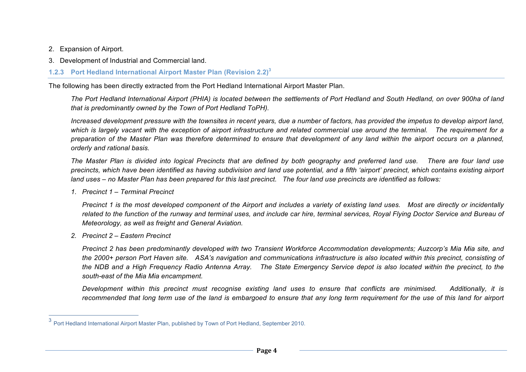- 2. Expansion of Airport.
- 3. Development of Industrial and Commercial land.
- **1.2.3 Port Hedland International Airport Master Plan (Revision 2.2) 3**

The following has been directly extracted from the Port Hedland International Airport Master Plan.

*The Port Hedland International Airport (PHIA) is located between the settlements of Port Hedland and South Hedland, on over 900ha of land that is predominantly owned by the Town of Port Hedland ToPH).*

*Increased development pressure with the townsites in recent years, due a number of factors, has provided the impetus to develop airport land, which is largely vacant with the exception of airport infrastructure and related commercial use around the terminal. The requirement for a preparation of the Master Plan was therefore determined to ensure that development of any land within the airport occurs on a planned, orderly and rational basis.*

*The Master Plan is divided into logical Precincts that are defined by both geography and preferred land use. There are four land use precincts, which have been identified as having subdivision and land use potential, and a fifth 'airport' precinct, which contains existing airport land uses – no Master Plan has been prepared for this last precinct. The four land use precincts are identified as follows:*

*1. Precinct 1 – Terminal Precinct*

*Precinct 1 is the most developed component of the Airport and includes a variety of existing land uses. Most are directly or incidentally related to the function of the runway and terminal uses, and include car hire, terminal services, Royal Flying Doctor Service and Bureau of Meteorology, as well as freight and General Aviation.* 

*2. Precinct 2 – Eastern Precinct*

*Precinct 2 has been predominantly developed with two Transient Workforce Accommodation developments; Auzcorp's Mia Mia site, and the 2000+ person Port Haven site. ASA's navigation and communications infrastructure is also located within this precinct, consisting of the NDB and a High Frequency Radio Antenna Array. The State Emergency Service depot is also located within the precinct, to the south-east of the Mia Mia encampment.*

*Development within this precinct must recognise existing land uses to ensure that conflicts are minimised. Additionally, it is recommended that long term use of the land is embargoed to ensure that any long term requirement for the use of this land for airport* 

 <sup>3</sup> Port Hedland International Airport Master Plan, published by Town of Port Hedland, September 2010.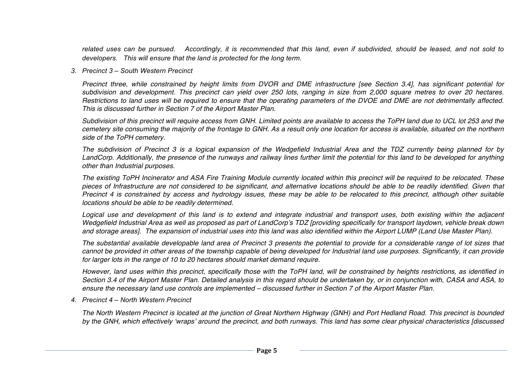*related uses can be pursued. Accordingly, it is recommended that this land, even if subdivided, should be leased, and not sold to developers. This will ensure that the land is protected for the long term.*

*3. Precinct 3 – South Western Precinct*

*Precinct three, while constrained by height limits from DVOR and DME infrastructure [see Section 3.4], has significant potential for subdivision and development. This precinct can yield over 250 lots, ranging in size from 2,000 square metres to over 20 hectares. Restrictions to land uses will be required to ensure that the operating parameters of the DVOE and DME are not detrimentally affected. This is discussed further in Section 7 of the Airport Master Plan.*

*Subdivision of this precinct will require access from GNH. Limited points are available to access the ToPH land due to UCL lot 253 and the cemetery site consuming the majority of the frontage to GNH. As a result only one location for access is available, situated on the northern side of the ToPH cemetery.*

*The subdivision of Precinct 3 is a logical expansion of the Wedgefield Industrial Area and the TDZ currently being planned for by LandCorp. Additionally, the presence of the runways and railway lines further limit the potential for this land to be developed for anything other than Industrial purposes.*

*The existing ToPH Incinerator and ASA Fire Training Module currently located within this precinct will be required to be relocated. These pieces of Infrastructure are not considered to be significant, and alternative locations should be able to be readily identified. Given that Precinct 4 is constrained by access and hydrology issues, these may be able to be relocated to this precinct, although other suitable locations should be able to be readily determined.*

Logical use and development of this land is to extend and integrate industrial and transport uses, both existing within the adjacent *Wedgefield Industrial Area as well as proposed as part of LandCorp*'*s TDZ [providing specifically for transport laydown, vehicle break down and storage areas]. The expansion of industrial uses into this land was also identified within the Airport LUMP (Land Use Master Plan).*

*The substantial available developable land area of Precinct 3 presents the potential to provide for a considerable range of lot sizes that cannot be provided in other areas of the township capable of being developed for Industrial land use purposes. Significantly, it can provide for larger lots in the range of 10 to 20 hectares should market demand require.*

*However, land uses within this precinct, specifically those with the ToPH land, will be constrained by heights restrictions, as identified in Section 3.4 of the Airport Master Plan. Detailed analysis in this regard should be undertaken by, or in conjunction with, CASA and ASA, to ensure the necessary land use controls are implemented – discussed further in Section 7 of the Airport Master Plan.*

*4. Precinct 4 – North Western Precinct*

*The North Western Precinct is located at the junction of Great Northern Highway (GNH) and Port Hedland Road. This precinct is bounded by the GNH, which effectively* ʻ*wraps*' *around the precinct, and both runways. This land has some clear physical characteristics [discussed*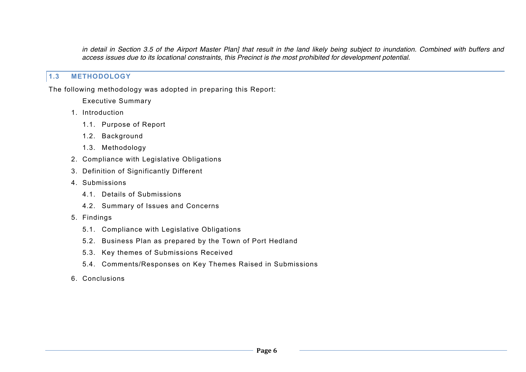*in detail in Section 3.5 of the Airport Master Plan] that result in the land likely being subject to inundation. Combined with buffers and access issues due to its locational constraints, this Precinct is the most prohibited for development potential.*

#### **1.3 METHODOLOGY**

The following methodology was adopted in preparing this Report:

Executive Summary

- 1. Introduction
	- 1.1. Purpose of Report
	- 1.2. Background
	- 1.3. Methodology
- 2. Compliance with Legislative Obligations
- 3. Definition of Significantly Different
- 4. Submissions
	- 4.1. Details of Submissions
	- 4.2. Summary of Issues and Concerns
- 5. Findings
	- 5.1. Compliance with Legislative Obligations
	- 5.2. Business Plan as prepared by the Town of Port Hedland
	- 5.3. Key themes of Submissions Received
	- 5.4. Comments/Responses on Key Themes Raised in Submissions
- 6. Conclusions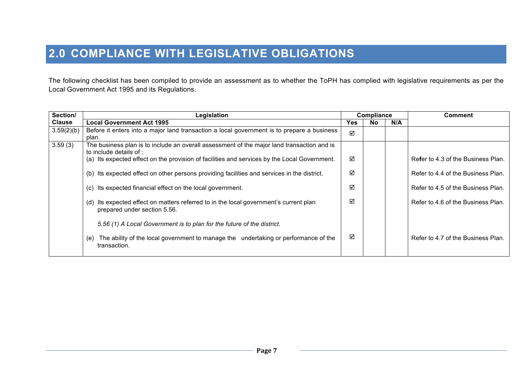## **2.0 COMPLIANCE WITH LEGISLATIVE OBLIGATIONS**

The following checklist has been compiled to provide an assessment as to whether the ToPH has complied with legislative requirements as per the Local Government Act 1995 and its Regulations.

| Section/      | Legislation                                                                                                              |            | Compliance |     | <b>Comment</b>                     |
|---------------|--------------------------------------------------------------------------------------------------------------------------|------------|------------|-----|------------------------------------|
| <b>Clause</b> | <b>Local Government Act 1995</b>                                                                                         | <b>Yes</b> | <b>No</b>  | N/A |                                    |
| 3.59(2)(b)    | Before it enters into a major land transaction a local government is to prepare a business<br>plan.                      | ☑          |            |     |                                    |
| 3.59(3)       | The business plan is to include an overall assessment of the major land transaction and is<br>to include details of :    |            |            |     |                                    |
|               | (a) Its expected effect on the provision of facilities and services by the Local Government.                             | ☑          |            |     | Refer to 4.3 of the Business Plan. |
|               | (b) Its expected effect on other persons providing facilities and services in the district.                              | ☑          |            |     | Refer to 4.4 of the Business Plan. |
|               | Its expected financial effect on the local government.<br>(C)                                                            | ☑          |            |     | Refer to 4.5 of the Business Plan. |
|               | Its expected effect on matters referred to in the local government's current plan<br>(d)<br>prepared under section 5.56. | ☑          |            |     | Refer to 4.6 of the Business Plan. |
|               | 5.56 (1) A Local Government is to plan for the future of the district.                                                   |            |            |     |                                    |
|               | The ability of the local government to manage the undertaking or performance of the<br>(e)<br>transaction.               | ☑          |            |     | Refer to 4.7 of the Business Plan. |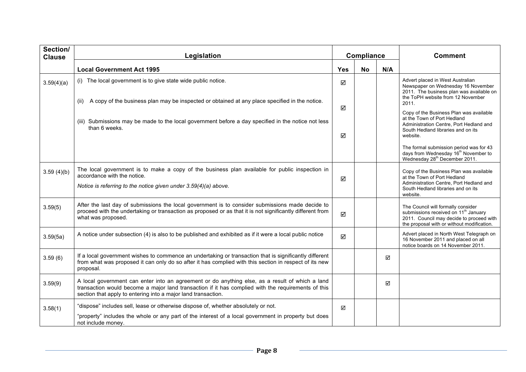| Section/<br><b>Clause</b> | Legislation                                                                                                                                                                                                                                                            | Compliance |           |     | <b>Comment</b>                                                                                                                                                                   |
|---------------------------|------------------------------------------------------------------------------------------------------------------------------------------------------------------------------------------------------------------------------------------------------------------------|------------|-----------|-----|----------------------------------------------------------------------------------------------------------------------------------------------------------------------------------|
|                           | <b>Local Government Act 1995</b>                                                                                                                                                                                                                                       | <b>Yes</b> | <b>No</b> | N/A |                                                                                                                                                                                  |
| 3.59(4)(a)                | (i) The local government is to give state wide public notice.                                                                                                                                                                                                          | ☑          |           |     | Advert placed in West Australian<br>Newspaper on Wednesday 16 November<br>2011. The business plan was available on<br>the ToPH website from 12 November                          |
|                           | A copy of the business plan may be inspected or obtained at any place specified in the notice.<br>(ii)                                                                                                                                                                 | ☑          |           |     | 2011.                                                                                                                                                                            |
|                           | (iii) Submissions may be made to the local government before a day specified in the notice not less<br>than 6 weeks.                                                                                                                                                   | ☑          |           |     | Copy of the Business Plan was available<br>at the Town of Port Hedland<br>Administration Centre, Port Hedland and<br>South Hedland libraries and on its<br>website.              |
|                           |                                                                                                                                                                                                                                                                        |            |           |     | The formal submission period was for 43<br>days from Wednesday 16 <sup>th</sup> November to<br>Wednesday 28 <sup>th</sup> December 2011.                                         |
| 3.59(4)(b)                | The local government is to make a copy of the business plan available for public inspection in<br>accordance with the notice.                                                                                                                                          | ☑          |           |     | Copy of the Business Plan was available<br>at the Town of Port Hedland                                                                                                           |
|                           | Notice is referring to the notice given under 3.59(4)(a) above.                                                                                                                                                                                                        |            |           |     | Administration Centre, Port Hedland and<br>South Hedland libraries and on its<br>website.                                                                                        |
| 3.59(5)                   | After the last day of submissions the local government is to consider submissions made decide to<br>proceed with the undertaking or transaction as proposed or as that it is not significantly different from<br>what was proposed.                                    | ☑          |           |     | The Council will formally consider<br>submissions received on 11 <sup>th</sup> January<br>2011. Council may decide to proceed with<br>the proposal with or without modification. |
| 3.59(5a)                  | A notice under subsection (4) is also to be published and exhibited as if it were a local public notice                                                                                                                                                                | ☑          |           |     | Advert placed in North West Telegraph on<br>16 November 2011 and placed on all<br>notice boards on 14 November 2011.                                                             |
| 3.59(6)                   | If a local government wishes to commence an undertaking or transaction that is significantly different<br>from what was proposed it can only do so after it has complied with this section in respect of its new<br>proposal.                                          |            |           | ☑   |                                                                                                                                                                                  |
| 3.59(9)                   | A local government can enter into an agreement or do anything else, as a result of which a land<br>transaction would become a major land transaction if it has complied with the requirements of this<br>section that apply to entering into a major land transaction. |            |           | ☑   |                                                                                                                                                                                  |
| 3.58(1)                   | "dispose" includes sell, lease or otherwise dispose of, whether absolutely or not.                                                                                                                                                                                     | ☑          |           |     |                                                                                                                                                                                  |
|                           | "property" includes the whole or any part of the interest of a local government in property but does<br>not include money.                                                                                                                                             |            |           |     |                                                                                                                                                                                  |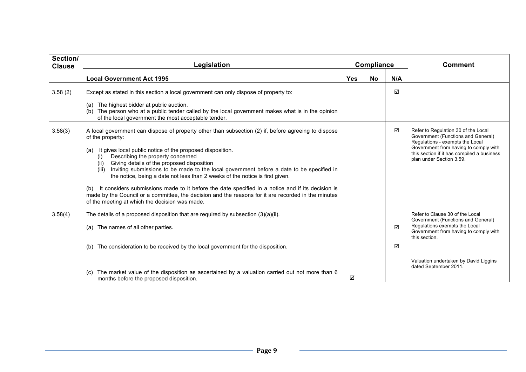| Section/<br><b>Clause</b> | Legislation                                                                                                                                                                                                                                                                                                                                                                                                                                                                                                                                                                                                                                                                                                                                         | <b>Compliance</b> |           | <b>Comment</b> |                                                                                                                                                                                                                                 |
|---------------------------|-----------------------------------------------------------------------------------------------------------------------------------------------------------------------------------------------------------------------------------------------------------------------------------------------------------------------------------------------------------------------------------------------------------------------------------------------------------------------------------------------------------------------------------------------------------------------------------------------------------------------------------------------------------------------------------------------------------------------------------------------------|-------------------|-----------|----------------|---------------------------------------------------------------------------------------------------------------------------------------------------------------------------------------------------------------------------------|
|                           | <b>Local Government Act 1995</b>                                                                                                                                                                                                                                                                                                                                                                                                                                                                                                                                                                                                                                                                                                                    | <b>Yes</b>        | <b>No</b> | N/A            |                                                                                                                                                                                                                                 |
| 3.58(2)                   | Except as stated in this section a local government can only dispose of property to:                                                                                                                                                                                                                                                                                                                                                                                                                                                                                                                                                                                                                                                                |                   |           | ☑              |                                                                                                                                                                                                                                 |
|                           | (a) The highest bidder at public auction.<br>The person who at a public tender called by the local government makes what is in the opinion<br>of the local government the most acceptable tender.                                                                                                                                                                                                                                                                                                                                                                                                                                                                                                                                                   |                   |           |                |                                                                                                                                                                                                                                 |
| 3.58(3)                   | A local government can dispose of property other than subsection (2) if, before agreeing to dispose<br>of the property:<br>It gives local public notice of the proposed disposition.<br>(a)<br>Describing the property concerned<br>(i)<br>Giving details of the proposed disposition<br>(ii)<br>(iii) Inviting submissions to be made to the local government before a date to be specified in<br>the notice, being a date not less than 2 weeks of the notice is first given.<br>It considers submissions made to it before the date specified in a notice and if its decision is<br>(b)<br>made by the Council or a committee, the decision and the reasons for it are recorded in the minutes<br>of the meeting at which the decision was made. |                   |           | ☑              | Refer to Regulation 30 of the Local<br>Government (Functions and General)<br>Regulations - exempts the Local<br>Government from having to comply with<br>this section if it has compiled a business<br>plan under Section 3.59. |
| 3.58(4)                   | The details of a proposed disposition that are required by subsection $(3)(a)(ii)$ .<br>The names of all other parties.<br>(a)                                                                                                                                                                                                                                                                                                                                                                                                                                                                                                                                                                                                                      |                   |           | ☑              | Refer to Clause 30 of the Local<br>Government (Functions and General)<br>Regulations exempts the Local<br>Government from having to comply with<br>this section.                                                                |
|                           | The consideration to be received by the local government for the disposition.<br>(b)                                                                                                                                                                                                                                                                                                                                                                                                                                                                                                                                                                                                                                                                |                   |           | ☑              | Valuation undertaken by David Liggins                                                                                                                                                                                           |
|                           | The market value of the disposition as ascertained by a valuation carried out not more than 6<br>(C)<br>months before the proposed disposition.                                                                                                                                                                                                                                                                                                                                                                                                                                                                                                                                                                                                     | ☑                 |           |                | dated September 2011.                                                                                                                                                                                                           |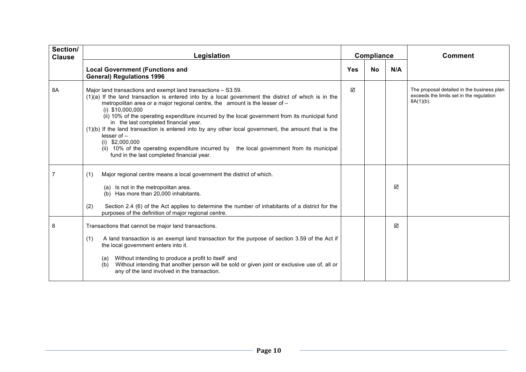| Section/<br><b>Clause</b> | Legislation                                                                                                                                                                                                                                                                                                                                                                                                                                                                                                                                                                                                                                                                                                    |     | <b>Compliance</b> |     | <b>Comment</b>                                                                                         |
|---------------------------|----------------------------------------------------------------------------------------------------------------------------------------------------------------------------------------------------------------------------------------------------------------------------------------------------------------------------------------------------------------------------------------------------------------------------------------------------------------------------------------------------------------------------------------------------------------------------------------------------------------------------------------------------------------------------------------------------------------|-----|-------------------|-----|--------------------------------------------------------------------------------------------------------|
|                           | <b>Local Government (Functions and</b><br><b>General) Regulations 1996</b>                                                                                                                                                                                                                                                                                                                                                                                                                                                                                                                                                                                                                                     | Yes | <b>No</b>         | N/A |                                                                                                        |
| 8A                        | Major land transactions and exempt land transactions - S3.59.<br>$(1)(a)$ If the land transaction is entered into by a local government the district of which is in the<br>metropolitan area or a major regional centre, the amount is the lesser of -<br>$(i)$ \$10,000,000<br>(ii) 10% of the operating expenditure incurred by the local government from its municipal fund<br>in the last completed financial year.<br>(1)(b) If the land transaction is entered into by any other local government, the amount that is the<br>lesser of -<br>$(i)$ \$2,000,000<br>(ii) 10% of the operating expenditure incurred by the local government from its municipal<br>fund in the last completed financial year. | ☑   |                   |     | The proposal detailed in the business plan<br>exceeds the limits set in the regulation<br>$8A(1)(b)$ . |
|                           | Major regional centre means a local government the district of which.<br>(1)<br>(a) Is not in the metropolitan area.<br>(b) Has more than 20,000 inhabitants.<br>Section 2.4 (6) of the Act applies to determine the number of inhabitants of a district for the<br>(2)<br>purposes of the definition of major regional centre.                                                                                                                                                                                                                                                                                                                                                                                |     |                   | ☑   |                                                                                                        |
| 8                         | Transactions that cannot be major land transactions.<br>(1)<br>A land transaction is an exempt land transaction for the purpose of section 3.59 of the Act if<br>the local government enters into it.<br>Without intending to produce a profit to itself and<br>(a)<br>Without intending that another person will be sold or given joint or exclusive use of, all or<br>(b)<br>any of the land involved in the transaction.                                                                                                                                                                                                                                                                                    |     |                   | ☑   |                                                                                                        |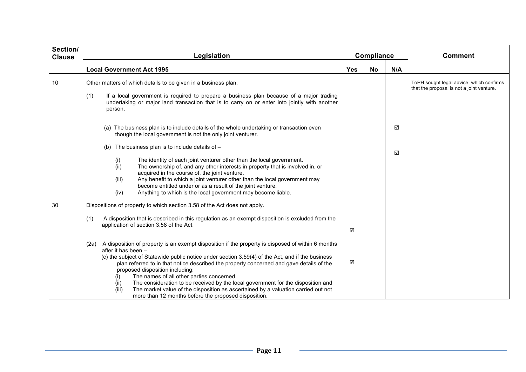| Section/<br><b>Clause</b> | Legislation                                                                                                                                                                                                                                                                                                                                                               |            | Compliance |     | <b>Comment</b>                                                                        |
|---------------------------|---------------------------------------------------------------------------------------------------------------------------------------------------------------------------------------------------------------------------------------------------------------------------------------------------------------------------------------------------------------------------|------------|------------|-----|---------------------------------------------------------------------------------------|
|                           | <b>Local Government Act 1995</b>                                                                                                                                                                                                                                                                                                                                          | <b>Yes</b> | <b>No</b>  | N/A |                                                                                       |
| 10                        | Other matters of which details to be given in a business plan.                                                                                                                                                                                                                                                                                                            |            |            |     | ToPH sought legal advice, which confirms<br>that the proposal is not a joint venture. |
|                           | (1)<br>If a local government is required to prepare a business plan because of a major trading<br>undertaking or major land transaction that is to carry on or enter into jointly with another<br>person.                                                                                                                                                                 |            |            |     |                                                                                       |
|                           | (a) The business plan is to include details of the whole undertaking or transaction even<br>though the local government is not the only joint venturer.                                                                                                                                                                                                                   |            |            | ☑   |                                                                                       |
|                           | The business plan is to include details of -<br>(b)                                                                                                                                                                                                                                                                                                                       |            |            | ☑   |                                                                                       |
|                           | The identity of each joint venturer other than the local government.<br>(i)<br>(ii)<br>The ownership of, and any other interests in property that is involved in, or<br>acquired in the course of, the joint venture.<br>(iii)<br>Any benefit to which a joint venturer other than the local government may<br>become entitled under or as a result of the joint venture. |            |            |     |                                                                                       |
|                           | Anything to which is the local government may become liable.<br>(iv)                                                                                                                                                                                                                                                                                                      |            |            |     |                                                                                       |
| 30                        | Dispositions of property to which section 3.58 of the Act does not apply.                                                                                                                                                                                                                                                                                                 |            |            |     |                                                                                       |
|                           | A disposition that is described in this regulation as an exempt disposition is excluded from the<br>(1)<br>application of section 3.58 of the Act.                                                                                                                                                                                                                        | ☑          |            |     |                                                                                       |
|                           | A disposition of property is an exempt disposition if the property is disposed of within 6 months<br>(2a)<br>after it has been -<br>(c) the subject of Statewide public notice under section 3.59(4) of the Act, and if the business<br>plan referred to in that notice described the property concerned and gave details of the<br>proposed disposition including:       | ☑          |            |     |                                                                                       |
|                           | The names of all other parties concerned.<br>(1)<br>The consideration to be received by the local government for the disposition and<br>(ii)<br>(iii)<br>The market value of the disposition as ascertained by a valuation carried out not<br>more than 12 months before the proposed disposition.                                                                        |            |            |     |                                                                                       |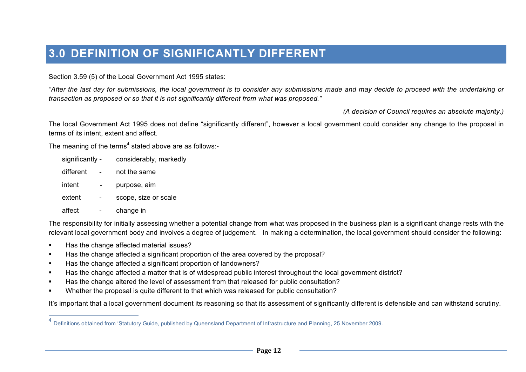## **3.0 DEFINITION OF SIGNIFICANTLY DIFFERENT**

Section 3.59 (5) of the Local Government Act 1995 states:

*"After the last day for submissions, the local government is to consider any submissions made and may decide to proceed with the undertaking or transaction as proposed or so that it is not significantly different from what was proposed."*

*(A decision of Council requires an absolute majority.)*

The local Government Act 1995 does not define "significantly different", however a local government could consider any change to the proposal in terms of its intent, extent and affect.

The meaning of the terms<sup>4</sup> stated above are as follows:-

| significantly - | considerably, markedly |
|-----------------|------------------------|
| different       | not the same           |
| intent          | purpose, aim           |
| extent          | scope, size or scale   |
| affect          | change in              |

The responsibility for initially assessing whether a potential change from what was proposed in the business plan is a significant change rests with the relevant local government body and involves a degree of judgement. In making a determination, the local government should consider the following:

- ! Has the change affected material issues?
- ! Has the change affected a significant proportion of the area covered by the proposal?
- ! Has the change affected a significant proportion of landowners?
- ! Has the change affected a matter that is of widespread public interest throughout the local government district?
- ! Has the change altered the level of assessment from that released for public consultation?
- ! Whether the proposal is quite different to that which was released for public consultation?

It's important that a local government document its reasoning so that its assessment of significantly different is defensible and can withstand scrutiny.

 <sup>4</sup> Definitions obtained from 'Statutory Guide, published by Queensland Department of Infrastructure and Planning, 25 November 2009.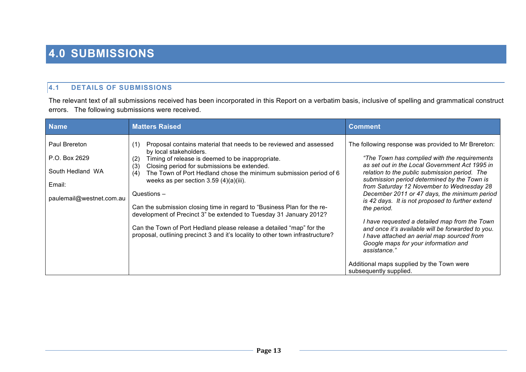## **4.0 SUBMISSIONS**

#### **4.1 DETAILS OF SUBMISSIONS**

The relevant text of all submissions received has been incorporated in this Report on a verbatim basis, inclusive of spelling and grammatical construct errors. The following submissions were received.

| <b>Name</b>                                                                              | <b>Matters Raised</b>                                                                                                                                                                                                                                                                                                                                                                                                                                                                                                                                                                                                                                                   | <b>Comment</b>                                                                                                                                                                                                                                                                                                                                                                                                                                                                                                                                                                                                                     |
|------------------------------------------------------------------------------------------|-------------------------------------------------------------------------------------------------------------------------------------------------------------------------------------------------------------------------------------------------------------------------------------------------------------------------------------------------------------------------------------------------------------------------------------------------------------------------------------------------------------------------------------------------------------------------------------------------------------------------------------------------------------------------|------------------------------------------------------------------------------------------------------------------------------------------------------------------------------------------------------------------------------------------------------------------------------------------------------------------------------------------------------------------------------------------------------------------------------------------------------------------------------------------------------------------------------------------------------------------------------------------------------------------------------------|
| Paul Brereton<br>P.O. Box 2629<br>South Hedland WA<br>Email:<br>paulemail@westnet.com.au | Proposal contains material that needs to be reviewed and assessed<br>(1)<br>by local stakeholders.<br>Timing of release is deemed to be inappropriate.<br>(2)<br>Closing period for submissions be extended.<br>(3)<br>The Town of Port Hedland chose the minimum submission period of 6<br>(4)<br>weeks as per section $3.59(4)(a)(iii)$ .<br>Questions $-$<br>Can the submission closing time in regard to "Business Plan for the re-<br>development of Precinct 3" be extended to Tuesday 31 January 2012?<br>Can the Town of Port Hedland please release a detailed "map" for the<br>proposal, outlining precinct 3 and it's locality to other town infrastructure? | The following response was provided to Mr Brereton:<br>"The Town has complied with the requirements"<br>as set out in the Local Government Act 1995 in<br>relation to the public submission period. The<br>submission period determined by the Town is<br>from Saturday 12 November to Wednesday 28<br>December 2011 or 47 days, the minimum period<br>is 42 days. It is not proposed to further extend<br>the period.<br>I have requested a detailed map from the Town<br>and once it's available will be forwarded to you.<br>I have attached an aerial map sourced from<br>Google maps for your information and<br>assistance." |
|                                                                                          |                                                                                                                                                                                                                                                                                                                                                                                                                                                                                                                                                                                                                                                                         | Additional maps supplied by the Town were<br>subsequently supplied.                                                                                                                                                                                                                                                                                                                                                                                                                                                                                                                                                                |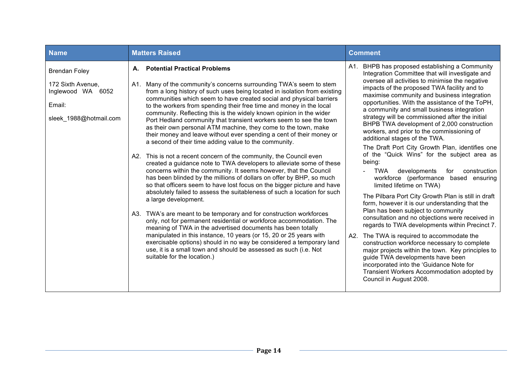| <b>Name</b>                                                                                        | <b>Matters Raised</b><br><b>Comment</b>                                                                                                                                                                                                                                                                                                                                                                                                                                                                                                                                                                                                                                                                                                                                                                                                                                                                                                                                                                                                                                                                                                                                                                                                                                                                                                                                                                                                                                                                                                                                                                                                 |                                                                                                                                                                                                                                                                                                                                                                                                                                                                                                                                                                                                                                                                                                                                                                                                                                                                                                                                                                                                                                                                                                                                                                                                                                                                                                                                       |  |
|----------------------------------------------------------------------------------------------------|-----------------------------------------------------------------------------------------------------------------------------------------------------------------------------------------------------------------------------------------------------------------------------------------------------------------------------------------------------------------------------------------------------------------------------------------------------------------------------------------------------------------------------------------------------------------------------------------------------------------------------------------------------------------------------------------------------------------------------------------------------------------------------------------------------------------------------------------------------------------------------------------------------------------------------------------------------------------------------------------------------------------------------------------------------------------------------------------------------------------------------------------------------------------------------------------------------------------------------------------------------------------------------------------------------------------------------------------------------------------------------------------------------------------------------------------------------------------------------------------------------------------------------------------------------------------------------------------------------------------------------------------|---------------------------------------------------------------------------------------------------------------------------------------------------------------------------------------------------------------------------------------------------------------------------------------------------------------------------------------------------------------------------------------------------------------------------------------------------------------------------------------------------------------------------------------------------------------------------------------------------------------------------------------------------------------------------------------------------------------------------------------------------------------------------------------------------------------------------------------------------------------------------------------------------------------------------------------------------------------------------------------------------------------------------------------------------------------------------------------------------------------------------------------------------------------------------------------------------------------------------------------------------------------------------------------------------------------------------------------|--|
| <b>Brendan Foley</b><br>172 Sixth Avenue,<br>Inglewood WA 6052<br>Email:<br>sleek_1988@hotmail.com | <b>Potential Practical Problems</b><br>А.<br>Many of the community's concerns surrounding TWA's seem to stem<br>A1.<br>from a long history of such uses being located in isolation from existing<br>communities which seem to have created social and physical barriers<br>to the workers from spending their free time and money in the local<br>community. Reflecting this is the widely known opinion in the wider<br>Port Hedland community that transient workers seem to see the town<br>as their own personal ATM machine, they come to the town, make<br>their money and leave without ever spending a cent of their money or<br>a second of their time adding value to the community.<br>A2. This is not a recent concern of the community, the Council even<br>created a guidance note to TWA developers to alleviate some of these<br>concerns within the community. It seems however, that the Council<br>has been blinded by the millions of dollars on offer by BHP, so much<br>so that officers seem to have lost focus on the bigger picture and have<br>absolutely failed to assess the suitableness of such a location for such<br>a large development.<br>A3. TWA's are meant to be temporary and for construction workforces<br>only, not for permanent residential or workforce accommodation. The<br>meaning of TWA in the advertised documents has been totally<br>manipulated in this instance, 10 years (or 15, 20 or 25 years with<br>exercisable options) should in no way be considered a temporary land<br>use, it is a small town and should be assessed as such (i.e. Not<br>suitable for the location.) | A1. BHPB has proposed establishing a Community<br>Integration Committee that will investigate and<br>oversee all activities to minimise the negative<br>impacts of the proposed TWA facility and to<br>maximise community and business integration<br>opportunities. With the assistance of the ToPH,<br>a community and small business integration<br>strategy will be commissioned after the initial<br>BHPB TWA development of 2,000 construction<br>workers, and prior to the commissioning of<br>additional stages of the TWA.<br>The Draft Port City Growth Plan, identifies one<br>of the "Quick Wins" for the subject area as<br>being:<br>TWA<br>developments<br>construction<br>for<br>workforce (performance based ensuring<br>limited lifetime on TWA)<br>The Pilbara Port City Growth Plan is still in draft<br>form, however it is our understanding that the<br>Plan has been subject to community<br>consultation and no objections were received in<br>regards to TWA developments within Precinct 7.<br>The TWA is required to accommodate the<br>A2.<br>construction workforce necessary to complete<br>major projects within the town. Key principles to<br>guide TWA developments have been<br>incorporated into the 'Guidance Note for<br>Transient Workers Accommodation adopted by<br>Council in August 2008. |  |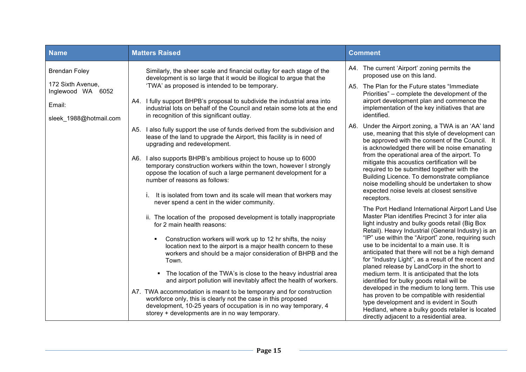| <b>Name</b>                            | <b>Matters Raised</b>                                                                                                                                                                                                                                      | <b>Comment</b>                                                                                                                                                                                                                                           |
|----------------------------------------|------------------------------------------------------------------------------------------------------------------------------------------------------------------------------------------------------------------------------------------------------------|----------------------------------------------------------------------------------------------------------------------------------------------------------------------------------------------------------------------------------------------------------|
| <b>Brendan Foley</b>                   | Similarly, the sheer scale and financial outlay for each stage of the<br>development is so large that it would be illogical to argue that the                                                                                                              | A4. The current 'Airport' zoning permits the<br>proposed use on this land.                                                                                                                                                                               |
| 172 Sixth Avenue,<br>Inglewood WA 6052 | 'TWA' as proposed is intended to be temporary.                                                                                                                                                                                                             | A5. The Plan for the Future states "Immediate"<br>Priorities" – complete the development of the                                                                                                                                                          |
| Email:                                 | A4. I fully support BHPB's proposal to subdivide the industrial area into<br>industrial lots on behalf of the Council and retain some lots at the end                                                                                                      | airport development plan and commence the<br>implementation of the key initiatives that are                                                                                                                                                              |
| sleek_1988@hotmail.com                 | in recognition of this significant outlay.                                                                                                                                                                                                                 | identified.<br>Under the Airport zoning, a TWA is an 'AA' land<br>A6.                                                                                                                                                                                    |
|                                        | A5. I also fully support the use of funds derived from the subdivision and<br>lease of the land to upgrade the Airport, this facility is in need of<br>upgrading and redevelopment.                                                                        | use, meaning that this style of development can<br>be approved with the consent of the Council. It<br>is acknowledged there will be noise emanating                                                                                                      |
|                                        | A6. I also supports BHPB's ambitious project to house up to 6000<br>temporary construction workers within the town, however I strongly<br>oppose the location of such a large permanent development for a<br>number of reasons as follows:                 | from the operational area of the airport. To<br>mitigate this acoustics certification will be<br>required to be submitted together with the<br>Building Licence. To demonstrate compliance<br>noise modelling should be undertaken to show               |
|                                        | i. It is isolated from town and its scale will mean that workers may<br>never spend a cent in the wider community.                                                                                                                                         | expected noise levels at closest sensitive<br>receptors.                                                                                                                                                                                                 |
|                                        | ii. The location of the proposed development is totally inappropriate<br>for 2 main health reasons:                                                                                                                                                        | The Port Hedland International Airport Land Use<br>Master Plan identifies Precinct 3 for inter alia<br>light industry and bulky goods retail (Big Box<br>Retail). Heavy Industrial (General Industry) is an                                              |
|                                        | Construction workers will work up to 12 hr shifts, the noisy<br>$\blacksquare$<br>location next to the airport is a major health concern to these<br>workers and should be a major consideration of BHPB and the<br>Town.                                  | "IP" use within the "Airport" zone, requiring such<br>use to be incidental to a main use. It is<br>anticipated that there will not be a high demand<br>for "Industry Light", as a result of the recent and<br>planed release by LandCorp in the short to |
|                                        | • The location of the TWA's is close to the heavy industrial area<br>and airport pollution will inevitably affect the health of workers.                                                                                                                   | medium term. It is anticipated that the lots<br>identified for bulky goods retail will be                                                                                                                                                                |
|                                        | A7. TWA accommodation is meant to be temporary and for construction<br>workforce only, this is clearly not the case in this proposed<br>development, 10-25 years of occupation is in no way temporary, 4<br>storey + developments are in no way temporary. | developed in the medium to long term. This use<br>has proven to be compatible with residential<br>type development and is evident in South<br>Hedland, where a bulky goods retailer is located<br>directly adjacent to a residential area.               |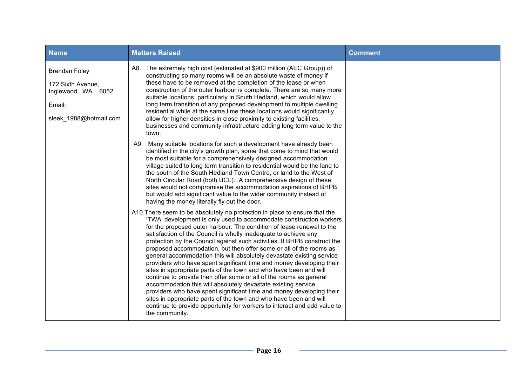| <b>Name</b>                                                                                        | <b>Matters Raised</b>                                                                                                                                                                                                                                                                                                                                                                                                                                                                                                                                                                                                                                                                                                                                                                                                                                                                                                                                                                                                                                  | <b>Comment</b> |
|----------------------------------------------------------------------------------------------------|--------------------------------------------------------------------------------------------------------------------------------------------------------------------------------------------------------------------------------------------------------------------------------------------------------------------------------------------------------------------------------------------------------------------------------------------------------------------------------------------------------------------------------------------------------------------------------------------------------------------------------------------------------------------------------------------------------------------------------------------------------------------------------------------------------------------------------------------------------------------------------------------------------------------------------------------------------------------------------------------------------------------------------------------------------|----------------|
| <b>Brendan Foley</b><br>172 Sixth Avenue,<br>Inglewood WA 6052<br>Email:<br>sleek_1988@hotmail.com | A8. The extremely high cost (estimated at \$900 million (AEC Group)) of<br>constructing so many rooms will be an absolute waste of money if<br>these have to be removed at the completion of the lease or when<br>construction of the outer harbour is complete. There are so many more<br>suitable locations, particularly in South Hedland, which would allow<br>long term transition of any proposed development to multiple dwelling<br>residential while at the same time these locations would significantly<br>allow for higher densities in close proximity to existing facilities,<br>businesses and community infrastructure adding long term value to the<br>town.                                                                                                                                                                                                                                                                                                                                                                          |                |
|                                                                                                    | A9. Many suitable locations for such a development have already been<br>identified in the city's growth plan, some that come to mind that would<br>be most suitable for a comprehensively designed accommodation<br>village suited to long term transition to residential would be the land to<br>the south of the South Hedland Town Centre, or land to the West of<br>North Circular Road (both UCL). A comprehensive design of these<br>sites would not compromise the accommodation aspirations of BHPB,<br>but would add significant value to the wider community instead of<br>having the money literally fly out the door.                                                                                                                                                                                                                                                                                                                                                                                                                      |                |
|                                                                                                    | A10. There seem to be absolutely no protection in place to ensure that the<br>'TWA' development is only used to accommodate construction workers<br>for the proposed outer harbour. The condition of lease renewal to the<br>satisfaction of the Council is wholly inadequate to achieve any<br>protection by the Council against such activities. If BHPB construct the<br>proposed accommodation, but then offer some or all of the rooms as<br>general accommodation this will absolutely devastate existing service<br>providers who have spent significant time and money developing their<br>sites in appropriate parts of the town and who have been and will<br>continue to provide then offer some or all of the rooms as general<br>accommodation this will absolutely devastate existing service<br>providers who have spent significant time and money developing their<br>sites in appropriate parts of the town and who have been and will<br>continue to provide opportunity for workers to interact and add value to<br>the community. |                |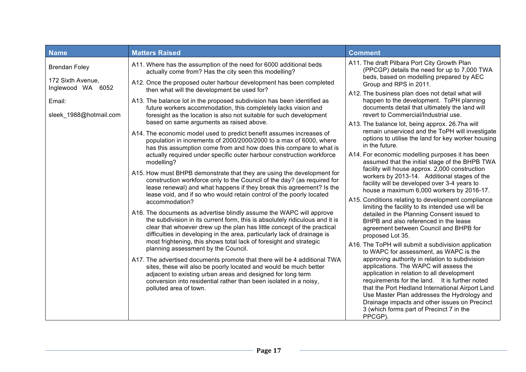| <b>Name</b>                               | <b>Matters Raised</b>                                                                                                                                                                                                                                                                                        | <b>Comment</b>                                                                                                                                                                                                                                                                                                                                                                           |
|-------------------------------------------|--------------------------------------------------------------------------------------------------------------------------------------------------------------------------------------------------------------------------------------------------------------------------------------------------------------|------------------------------------------------------------------------------------------------------------------------------------------------------------------------------------------------------------------------------------------------------------------------------------------------------------------------------------------------------------------------------------------|
| <b>Brendan Foley</b>                      | A11. Where has the assumption of the need for 6000 additional beds<br>actually come from? Has the city seen this modelling?                                                                                                                                                                                  | A11. The draft Pilbara Port City Growth Plan<br>(PPCGP) details the need for up to 7,000 TWA<br>beds, based on modelling prepared by AEC                                                                                                                                                                                                                                                 |
| 172 Sixth Avenue,<br>Inglewood WA<br>6052 | A12. Once the proposed outer harbour development has been completed<br>then what will the development be used for?                                                                                                                                                                                           | Group and RPS in 2011.                                                                                                                                                                                                                                                                                                                                                                   |
| Email:<br>sleek_1988@hotmail.com          | A13. The balance lot in the proposed subdivision has been identified as<br>future workers accommodation, this completely lacks vision and<br>foresight as the location is also not suitable for such development<br>based on same arguments as raised above.                                                 | A12. The business plan does not detail what will<br>happen to the development. ToPH planning<br>documents detail that ultimately the land will<br>revert to Commercial/Industrial use.<br>A13. The balance lot, being approx. 26.7ha will                                                                                                                                                |
|                                           | A14. The economic model used to predict benefit assumes increases of<br>population in increments of 2000/2000/2000 to a max of 6000, where<br>has this assumption come from and how does this compare to what is                                                                                             | remain unserviced and the ToPH will investigate<br>options to utilise the land for key worker housing<br>in the future.                                                                                                                                                                                                                                                                  |
|                                           | actually required under specific outer harbour construction workforce<br>modelling?                                                                                                                                                                                                                          | A14. For economic modelling purposes it has been<br>assumed that the initial stage of the BHPB TWA                                                                                                                                                                                                                                                                                       |
|                                           | A15. How must BHPB demonstrate that they are using the development for<br>construction workforce only to the Council of the day? (as required for<br>lease renewal) and what happens if they break this agreement? Is the<br>lease void, and if so who would retain control of the poorly located            | facility will house approx. 2,000 construction<br>workers by 2013-14. Additional stages of the<br>facility will be developed over 3-4 years to<br>house a maximum 6,000 workers by 2016-17.                                                                                                                                                                                              |
|                                           | accommodation?                                                                                                                                                                                                                                                                                               | A15. Conditions relating to development compliance<br>limiting the facility to its intended use will be                                                                                                                                                                                                                                                                                  |
|                                           | A16. The documents as advertise blindly assume the WAPC will approve<br>the subdivision in its current form, this is absolutely ridiculous and it is<br>clear that whoever drew up the plan has little concept of the practical<br>difficulties in developing in the area, particularly lack of drainage is  | detailed in the Planning Consent issued to<br>BHPB and also referenced in the lease<br>agreement between Council and BHPB for<br>proposed Lot 35.                                                                                                                                                                                                                                        |
|                                           | most frightening, this shows total lack of foresight and strategic<br>planning assessment by the Council.                                                                                                                                                                                                    | A16. The ToPH will submit a subdivision application<br>to WAPC for assessment, as WAPC is the                                                                                                                                                                                                                                                                                            |
|                                           | A17. The advertised documents promote that there will be 4 additional TWA<br>sites, these will also be poorly located and would be much better<br>adjacent to existing urban areas and designed for long term<br>conversion into residential rather than been isolated in a noisy,<br>polluted area of town. | approving authority in relation to subdivision<br>applications. The WAPC will assess the<br>application in relation to all development<br>requirements for the land. It is further noted<br>that the Port Hedland International Airport Land<br>Use Master Plan addresses the Hydrology and<br>Drainage impacts and other issues on Precinct<br>3 (which forms part of Precinct 7 in the |
|                                           |                                                                                                                                                                                                                                                                                                              | PPCGP).                                                                                                                                                                                                                                                                                                                                                                                  |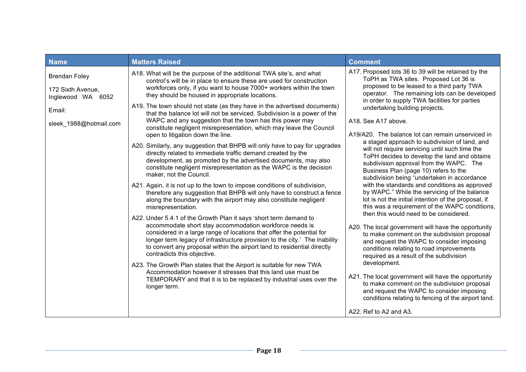| <b>Name</b>                                                                                           | <b>Matters Raised</b>                                                                                                                                                                                                                                                                                                                                                                                                                                                                                                                                                                                                                                                                                                                                                                                                                                                                                                                                                                                                                                                                                                                                                                                                                                                                                                                                                                                                                                                                                                                                                                                                                                                                                                                                                                                      | <b>Comment</b>                                                                                                                                                                                                                                                                                                                                                                                                                                                                                                                                                                                                                                                                                                                                                                                                                                                                                                                                                                                                                                                                                                                                                                                                                                                                                                                                                            |
|-------------------------------------------------------------------------------------------------------|------------------------------------------------------------------------------------------------------------------------------------------------------------------------------------------------------------------------------------------------------------------------------------------------------------------------------------------------------------------------------------------------------------------------------------------------------------------------------------------------------------------------------------------------------------------------------------------------------------------------------------------------------------------------------------------------------------------------------------------------------------------------------------------------------------------------------------------------------------------------------------------------------------------------------------------------------------------------------------------------------------------------------------------------------------------------------------------------------------------------------------------------------------------------------------------------------------------------------------------------------------------------------------------------------------------------------------------------------------------------------------------------------------------------------------------------------------------------------------------------------------------------------------------------------------------------------------------------------------------------------------------------------------------------------------------------------------------------------------------------------------------------------------------------------------|---------------------------------------------------------------------------------------------------------------------------------------------------------------------------------------------------------------------------------------------------------------------------------------------------------------------------------------------------------------------------------------------------------------------------------------------------------------------------------------------------------------------------------------------------------------------------------------------------------------------------------------------------------------------------------------------------------------------------------------------------------------------------------------------------------------------------------------------------------------------------------------------------------------------------------------------------------------------------------------------------------------------------------------------------------------------------------------------------------------------------------------------------------------------------------------------------------------------------------------------------------------------------------------------------------------------------------------------------------------------------|
| <b>Brendan Foley</b><br>172 Sixth Avenue,<br>Inglewood WA<br>6052<br>Email:<br>sleek_1988@hotmail.com | A18. What will be the purpose of the additional TWA site's, and what<br>control's will be in place to ensure these are used for construction<br>workforces only, if you want to house 7000+ workers within the town<br>they should be housed in appropriate locations.<br>A19. The town should not state (as they have in the advertised documents)<br>that the balance lot will not be serviced. Subdivision is a power of the<br>WAPC and any suggestion that the town has this power may<br>constitute negligent misrepresentation, which may leave the Council<br>open to litigation down the line.<br>A20. Similarly, any suggestion that BHPB will only have to pay for upgrades<br>directly related to immediate traffic demand created by the<br>development, as promoted by the advertised documents, may also<br>constitute negligent misrepresentation as the WAPC is the decision<br>maker, not the Council.<br>A21. Again, it is not up to the town to impose conditions of subdivision,<br>therefore any suggestion that BHPB will only have to construct a fence<br>along the boundary with the airport may also constitute negligent<br>misrepresentation.<br>A22. Under 5.4.1 of the Growth Plan it says 'short term demand to<br>accommodate short stay accommodation workforce needs is<br>considered in a large range of locations that offer the potential for<br>longer term legacy of infrastructure provision to the city.' The inability<br>to convert any proposal within the airport land to residential directly<br>contradicts this objective.<br>A23. The Growth Plan states that the Airport is suitable for new TWA<br>Accommodation however it stresses that this land use must be<br>TEMPORARY and that it is to be replaced by industrial uses over the<br>longer term. | A17. Proposed lots 36 to 39 will be retained by the<br>ToPH as TWA sites. Proposed Lot 36 is<br>proposed to be leased to a third party TWA<br>operator. The remaining lots can be developed<br>in order to supply TWA facilities for parties<br>undertaking building projects.<br>A18. See A17 above.<br>A19/A20. The balance lot can remain unserviced in<br>a staged approach to subdivision of land, and<br>will not require servicing until such time the<br>ToPH decides to develop the land and obtains<br>subdivision approval from the WAPC. The<br>Business Plan (page 10) refers to the<br>subdivision being "undertaken in accordance<br>with the standards and conditions as approved<br>by WAPC." While the servicing of the balance<br>lot is not the initial intention of the proposal, if<br>this was a requirement of the WAPC conditions,<br>then this would need to be considered.<br>A20. The local government will have the opportunity<br>to make comment on the subdivision proposal<br>and request the WAPC to consider imposing<br>conditions relating to road improvements<br>required as a result of the subdivision<br>development.<br>A21. The local government will have the opportunity<br>to make comment on the subdivision proposal<br>and request the WAPC to consider imposing<br>conditions relating to fencing of the airport land. |
|                                                                                                       |                                                                                                                                                                                                                                                                                                                                                                                                                                                                                                                                                                                                                                                                                                                                                                                                                                                                                                                                                                                                                                                                                                                                                                                                                                                                                                                                                                                                                                                                                                                                                                                                                                                                                                                                                                                                            | A22. Ref to A2 and A3.                                                                                                                                                                                                                                                                                                                                                                                                                                                                                                                                                                                                                                                                                                                                                                                                                                                                                                                                                                                                                                                                                                                                                                                                                                                                                                                                                    |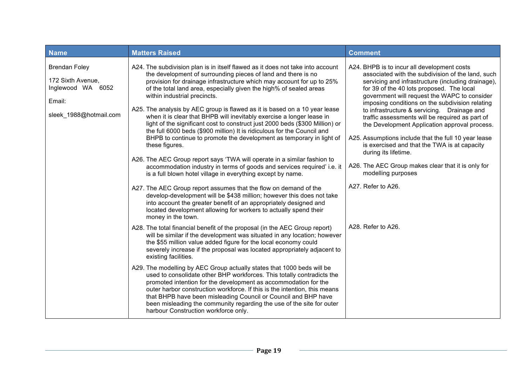| <b>Name</b>                                                                                           | <b>Matters Raised</b>                                                                                                                                                                                                                                                                                                                                                                                                                                                                                                                                                                                                                                                                                                                                                                                                                                                                                                                                                                                                                                                                                                                                                                                                                                                                                                                                                                                                                                                                                                                                                                                                                                                                                                                                                                                                                                                                                                                                                                                                                                                                               | <b>Comment</b>                                                                                                                                                                                                                                                                                                                                                                                                                                                                                                                                                                                                                                                                                                    |
|-------------------------------------------------------------------------------------------------------|-----------------------------------------------------------------------------------------------------------------------------------------------------------------------------------------------------------------------------------------------------------------------------------------------------------------------------------------------------------------------------------------------------------------------------------------------------------------------------------------------------------------------------------------------------------------------------------------------------------------------------------------------------------------------------------------------------------------------------------------------------------------------------------------------------------------------------------------------------------------------------------------------------------------------------------------------------------------------------------------------------------------------------------------------------------------------------------------------------------------------------------------------------------------------------------------------------------------------------------------------------------------------------------------------------------------------------------------------------------------------------------------------------------------------------------------------------------------------------------------------------------------------------------------------------------------------------------------------------------------------------------------------------------------------------------------------------------------------------------------------------------------------------------------------------------------------------------------------------------------------------------------------------------------------------------------------------------------------------------------------------------------------------------------------------------------------------------------------------|-------------------------------------------------------------------------------------------------------------------------------------------------------------------------------------------------------------------------------------------------------------------------------------------------------------------------------------------------------------------------------------------------------------------------------------------------------------------------------------------------------------------------------------------------------------------------------------------------------------------------------------------------------------------------------------------------------------------|
| <b>Brendan Foley</b><br>172 Sixth Avenue,<br>Inglewood WA<br>6052<br>Email:<br>sleek_1988@hotmail.com | A24. The subdivision plan is in itself flawed as it does not take into account<br>the development of surrounding pieces of land and there is no<br>provision for drainage infrastructure which may account for up to 25%<br>of the total land area, especially given the high% of sealed areas<br>within industrial precincts.<br>A25. The analysis by AEC group is flawed as it is based on a 10 year lease<br>when it is clear that BHPB will inevitably exercise a longer lease in<br>light of the significant cost to construct just 2000 beds (\$300 Million) or<br>the full 6000 beds (\$900 million) It is ridiculous for the Council and<br>BHPB to continue to promote the development as temporary in light of<br>these figures.<br>A26. The AEC Group report says 'TWA will operate in a similar fashion to<br>accommodation industry in terms of goods and services required' i.e. it<br>is a full blown hotel village in everything except by name.<br>A27. The AEC Group report assumes that the flow on demand of the<br>develop-development will be \$438 million; however this does not take<br>into account the greater benefit of an appropriately designed and<br>located development allowing for workers to actually spend their<br>money in the town.<br>A28. The total financial benefit of the proposal (in the AEC Group report)<br>will be similar if the development was situated in any location; however<br>the \$55 million value added figure for the local economy could<br>severely increase if the proposal was located appropriately adjacent to<br>existing facilities.<br>A29. The modelling by AEC Group actually states that 1000 beds will be<br>used to consolidate other BHP workforces. This totally contradicts the<br>promoted intention for the development as accommodation for the<br>outer harbor construction workforce. If this is the intention, this means<br>that BHPB have been misleading Council or Council and BHP have<br>been misleading the community regarding the use of the site for outer<br>harbour Construction workforce only. | A24. BHPB is to incur all development costs<br>associated with the subdivision of the land, such<br>servicing and infrastructure (including drainage),<br>for 39 of the 40 lots proposed. The local<br>government will request the WAPC to consider<br>imposing conditions on the subdivision relating<br>to infrastructure & servicing. Drainage and<br>traffic assessments will be required as part of<br>the Development Application approval process.<br>A25. Assumptions include that the full 10 year lease<br>is exercised and that the TWA is at capacity<br>during its lifetime.<br>A26. The AEC Group makes clear that it is only for<br>modelling purposes<br>A27. Refer to A26.<br>A28. Refer to A26. |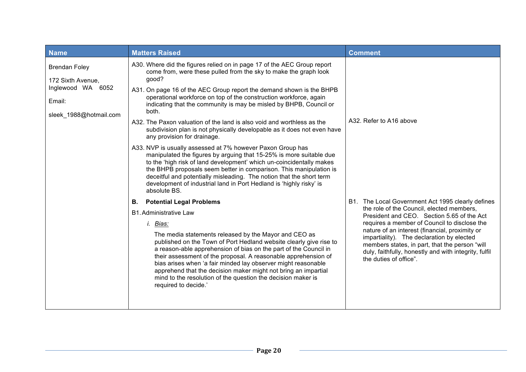| <b>Name</b>                                                                                        | <b>Matters Raised</b>                                                                                                                                                                                                                                                                                                                                                                                                                                                                        | <b>Comment</b>                                                                                                                                                                                                                   |
|----------------------------------------------------------------------------------------------------|----------------------------------------------------------------------------------------------------------------------------------------------------------------------------------------------------------------------------------------------------------------------------------------------------------------------------------------------------------------------------------------------------------------------------------------------------------------------------------------------|----------------------------------------------------------------------------------------------------------------------------------------------------------------------------------------------------------------------------------|
| <b>Brendan Foley</b><br>172 Sixth Avenue,<br>Inglewood WA 6052<br>Email:<br>sleek_1988@hotmail.com | A30. Where did the figures relied on in page 17 of the AEC Group report<br>come from, were these pulled from the sky to make the graph look<br>good?<br>A31. On page 16 of the AEC Group report the demand shown is the BHPB<br>operational workforce on top of the construction workforce, again<br>indicating that the community is may be misled by BHPB, Council or<br>both.<br>A32. The Paxon valuation of the land is also void and worthless as the                                   | A32. Refer to A16 above                                                                                                                                                                                                          |
|                                                                                                    | subdivision plan is not physically developable as it does not even have<br>any provision for drainage.                                                                                                                                                                                                                                                                                                                                                                                       |                                                                                                                                                                                                                                  |
|                                                                                                    | A33. NVP is usually assessed at 7% however Paxon Group has<br>manipulated the figures by arguing that 15-25% is more suitable due<br>to the 'high risk of land development' which un-coincidentally makes<br>the BHPB proposals seem better in comparison. This manipulation is<br>deceitful and potentially misleading. The notion that the short term<br>development of industrial land in Port Hedland is 'highly risky' is<br>absolute BS.                                               |                                                                                                                                                                                                                                  |
|                                                                                                    | <b>Potential Legal Problems</b><br>В.                                                                                                                                                                                                                                                                                                                                                                                                                                                        | B1. The Local Government Act 1995 clearly defines<br>the role of the Council, elected members,<br>President and CEO. Section 5.65 of the Act                                                                                     |
|                                                                                                    | <b>B1.</b> Administrative Law                                                                                                                                                                                                                                                                                                                                                                                                                                                                |                                                                                                                                                                                                                                  |
|                                                                                                    | i. Bias:                                                                                                                                                                                                                                                                                                                                                                                                                                                                                     | requires a member of Council to disclose the                                                                                                                                                                                     |
|                                                                                                    | The media statements released by the Mayor and CEO as<br>published on the Town of Port Hedland website clearly give rise to<br>a reason-able apprehension of bias on the part of the Council in<br>their assessment of the proposal. A reasonable apprehension of<br>bias arises when 'a fair minded lay observer might reasonable<br>apprehend that the decision maker might not bring an impartial<br>mind to the resolution of the question the decision maker is<br>required to decide.' | nature of an interest (financial, proximity or<br>impartiality). The declaration by elected<br>members states, in part, that the person "will<br>duly, faithfully, honestly and with integrity, fulfil<br>the duties of office". |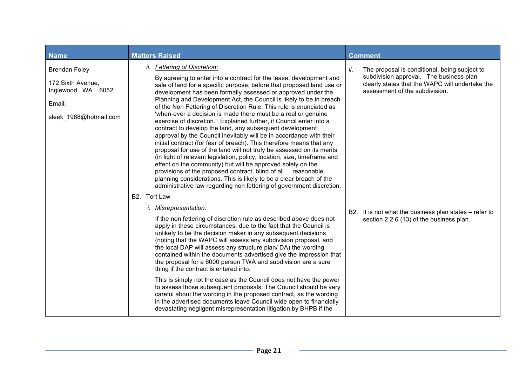| <b>Name</b>                                                                                        | <b>Matters Raised</b>                                                                                                                                                                                                                                                                                                                                                                                                                                                                                                                                                                                                                                                                                                                                                                                                                                                                                                                                                                                                                                                                                                                                                                            | <b>Comment</b>                                                                                                                                                                       |
|----------------------------------------------------------------------------------------------------|--------------------------------------------------------------------------------------------------------------------------------------------------------------------------------------------------------------------------------------------------------------------------------------------------------------------------------------------------------------------------------------------------------------------------------------------------------------------------------------------------------------------------------------------------------------------------------------------------------------------------------------------------------------------------------------------------------------------------------------------------------------------------------------------------------------------------------------------------------------------------------------------------------------------------------------------------------------------------------------------------------------------------------------------------------------------------------------------------------------------------------------------------------------------------------------------------|--------------------------------------------------------------------------------------------------------------------------------------------------------------------------------------|
| <b>Brendan Foley</b><br>172 Sixth Avenue,<br>Inglewood WA 6052<br>Email:<br>sleek_1988@hotmail.com | ii. Fettering of Discretion:<br>By agreeing to enter into a contract for the lease, development and<br>sale of land for a specific purpose, before that proposed land use or<br>development has been formally assessed or approved under the<br>Planning and Development Act, the Council is likely to be in breach<br>of the Non Fettering of Discretion Rule. This rule is enunciated as<br>'when-ever a decision is made there must be a real or genuine<br>exercise of discretion.' Explained further, if Council enter into a<br>contract to develop the land, any subsequent development<br>approval by the Council inevitably will be in accordance with their<br>initial contract (for fear of breach). This therefore means that any<br>proposal for use of the land will not truly be assessed on its merits<br>(in light of relevant legislation, policy, location, size, timeframe and<br>effect on the community) but will be approved solely on the<br>provisions of the proposed contract, blind of all reasonable<br>planning considerations. This is likely to be a clear breach of the<br>administrative law regarding non fettering of government discretion.<br>B2. Tort Law | The proposal is conditional, being subject to<br>ii.<br>subdivision approval. The business plan<br>clearly states that the WAPC will undertake the<br>assessment of the subdivision. |
|                                                                                                    | <i>i.</i> Misrepresentation.<br>If the non fettering of discretion rule as described above does not<br>apply in these circumstances, due to the fact that the Council is<br>unlikely to be the decision maker in any subsequent decisions<br>(noting that the WAPC will assess any subdivision proposal, and<br>the local DAP will assess any structure plan/DA) the wording<br>contained within the documents advertised give the impression that<br>the proposal for a 6000 person TWA and subdivision are a sure<br>thing if the contract is entered into.<br>This is simply not the case as the Council does not have the power<br>to assess those subsequent proposals. The Council should be very<br>careful about the wording in the proposed contract, as the wording<br>in the advertised documents leave Council wide open to financially<br>devastating negligent misrepresentation litigation by BHPB if the                                                                                                                                                                                                                                                                         | B2. It is not what the business plan states – refer to<br>section 2.2.6 (13) of the business plan.                                                                                   |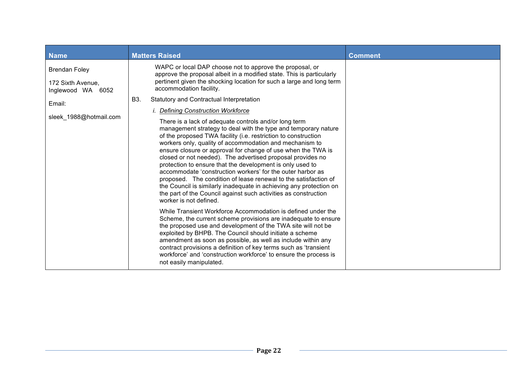| <b>Name</b>                                                    | <b>Matters Raised</b>                                                                                                                                                                                                                                                                                                                                                                                                                                                                                                                                                                                                                                                                                                                                                                                                                                            | <b>Comment</b> |
|----------------------------------------------------------------|------------------------------------------------------------------------------------------------------------------------------------------------------------------------------------------------------------------------------------------------------------------------------------------------------------------------------------------------------------------------------------------------------------------------------------------------------------------------------------------------------------------------------------------------------------------------------------------------------------------------------------------------------------------------------------------------------------------------------------------------------------------------------------------------------------------------------------------------------------------|----------------|
| <b>Brendan Foley</b><br>172 Sixth Avenue,<br>Inglewood WA 6052 | WAPC or local DAP choose not to approve the proposal, or<br>approve the proposal albeit in a modified state. This is particularly<br>pertinent given the shocking location for such a large and long term<br>accommodation facility.                                                                                                                                                                                                                                                                                                                                                                                                                                                                                                                                                                                                                             |                |
| Email:                                                         | Statutory and Contractual Interpretation<br>B3.                                                                                                                                                                                                                                                                                                                                                                                                                                                                                                                                                                                                                                                                                                                                                                                                                  |                |
| sleek 1988@hotmail.com                                         | <i>i.</i> Defining Construction Workforce<br>There is a lack of adequate controls and/or long term<br>management strategy to deal with the type and temporary nature<br>of the proposed TWA facility (i.e. restriction to construction<br>workers only, quality of accommodation and mechanism to<br>ensure closure or approval for change of use when the TWA is<br>closed or not needed). The advertised proposal provides no<br>protection to ensure that the development is only used to<br>accommodate 'construction workers' for the outer harbor as<br>proposed. The condition of lease renewal to the satisfaction of<br>the Council is similarly inadequate in achieving any protection on<br>the part of the Council against such activities as construction<br>worker is not defined.<br>While Transient Workforce Accommodation is defined under the |                |
|                                                                | Scheme, the current scheme provisions are inadequate to ensure<br>the proposed use and development of the TWA site will not be<br>exploited by BHPB. The Council should initiate a scheme<br>amendment as soon as possible, as well as include within any<br>contract provisions a definition of key terms such as 'transient<br>workforce' and 'construction workforce' to ensure the process is<br>not easily manipulated.                                                                                                                                                                                                                                                                                                                                                                                                                                     |                |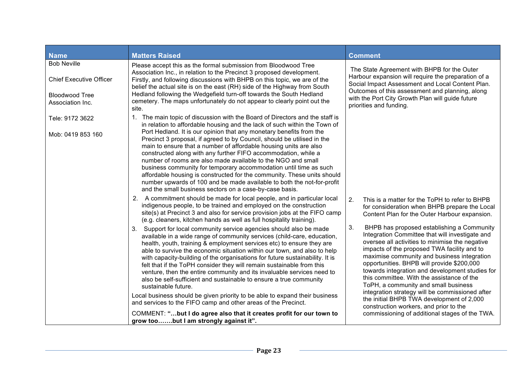| <b>Name</b>                                          | <b>Matters Raised</b>                                                                                                                                                                                                                                                                                                                                                                                                                                                                                                                                                                                                                                                                                                                                                                   | <b>Comment</b>                                                                                                                                                                                                                                                                                                                                                                                                                                                                                                                              |
|------------------------------------------------------|-----------------------------------------------------------------------------------------------------------------------------------------------------------------------------------------------------------------------------------------------------------------------------------------------------------------------------------------------------------------------------------------------------------------------------------------------------------------------------------------------------------------------------------------------------------------------------------------------------------------------------------------------------------------------------------------------------------------------------------------------------------------------------------------|---------------------------------------------------------------------------------------------------------------------------------------------------------------------------------------------------------------------------------------------------------------------------------------------------------------------------------------------------------------------------------------------------------------------------------------------------------------------------------------------------------------------------------------------|
| <b>Bob Neville</b><br><b>Chief Executive Officer</b> | Please accept this as the formal submission from Bloodwood Tree<br>Association Inc., in relation to the Precinct 3 proposed development.<br>Firstly, and following discussions with BHPB on this topic, we are of the                                                                                                                                                                                                                                                                                                                                                                                                                                                                                                                                                                   | The State Agreement with BHPB for the Outer<br>Harbour expansion will require the preparation of a<br>Social Impact Assessment and Local Content Plan.                                                                                                                                                                                                                                                                                                                                                                                      |
| <b>Bloodwood Tree</b><br>Association Inc.            | belief the actual site is on the east (RH) side of the Highway from South<br>Hedland following the Wedgefield turn-off towards the South Hedland<br>cemetery. The maps unfortunately do not appear to clearly point out the<br>site.                                                                                                                                                                                                                                                                                                                                                                                                                                                                                                                                                    | Outcomes of this assessment and planning, along<br>with the Port City Growth Plan will guide future<br>priorities and funding.                                                                                                                                                                                                                                                                                                                                                                                                              |
| Tele: 9172 3622                                      | 1. The main topic of discussion with the Board of Directors and the staff is<br>in relation to affordable housing and the lack of such within the Town of<br>Port Hedland. It is our opinion that any monetary benefits from the                                                                                                                                                                                                                                                                                                                                                                                                                                                                                                                                                        |                                                                                                                                                                                                                                                                                                                                                                                                                                                                                                                                             |
| Mob: 0419 853 160                                    | Precinct 3 proposal, if agreed to by Council, should be utilised in the<br>main to ensure that a number of affordable housing units are also<br>constructed along with any further FIFO accommodation, while a<br>number of rooms are also made available to the NGO and small<br>business community for temporary accommodation until time as such<br>affordable housing is constructed for the community. These units should<br>number upwards of 100 and be made available to both the not-for-profit<br>and the small business sectors on a case-by-case basis.                                                                                                                                                                                                                     |                                                                                                                                                                                                                                                                                                                                                                                                                                                                                                                                             |
|                                                      | 2. A commitment should be made for local people, and in particular local<br>indigenous people, to be trained and employed on the construction<br>site(s) at Precinct 3 and also for service provision jobs at the FIFO camp<br>(e.g. cleaners, kitchen hands as well as full hospitality training).                                                                                                                                                                                                                                                                                                                                                                                                                                                                                     | 2.<br>This is a matter for the ToPH to refer to BHPB<br>for consideration when BHPB prepare the Local<br>Content Plan for the Outer Harbour expansion.                                                                                                                                                                                                                                                                                                                                                                                      |
|                                                      | Support for local community service agencies should also be made<br>3.<br>available in a wide range of community services (child-care, education,<br>health, youth, training & employment services etc) to ensure they are<br>able to survive the economic situation within our town, and also to help<br>with capacity-building of the organisations for future sustainability. It is<br>felt that if the ToPH consider they will remain sustainable from this<br>venture, then the entire community and its invaluable services need to<br>also be self-sufficient and sustainable to ensure a true community<br>sustainable future.<br>Local business should be given priority to be able to expand their business<br>and services to the FIFO camp and other areas of the Precinct. | 3.<br>BHPB has proposed establishing a Community<br>Integration Committee that will investigate and<br>oversee all activities to minimise the negative<br>impacts of the proposed TWA facility and to<br>maximise community and business integration<br>opportunities. BHPB will provide \$200,000<br>towards integration and development studies for<br>this committee. With the assistance of the<br>ToPH, a community and small business<br>integration strategy will be commissioned after<br>the initial BHPB TWA development of 2,000 |
|                                                      | COMMENT: "but I do agree also that it creates profit for our town to<br>grow toobut I am strongly against it".                                                                                                                                                                                                                                                                                                                                                                                                                                                                                                                                                                                                                                                                          | construction workers, and prior to the<br>commissioning of additional stages of the TWA.                                                                                                                                                                                                                                                                                                                                                                                                                                                    |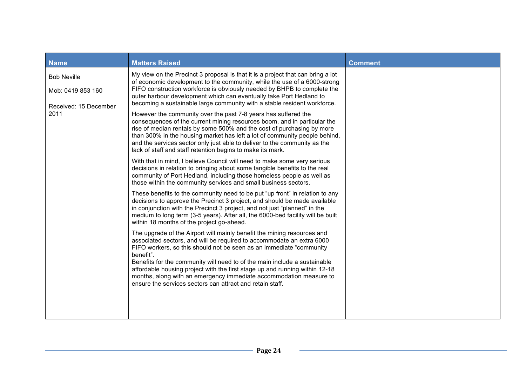| <b>Name</b>                                                      | <b>Matters Raised</b>                                                                                                                                                                                                                                                                                                                                                                                                                                                                                                                | <b>Comment</b> |
|------------------------------------------------------------------|--------------------------------------------------------------------------------------------------------------------------------------------------------------------------------------------------------------------------------------------------------------------------------------------------------------------------------------------------------------------------------------------------------------------------------------------------------------------------------------------------------------------------------------|----------------|
| <b>Bob Neville</b><br>Mob: 0419 853 160<br>Received: 15 December | My view on the Precinct 3 proposal is that it is a project that can bring a lot<br>of economic development to the community, while the use of a 6000-strong<br>FIFO construction workforce is obviously needed by BHPB to complete the<br>outer harbour development which can eventually take Port Hedland to<br>becoming a sustainable large community with a stable resident workforce.                                                                                                                                            |                |
| 2011                                                             | However the community over the past 7-8 years has suffered the<br>consequences of the current mining resources boom, and in particular the<br>rise of median rentals by some 500% and the cost of purchasing by more<br>than 300% in the housing market has left a lot of community people behind,<br>and the services sector only just able to deliver to the community as the<br>lack of staff and staff retention begins to make its mark.                                                                                        |                |
|                                                                  | With that in mind, I believe Council will need to make some very serious<br>decisions in relation to bringing about some tangible benefits to the real<br>community of Port Hedland, including those homeless people as well as<br>those within the community services and small business sectors.                                                                                                                                                                                                                                   |                |
|                                                                  | These benefits to the community need to be put "up front" in relation to any<br>decisions to approve the Precinct 3 project, and should be made available<br>in conjunction with the Precinct 3 project, and not just "planned" in the<br>medium to long term (3-5 years). After all, the 6000-bed facility will be built<br>within 18 months of the project go-ahead.                                                                                                                                                               |                |
|                                                                  | The upgrade of the Airport will mainly benefit the mining resources and<br>associated sectors, and will be required to accommodate an extra 6000<br>FIFO workers, so this should not be seen as an immediate "community"<br>benefit".<br>Benefits for the community will need to of the main include a sustainable<br>affordable housing project with the first stage up and running within 12-18<br>months, along with an emergency immediate accommodation measure to<br>ensure the services sectors can attract and retain staff. |                |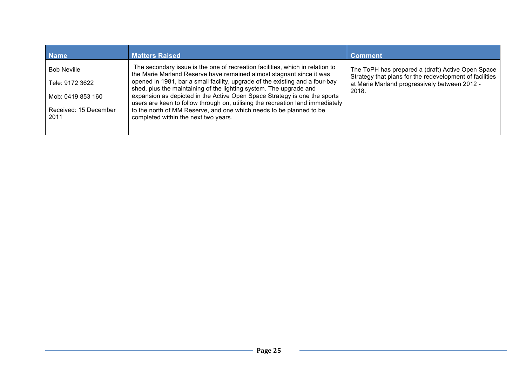| <b>Matters Raised</b>                                                                                                                                 | <b>Comment</b>                                                                                                         |
|-------------------------------------------------------------------------------------------------------------------------------------------------------|------------------------------------------------------------------------------------------------------------------------|
| The secondary issue is the one of recreation facilities, which in relation to<br>the Marie Marland Reserve have remained almost stagnant since it was | The ToPH has prepared a (draft) Active Open Space<br>Strategy that plans for the redevelopment of facilities           |
| opened in 1981, bar a small facility, upgrade of the existing and a four-bay<br>shed, plus the maintaining of the lighting system. The upgrade and    | at Marie Marland progressively between 2012 -<br>2018.                                                                 |
| expansion as depicted in the Active Open Space Strategy is one the sports                                                                             |                                                                                                                        |
| to the north of MM Reserve, and one which needs to be planned to be                                                                                   |                                                                                                                        |
|                                                                                                                                                       |                                                                                                                        |
|                                                                                                                                                       | users are keen to follow through on, utilising the recreation land immediately<br>completed within the next two years. |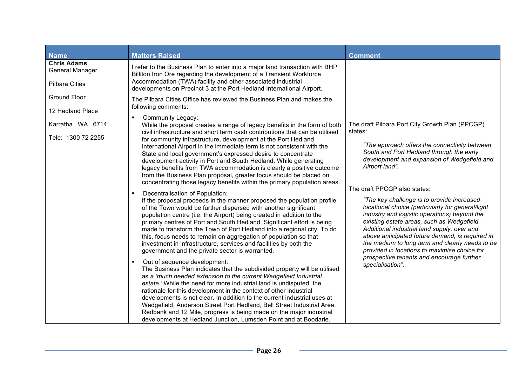| <b>Name</b>                                                    | <b>Matters Raised</b>                                                                                                                                                                                                                                                                                                                                                                                                                                                                                                                                                                                                                                                                         | <b>Comment</b>                                                                                                                                                                                                                                                                                                                                                                                                                     |
|----------------------------------------------------------------|-----------------------------------------------------------------------------------------------------------------------------------------------------------------------------------------------------------------------------------------------------------------------------------------------------------------------------------------------------------------------------------------------------------------------------------------------------------------------------------------------------------------------------------------------------------------------------------------------------------------------------------------------------------------------------------------------|------------------------------------------------------------------------------------------------------------------------------------------------------------------------------------------------------------------------------------------------------------------------------------------------------------------------------------------------------------------------------------------------------------------------------------|
| <b>Chris Adams</b><br>General Manager<br><b>Pilbara Cities</b> | I refer to the Business Plan to enter into a major land transaction with BHP<br>Billiton Iron Ore regarding the development of a Transient Workforce<br>Accommodation (TWA) facility and other associated industrial<br>developments on Precinct 3 at the Port Hedland International Airport.                                                                                                                                                                                                                                                                                                                                                                                                 |                                                                                                                                                                                                                                                                                                                                                                                                                                    |
| <b>Ground Floor</b><br>12 Hedland Place                        | The Pilbara Cities Office has reviewed the Business Plan and makes the<br>following comments:                                                                                                                                                                                                                                                                                                                                                                                                                                                                                                                                                                                                 |                                                                                                                                                                                                                                                                                                                                                                                                                                    |
| Karratha WA 6714<br>Tele: 1300 72 2255                         | <b>Community Legacy:</b><br>While the proposal creates a range of legacy benefits in the form of both<br>civil infrastructure and short term cash contributions that can be utilised<br>for community infrastructure, development at the Port Hedland<br>International Airport in the immediate term is not consistent with the<br>State and local government's expressed desire to concentrate<br>development activity in Port and South Hedland. While generating<br>legacy benefits from TWA accommodation is clearly a positive outcome<br>from the Business Plan proposal, greater focus should be placed on<br>concentrating those legacy benefits within the primary population areas. | The draft Pilbara Port City Growth Plan (PPCGP)<br>states:<br>"The approach offers the connectivity between"<br>South and Port Hedland through the early<br>development and expansion of Wedgefield and<br>Airport land".                                                                                                                                                                                                          |
|                                                                | Decentralisation of Population:<br>٠<br>If the proposal proceeds in the manner proposed the population profile<br>of the Town would be further dispersed with another significant<br>population centre (i.e. the Airport) being created in addition to the<br>primary centres of Port and South Hedland. Significant effort is being<br>made to transform the Town of Port Hedland into a regional city. To do<br>this, focus needs to remain on aggregation of population so that<br>investment in infrastructure, services and facilities by both the<br>government and the private sector is warranted.                                                                                    | The draft PPCGP also states:<br>"The key challenge is to provide increased<br>locational choice (particularly for general/light<br>industry and logistic operations) beyond the<br>existing estate areas, such as Wedgefield.<br>Additional industrial land supply, over and<br>above anticipated future demand, is required in<br>the medium to long term and clearly needs to be<br>provided in locations to maximise choice for |
|                                                                | Out of sequence development:<br>٠<br>The Business Plan indicates that the subdivided property will be utilised<br>as a 'much needed extension to the current Wedgefield Industrial<br>estate.' While the need for more industrial land is undisputed, the<br>rationale for this development in the context of other industrial<br>developments is not clear. In addition to the current industrial uses at<br>Wedgefield, Anderson Street Port Hedland, Bell Street Industrial Area,<br>Redbank and 12 Mile, progress is being made on the major industrial<br>developments at Hedland Junction, Lumsden Point and at Boodarie.                                                               | prospective tenants and encourage further<br>specialisation".                                                                                                                                                                                                                                                                                                                                                                      |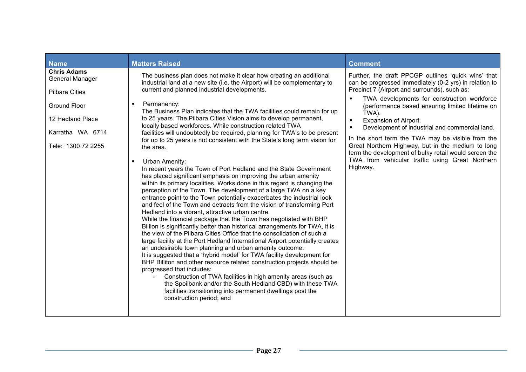| <b>Name</b>                                                                                                                                         | <b>Matters Raised</b>                                                                                                                                                                                                                                                                                                                                                                                                                                                                                                                                                                                                                                                                                                                                                                                                                                                                                                                                                                                                                                                                                                                                                                                                                                                                                                                                                                                                                                                                                                                                                                                                                                                                                                                                                                                                                                                                                                                              | <b>Comment</b>                                                                                                                                                                                                                                                                                                                                                                                                                                                                                                                                                                                          |
|-----------------------------------------------------------------------------------------------------------------------------------------------------|----------------------------------------------------------------------------------------------------------------------------------------------------------------------------------------------------------------------------------------------------------------------------------------------------------------------------------------------------------------------------------------------------------------------------------------------------------------------------------------------------------------------------------------------------------------------------------------------------------------------------------------------------------------------------------------------------------------------------------------------------------------------------------------------------------------------------------------------------------------------------------------------------------------------------------------------------------------------------------------------------------------------------------------------------------------------------------------------------------------------------------------------------------------------------------------------------------------------------------------------------------------------------------------------------------------------------------------------------------------------------------------------------------------------------------------------------------------------------------------------------------------------------------------------------------------------------------------------------------------------------------------------------------------------------------------------------------------------------------------------------------------------------------------------------------------------------------------------------------------------------------------------------------------------------------------------------|---------------------------------------------------------------------------------------------------------------------------------------------------------------------------------------------------------------------------------------------------------------------------------------------------------------------------------------------------------------------------------------------------------------------------------------------------------------------------------------------------------------------------------------------------------------------------------------------------------|
| <b>Chris Adams</b><br>General Manager<br><b>Pilbara Cities</b><br><b>Ground Floor</b><br>12 Hedland Place<br>Karratha WA 6714<br>Tele: 1300 72 2255 | The business plan does not make it clear how creating an additional<br>industrial land at a new site (i.e. the Airport) will be complementary to<br>current and planned industrial developments.<br>Permanency:<br>$\blacksquare$<br>The Business Plan indicates that the TWA facilities could remain for up<br>to 25 years. The Pilbara Cities Vision aims to develop permanent,<br>locally based workforces. While construction related TWA<br>facilities will undoubtedly be required, planning for TWA's to be present<br>for up to 25 years is not consistent with the State's long term vision for<br>the area.<br><b>Urban Amenity:</b><br>$\blacksquare$<br>In recent years the Town of Port Hedland and the State Government<br>has placed significant emphasis on improving the urban amenity<br>within its primary localities. Works done in this regard is changing the<br>perception of the Town. The development of a large TWA on a key<br>entrance point to the Town potentially exacerbates the industrial look<br>and feel of the Town and detracts from the vision of transforming Port<br>Hedland into a vibrant, attractive urban centre.<br>While the financial package that the Town has negotiated with BHP<br>Billion is significantly better than historical arrangements for TWA, it is<br>the view of the Pilbara Cities Office that the consolidation of such a<br>large facility at the Port Hedland International Airport potentially creates<br>an undesirable town planning and urban amenity outcome.<br>It is suggested that a 'hybrid model' for TWA facility development for<br>BHP Billiton and other resource related construction projects should be<br>progressed that includes:<br>Construction of TWA facilities in high amenity areas (such as<br>the Spoilbank and/or the South Hedland CBD) with these TWA<br>facilities transitioning into permanent dwellings post the<br>construction period; and | Further, the draft PPCGP outlines 'quick wins' that<br>can be progressed immediately (0-2 yrs) in relation to<br>Precinct 7 (Airport and surrounds), such as:<br>TWA developments for construction workforce<br>(performance based ensuring limited lifetime on<br>TWA).<br>Expansion of Airport.<br>$\blacksquare$<br>Development of industrial and commercial land.<br>In the short term the TWA may be visible from the<br>Great Northern Highway, but in the medium to long<br>term the development of bulky retail would screen the<br>TWA from vehicular traffic using Great Northern<br>Highway. |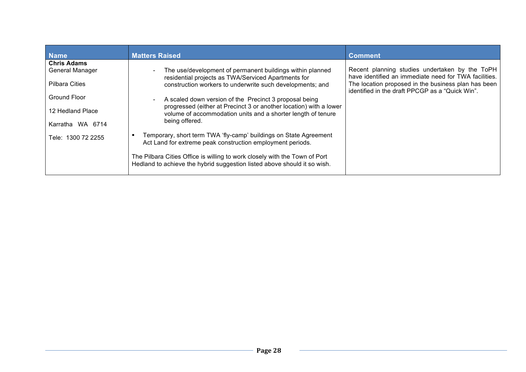| <b>Name</b>            | <b>Matters Raised</b>                                                                                                                                  | <b>Comment</b>                                                                                          |
|------------------------|--------------------------------------------------------------------------------------------------------------------------------------------------------|---------------------------------------------------------------------------------------------------------|
| <b>Chris Adams</b>     |                                                                                                                                                        |                                                                                                         |
| <b>General Manager</b> | The use/development of permanent buildings within planned                                                                                              | Recent planning studies undertaken by the ToPH<br>have identified an immediate need for TWA facilities. |
| <b>Pilbara Cities</b>  | residential projects as TWA/Serviced Apartments for<br>construction workers to underwrite such developments; and                                       | The location proposed in the business plan has been<br>identified in the draft PPCGP as a "Quick Win".  |
| Ground Floor           | A scaled down version of the Precinct 3 proposal being                                                                                                 |                                                                                                         |
| 12 Hedland Place       | progressed (either at Precinct 3 or another location) with a lower<br>volume of accommodation units and a shorter length of tenure                     |                                                                                                         |
| Karratha WA 6714       | being offered.                                                                                                                                         |                                                                                                         |
| Tele: 1300 72 2255     | Temporary, short term TWA 'fly-camp' buildings on State Agreement<br>Act Land for extreme peak construction employment periods.                        |                                                                                                         |
|                        | The Pilbara Cities Office is willing to work closely with the Town of Port<br>Hedland to achieve the hybrid suggestion listed above should it so wish. |                                                                                                         |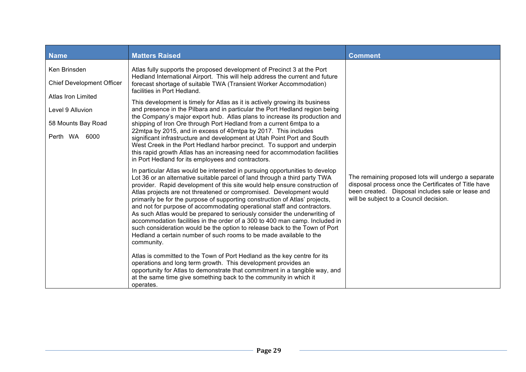| <b>Name</b>                                                                                                                       | <b>Matters Raised</b>                                                                                                                                                                                                                                                                                                                                                                                                                                                                                                                                                                                                                                                                                                                                                                                                                                                                                                                                                                                                                                                                                                 | <b>Comment</b>                                                                                                                                                                                             |  |  |
|-----------------------------------------------------------------------------------------------------------------------------------|-----------------------------------------------------------------------------------------------------------------------------------------------------------------------------------------------------------------------------------------------------------------------------------------------------------------------------------------------------------------------------------------------------------------------------------------------------------------------------------------------------------------------------------------------------------------------------------------------------------------------------------------------------------------------------------------------------------------------------------------------------------------------------------------------------------------------------------------------------------------------------------------------------------------------------------------------------------------------------------------------------------------------------------------------------------------------------------------------------------------------|------------------------------------------------------------------------------------------------------------------------------------------------------------------------------------------------------------|--|--|
| Ken Brinsden<br><b>Chief Development Officer</b><br>Atlas Iron Limited<br>Level 9 Alluvion<br>58 Mounts Bay Road<br>Perth WA 6000 | Atlas fully supports the proposed development of Precinct 3 at the Port<br>Hedland International Airport. This will help address the current and future<br>forecast shortage of suitable TWA (Transient Worker Accommodation)<br>facilities in Port Hedland.<br>This development is timely for Atlas as it is actively growing its business<br>and presence in the Pilbara and in particular the Port Hedland region being<br>the Company's major export hub. Atlas plans to increase its production and<br>shipping of Iron Ore through Port Hedland from a current 6mtpa to a<br>22mtpa by 2015, and in excess of 40mtpa by 2017. This includes<br>significant infrastructure and development at Utah Point Port and South<br>West Creek in the Port Hedland harbor precinct. To support and underpin<br>this rapid growth Atlas has an increasing need for accommodation facilities<br>in Port Hedland for its employees and contractors.                                                                                                                                                                          |                                                                                                                                                                                                            |  |  |
|                                                                                                                                   | In particular Atlas would be interested in pursuing opportunities to develop<br>Lot 36 or an alternative suitable parcel of land through a third party TWA<br>provider. Rapid development of this site would help ensure construction of<br>Atlas projects are not threatened or compromised. Development would<br>primarily be for the purpose of supporting construction of Atlas' projects,<br>and not for purpose of accommodating operational staff and contractors.<br>As such Atlas would be prepared to seriously consider the underwriting of<br>accommodation facilities in the order of a 300 to 400 man camp. Included in<br>such consideration would be the option to release back to the Town of Port<br>Hedland a certain number of such rooms to be made available to the<br>community.<br>Atlas is committed to the Town of Port Hedland as the key centre for its<br>operations and long term growth. This development provides an<br>opportunity for Atlas to demonstrate that commitment in a tangible way, and<br>at the same time give something back to the community in which it<br>operates. | The remaining proposed lots will undergo a separate<br>disposal process once the Certificates of Title have<br>been created. Disposal includes sale or lease and<br>will be subject to a Council decision. |  |  |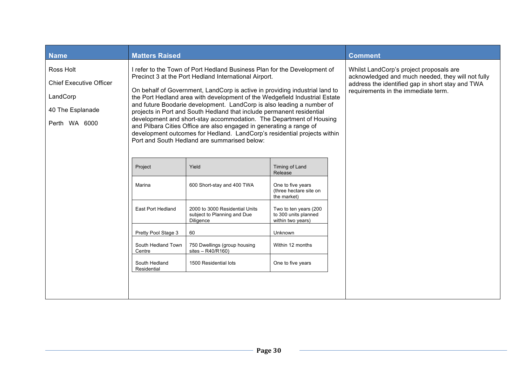| <b>Name</b>                                                                                  | <b>Matters Raised</b>        |                                                                                                                                                                                                                                                                                                                                                                                                                                                                                                                                                                                                                                                                                                                            | <b>Comment</b>                                                                                                                                                                          |  |
|----------------------------------------------------------------------------------------------|------------------------------|----------------------------------------------------------------------------------------------------------------------------------------------------------------------------------------------------------------------------------------------------------------------------------------------------------------------------------------------------------------------------------------------------------------------------------------------------------------------------------------------------------------------------------------------------------------------------------------------------------------------------------------------------------------------------------------------------------------------------|-----------------------------------------------------------------------------------------------------------------------------------------------------------------------------------------|--|
| Ross Holt<br><b>Chief Executive Officer</b><br>LandCorp<br>40 The Esplanade<br>Perth WA 6000 |                              | I refer to the Town of Port Hedland Business Plan for the Development of<br>Precinct 3 at the Port Hedland International Airport.<br>On behalf of Government, LandCorp is active in providing industrial land to<br>the Port Hedland area with development of the Wedgefield Industrial Estate<br>and future Boodarie development. LandCorp is also leading a number of<br>projects in Port and South Hedland that include permanent residential<br>development and short-stay accommodation. The Department of Housing<br>and Pilbara Cities Office are also engaged in generating a range of<br>development outcomes for Hedland. LandCorp's residential projects within<br>Port and South Hedland are summarised below: | Whilst LandCorp's project proposals are<br>acknowledged and much needed, they will not fully<br>address the identified gap in short stay and TWA<br>requirements in the immediate term. |  |
|                                                                                              | Project                      | Yield                                                                                                                                                                                                                                                                                                                                                                                                                                                                                                                                                                                                                                                                                                                      | Timing of Land<br>Release                                                                                                                                                               |  |
|                                                                                              | Marina                       | 600 Short-stay and 400 TWA                                                                                                                                                                                                                                                                                                                                                                                                                                                                                                                                                                                                                                                                                                 | One to five years<br>(three hectare site on<br>the market)                                                                                                                              |  |
|                                                                                              | East Port Hedland            | 2000 to 3000 Residential Units<br>subject to Planning and Due<br>Diligence                                                                                                                                                                                                                                                                                                                                                                                                                                                                                                                                                                                                                                                 | Two to ten years (200<br>to 300 units planned<br>within two years)                                                                                                                      |  |
|                                                                                              | Pretty Pool Stage 3          | 60                                                                                                                                                                                                                                                                                                                                                                                                                                                                                                                                                                                                                                                                                                                         | Unknown                                                                                                                                                                                 |  |
|                                                                                              | South Hedland Town<br>Centre | 750 Dwellings (group housing<br>sites $-$ R40/R160)                                                                                                                                                                                                                                                                                                                                                                                                                                                                                                                                                                                                                                                                        |                                                                                                                                                                                         |  |
|                                                                                              | South Hedland<br>Residential | 1500 Residential lots                                                                                                                                                                                                                                                                                                                                                                                                                                                                                                                                                                                                                                                                                                      |                                                                                                                                                                                         |  |
|                                                                                              |                              |                                                                                                                                                                                                                                                                                                                                                                                                                                                                                                                                                                                                                                                                                                                            |                                                                                                                                                                                         |  |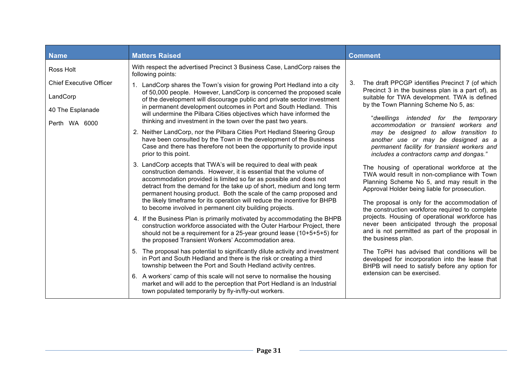| <b>Name</b>                                                    | <b>Matters Raised</b>                                                                                                                                                                                                                                                                                                                                                                                                                                                                               | <b>Comment</b>                                                                                                                                                                                                                                                                                  |
|----------------------------------------------------------------|-----------------------------------------------------------------------------------------------------------------------------------------------------------------------------------------------------------------------------------------------------------------------------------------------------------------------------------------------------------------------------------------------------------------------------------------------------------------------------------------------------|-------------------------------------------------------------------------------------------------------------------------------------------------------------------------------------------------------------------------------------------------------------------------------------------------|
| Ross Holt                                                      | With respect the advertised Precinct 3 Business Case, LandCorp raises the<br>following points:                                                                                                                                                                                                                                                                                                                                                                                                      |                                                                                                                                                                                                                                                                                                 |
| <b>Chief Executive Officer</b><br>LandCorp<br>40 The Esplanade | 1. LandCorp shares the Town's vision for growing Port Hedland into a city<br>of 50,000 people. However, LandCorp is concerned the proposed scale<br>of the development will discourage public and private sector investment<br>in permanent development outcomes in Port and South Hedland. This<br>will undermine the Pilbara Cities objectives which have informed the<br>thinking and investment in the town over the past two years.                                                            | The draft PPCGP identifies Precinct 7 (of which<br>3.<br>Precinct 3 in the business plan is a part of), as<br>suitable for TWA development. TWA is defined<br>by the Town Planning Scheme No 5, as:<br>"dwellings intended for the temporary                                                    |
| Perth WA 6000                                                  | 2. Neither LandCorp, nor the Pilbara Cities Port Hedland Steering Group<br>have been consulted by the Town in the development of the Business<br>Case and there has therefore not been the opportunity to provide input<br>prior to this point.                                                                                                                                                                                                                                                     | accommodation or transient workers and<br>may be designed to allow transition to<br>another use or may be designed as a<br>permanent facility for transient workers and<br>includes a contractors camp and dongas."                                                                             |
|                                                                | 3. LandCorp accepts that TWA's will be required to deal with peak<br>construction demands. However, it is essential that the volume of<br>accommodation provided is limited so far as possible and does not<br>detract from the demand for the take up of short, medium and long term<br>permanent housing product. Both the scale of the camp proposed and<br>the likely timeframe for its operation will reduce the incentive for BHPB<br>to become involved in permanent city building projects. | The housing of operational workforce at the<br>TWA would result in non-compliance with Town<br>Planning Scheme No 5, and may result in the<br>Approval Holder being liable for prosecution.<br>The proposal is only for the accommodation of<br>the construction workforce required to complete |
|                                                                | 4. If the Business Plan is primarily motivated by accommodating the BHPB<br>construction workforce associated with the Outer Harbour Project, there<br>should not be a requirement for a 25-year ground lease (10+5+5+5) for<br>the proposed Transient Workers' Accommodation area.                                                                                                                                                                                                                 | projects. Housing of operational workforce has<br>never been anticipated through the proposal<br>and is not permitted as part of the proposal in<br>the business plan.                                                                                                                          |
|                                                                | 5. The proposal has potential to significantly dilute activity and investment<br>in Port and South Hedland and there is the risk or creating a third<br>township between the Port and South Hedland activity centres.                                                                                                                                                                                                                                                                               | The ToPH has advised that conditions will be<br>developed for incorporation into the lease that<br>BHPB will need to satisfy before any option for                                                                                                                                              |
|                                                                | 6. A workers' camp of this scale will not serve to normalise the housing<br>market and will add to the perception that Port Hedland is an Industrial<br>town populated temporarily by fly-in/fly-out workers.                                                                                                                                                                                                                                                                                       | extension can be exercised.                                                                                                                                                                                                                                                                     |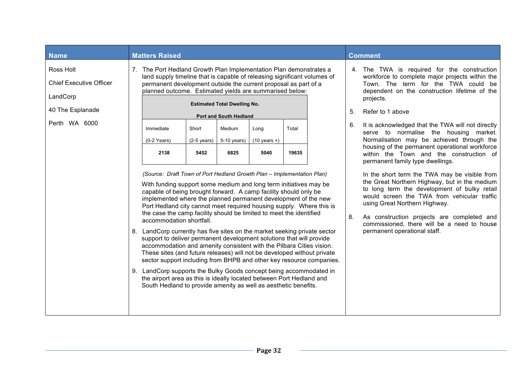| <b>Name</b>                                                                                  | <b>Matters Raised</b>                                                                                                                                                                                                                                                                                                                                                                                                                                                                                                                                                                                                                                                                                                                                                                                                                                                                                                                                                                                           |                                        |                                                                                                  |                                        |                |  | <b>Comment</b> |                                                                                                                                                                                                                                                                                                                                                                                                                                                                                                                                                                                                                                                                                                                                                                                                                                                                     |
|----------------------------------------------------------------------------------------------|-----------------------------------------------------------------------------------------------------------------------------------------------------------------------------------------------------------------------------------------------------------------------------------------------------------------------------------------------------------------------------------------------------------------------------------------------------------------------------------------------------------------------------------------------------------------------------------------------------------------------------------------------------------------------------------------------------------------------------------------------------------------------------------------------------------------------------------------------------------------------------------------------------------------------------------------------------------------------------------------------------------------|----------------------------------------|--------------------------------------------------------------------------------------------------|----------------------------------------|----------------|--|----------------|---------------------------------------------------------------------------------------------------------------------------------------------------------------------------------------------------------------------------------------------------------------------------------------------------------------------------------------------------------------------------------------------------------------------------------------------------------------------------------------------------------------------------------------------------------------------------------------------------------------------------------------------------------------------------------------------------------------------------------------------------------------------------------------------------------------------------------------------------------------------|
| Ross Holt<br><b>Chief Executive Officer</b><br>LandCorp<br>40 The Esplanade<br>Perth WA 6000 | 7. The Port Hedland Growth Plan Implementation Plan demonstrates a<br>land supply timeline that is capable of releasing significant volumes of<br>permanent development outside the current proposal as part of a<br>planned outcome. Estimated yields are summarised below:<br>Immediate<br>$(0-2$ Years)<br>2138<br>(Source: Draft Town of Port Hedland Growth Plan - Implementation Plan)<br>With funding support some medium and long term initiatives may be<br>capable of being brought forward. A camp facility should only be<br>implemented where the planned permanent development of the new<br>Port Hedland city cannot meet required housing supply. Where this is<br>the case the camp facility should be limited to meet the identified<br>accommodation shortfall.<br>8. LandCorp currently has five sites on the market seeking private sector<br>support to deliver permanent development solutions that will provide<br>accommodation and amenity consistent with the Pilbara Cities vision. | Short<br>$(2-5 \text{ years})$<br>5452 | <b>Estimated Total Dwelling No.</b><br>Port and South Hedland<br>Medium<br>$5-10$ years)<br>6825 | Long<br>$(10 \text{ years} +)$<br>5040 | Total<br>19635 |  | 5.<br>6.<br>8. | 4. The TWA is required for the construction<br>workforce to complete major projects within the<br>Town. The term for the TWA could be<br>dependent on the construction lifetime of the<br>projects.<br>Refer to 1 above<br>It is acknowledged that the TWA will not directly<br>serve to normalise the housing market.<br>Normalisation may be achieved through the<br>housing of the permanent operational workforce<br>within the Town and the construction of<br>permanent family type dwellings.<br>In the short term the TWA may be visible from<br>the Great Northern Highway, but in the medium<br>to long term the development of bulky retail<br>would screen the TWA from vehicular traffic<br>using Great Northern Highway.<br>As construction projects are completed and<br>commissioned, there will be a need to house<br>permanent operational staff. |
|                                                                                              | These sites (and future releases) will not be developed without private<br>sector support including from BHPB and other key resource companies.<br>9. LandCorp supports the Bulky Goods concept being accommodated in<br>the airport area as this is ideally located between Port Hedland and<br>South Hedland to provide amenity as well as aesthetic benefits.                                                                                                                                                                                                                                                                                                                                                                                                                                                                                                                                                                                                                                                |                                        |                                                                                                  |                                        |                |  |                |                                                                                                                                                                                                                                                                                                                                                                                                                                                                                                                                                                                                                                                                                                                                                                                                                                                                     |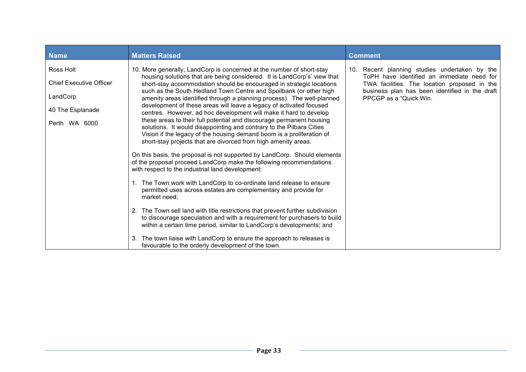| <b>Name</b>                                                                                  | <b>Matters Raised</b>                                                                                                                                                                                                                                                                                                                                                                                                                                                                                                                                                                                                                                                                                                                                                                                                                                                                                                                                                                                                                                                                                                                                                                                                                                                                                                                                                                                                                                                                                                                                   | <b>Comment</b>                                                                                                                                                                                                          |
|----------------------------------------------------------------------------------------------|---------------------------------------------------------------------------------------------------------------------------------------------------------------------------------------------------------------------------------------------------------------------------------------------------------------------------------------------------------------------------------------------------------------------------------------------------------------------------------------------------------------------------------------------------------------------------------------------------------------------------------------------------------------------------------------------------------------------------------------------------------------------------------------------------------------------------------------------------------------------------------------------------------------------------------------------------------------------------------------------------------------------------------------------------------------------------------------------------------------------------------------------------------------------------------------------------------------------------------------------------------------------------------------------------------------------------------------------------------------------------------------------------------------------------------------------------------------------------------------------------------------------------------------------------------|-------------------------------------------------------------------------------------------------------------------------------------------------------------------------------------------------------------------------|
| Ross Holt<br><b>Chief Executive Officer</b><br>LandCorp<br>40 The Esplanade<br>Perth WA 6000 | 10. More generally, LandCorp is concerned at the number of short-stay<br>housing solutions that are being considered. It is LandCorp's' view that<br>short-stay accommodation should be encouraged in strategic locations<br>such as the South Hedland Town Centre and Spoilbank (or other high<br>amenity areas identified through a planning process). The well-planned<br>development of these areas will leave a legacy of activated focused<br>centres. However, ad hoc development will make it hard to develop<br>these areas to their full potential and discourage permanent housing<br>solutions. It would disappointing and contrary to the Pilbara Cities<br>Vision if the legacy of the housing demand boom is a proliferation of<br>short-stay projects that are divorced from high amenity areas.<br>On this basis, the proposal is not supported by LandCorp. Should elements<br>of the proposal proceed LandCorp make the following recommendations<br>with respect to the industrial land development:<br>1. The Town work with LandCorp to co-ordinate land release to ensure<br>permitted uses across estates are complementary and provide for<br>market need;<br>2. The Town sell land with title restrictions that prevent further subdivision<br>to discourage speculation and with a requirement for purchasers to build<br>within a certain time period, similar to LandCorp's developments; and<br>The town liaise with LandCorp to ensure the approach to releases is<br>favourable to the orderly development of the town. | 10. Recent planning studies undertaken by the<br>ToPH have identified an immediate need for<br>TWA facilities. The location proposed in the<br>business plan has been identified in the draft<br>PPCGP as a "Quick Win. |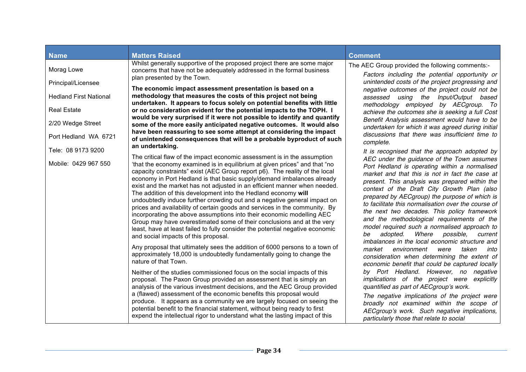| <b>Name</b>                   | <b>Matters Raised</b>                                                                                                                                                                                                                                                                                                                                                                                                                                                                                                                                                                                                                                                                                                                                                                                                    | <b>Comment</b>                                                                                                                                                                                                                                                                                                                                                                                                                                                                                                                                              |
|-------------------------------|--------------------------------------------------------------------------------------------------------------------------------------------------------------------------------------------------------------------------------------------------------------------------------------------------------------------------------------------------------------------------------------------------------------------------------------------------------------------------------------------------------------------------------------------------------------------------------------------------------------------------------------------------------------------------------------------------------------------------------------------------------------------------------------------------------------------------|-------------------------------------------------------------------------------------------------------------------------------------------------------------------------------------------------------------------------------------------------------------------------------------------------------------------------------------------------------------------------------------------------------------------------------------------------------------------------------------------------------------------------------------------------------------|
| Morag Lowe                    | Whilst generally supportive of the proposed project there are some major<br>concerns that have not be adequately addressed in the formal business<br>plan presented by the Town.                                                                                                                                                                                                                                                                                                                                                                                                                                                                                                                                                                                                                                         | The AEC Group provided the following comments:-<br>Factors including the potential opportunity or                                                                                                                                                                                                                                                                                                                                                                                                                                                           |
| Principal/Licensee            | The economic impact assessment presentation is based on a                                                                                                                                                                                                                                                                                                                                                                                                                                                                                                                                                                                                                                                                                                                                                                | unintended costs of the project progressing and<br>negative outcomes of the project could not be                                                                                                                                                                                                                                                                                                                                                                                                                                                            |
| <b>Hedland First National</b> | methodology that measures the costs of this project not being<br>undertaken. It appears to focus solely on potential benefits with little                                                                                                                                                                                                                                                                                                                                                                                                                                                                                                                                                                                                                                                                                | assessed using the Input/Output based<br>methodology employed by AECgroup. To                                                                                                                                                                                                                                                                                                                                                                                                                                                                               |
| <b>Real Estate</b>            | or no consideration evident for the potential impacts to the TOPH. I<br>would be very surprised if it were not possible to identify and quantify                                                                                                                                                                                                                                                                                                                                                                                                                                                                                                                                                                                                                                                                         | achieve the outcomes she is seeking a full Cost<br>Benefit Analysis assessment would have to be                                                                                                                                                                                                                                                                                                                                                                                                                                                             |
| 2/20 Wedge Street             | some of the more easily anticipated negative outcomes. It would also<br>have been reassuring to see some attempt at considering the impact                                                                                                                                                                                                                                                                                                                                                                                                                                                                                                                                                                                                                                                                               | undertaken for which it was agreed during initial<br>discussions that there was insufficient time to                                                                                                                                                                                                                                                                                                                                                                                                                                                        |
| Port Hedland WA 6721          | of unintended consequences that will be a probable byproduct of such<br>an undertaking.                                                                                                                                                                                                                                                                                                                                                                                                                                                                                                                                                                                                                                                                                                                                  | complete.                                                                                                                                                                                                                                                                                                                                                                                                                                                                                                                                                   |
| Tele: 08 9173 9200            | The critical flaw of the impact economic assessment is in the assumption                                                                                                                                                                                                                                                                                                                                                                                                                                                                                                                                                                                                                                                                                                                                                 | It is recognised that the approach adopted by<br>AEC under the guidance of the Town assumes                                                                                                                                                                                                                                                                                                                                                                                                                                                                 |
| Mobile: 0429 967 550          | 'that the economy examined is in equilibrium at given prices" and that "no<br>capacity constraints" exist (AEC Group report p6). The reality of the local<br>economy in Port Hedland is that basic supply/demand imbalances already<br>exist and the market has not adjusted in an efficient manner when needed.<br>The addition of this development into the Hedland economy will<br>undoubtedly induce further crowding out and a negative general impact on<br>prices and availability of certain goods and services in the community. By<br>incorporating the above assumptions into their economic modelling AEC<br>Group may have overestimated some of their conclusions and at the very<br>least, have at least failed to fully consider the potential negative economic<br>and social impacts of this proposal. | Port Hedland is operating within a normalised<br>market and that this is not in fact the case at<br>present. This analysis was prepared within the<br>context of the Draft City Growth Plan (also<br>prepared by AECgroup) the purpose of which is<br>to facilitate this normalisation over the course of<br>the next two decades. This policy framework<br>and the methodological requirements of the<br>model required such a normalised approach to<br>Where<br>possible,<br>adopted.<br>be<br>current<br>imbalances in the local economic structure and |
|                               | Any proposal that ultimately sees the addition of 6000 persons to a town of<br>approximately 18,000 is undoubtedly fundamentally going to change the<br>nature of that Town.                                                                                                                                                                                                                                                                                                                                                                                                                                                                                                                                                                                                                                             | market<br>environment<br>were<br>taken<br>into<br>consideration when determining the extent of<br>economic benefit that could be captured locally                                                                                                                                                                                                                                                                                                                                                                                                           |
|                               | Neither of the studies commissioned focus on the social impacts of this<br>proposal. The Paxon Group provided an assessment that is simply an<br>analysis of the various investment decisions, and the AEC Group provided                                                                                                                                                                                                                                                                                                                                                                                                                                                                                                                                                                                                | by Port Hedland. However, no negative<br>implications of the project were explicitly<br>quantified as part of AECgroup's work.                                                                                                                                                                                                                                                                                                                                                                                                                              |
|                               | a (flawed) assessment of the economic benefits this proposal would<br>produce. It appears as a community we are largely focused on seeing the<br>potential benefit to the financial statement, without being ready to first<br>expend the intellectual rigor to understand what the lasting impact of this                                                                                                                                                                                                                                                                                                                                                                                                                                                                                                               | The negative implications of the project were<br>broadly not examined within the scope of<br>AECgroup's work. Such negative implications,<br>particularly those that relate to social                                                                                                                                                                                                                                                                                                                                                                       |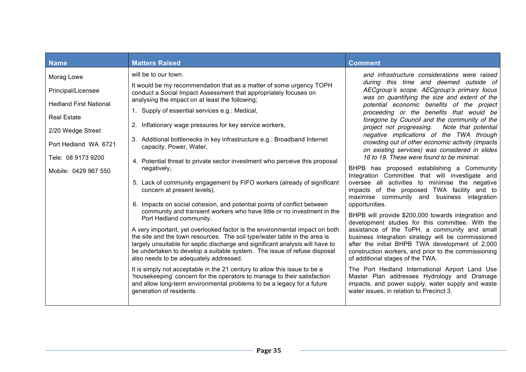| <b>Name</b>                   | <b>Matters Raised</b>                                                                                                                                                                                                                                                                                                                                           | <b>Comment</b>                                                                                                                                                                                                                                     |
|-------------------------------|-----------------------------------------------------------------------------------------------------------------------------------------------------------------------------------------------------------------------------------------------------------------------------------------------------------------------------------------------------------------|----------------------------------------------------------------------------------------------------------------------------------------------------------------------------------------------------------------------------------------------------|
| Morag Lowe                    | will be to our town.                                                                                                                                                                                                                                                                                                                                            | and infrastructure considerations were raised<br>during this time and deemed outside of                                                                                                                                                            |
| Principal/Licensee            | It would be my recommendation that as a matter of some urgency TOPH<br>conduct a Social Impact Assessment that appropriately focuses on                                                                                                                                                                                                                         | AECgroup's scope. AECgroup's primary focus                                                                                                                                                                                                         |
| <b>Hedland First National</b> | analysing the impact on at least the following;                                                                                                                                                                                                                                                                                                                 | was on quantifying the size and extent of the<br>potential economic benefits of the project                                                                                                                                                        |
| <b>Real Estate</b>            | 1. Supply of essential services e.g.: Medical,                                                                                                                                                                                                                                                                                                                  | proceeding or the benefits that would be<br>foregone by Council and the community of the                                                                                                                                                           |
| 2/20 Wedge Street             | Inflationary wage pressures for key service workers,<br>2.                                                                                                                                                                                                                                                                                                      | project not progressing.<br>Note that potential                                                                                                                                                                                                    |
| Port Hedland WA 6721          | 3. Additional bottlenecks in key infrastructure e.g.: Broadband Internet<br>capacity, Power, Water,                                                                                                                                                                                                                                                             | negative implications of the TWA through<br>crowding out of other economic activity (impacts<br>on existing services) was considered in slides                                                                                                     |
| Tele: 08 9173 9200            | 4. Potential threat to private sector investment who perceive this proposal                                                                                                                                                                                                                                                                                     | 16 to 19. These were found to be minimal.                                                                                                                                                                                                          |
| Mobile: 0429 967 550          | negatively,                                                                                                                                                                                                                                                                                                                                                     | BHPB has proposed establishing a Community<br>Integration Committee that will investigate and                                                                                                                                                      |
|                               | 5. Lack of community engagement by FIFO workers (already of significant<br>concern at present levels),                                                                                                                                                                                                                                                          | oversee all activities to minimise the negative<br>impacts of the proposed TWA facility and to<br>maximise community and business integration                                                                                                      |
|                               | Impacts on social cohesion, and potential points of conflict between<br>community and transient workers who have little or no investment in the                                                                                                                                                                                                                 | opportunities.                                                                                                                                                                                                                                     |
|                               | Port Hedland community.                                                                                                                                                                                                                                                                                                                                         | BHPB will provide \$200,000 towards integration and<br>development studies for this committee. With the                                                                                                                                            |
|                               | A very important, yet overlooked factor is the environmental impact on both<br>the site and the town resources. The soil type/water table in the area is<br>largely unsuitable for septic discharge and significant analysis will have to<br>be undertaken to develop a suitable system. The issue of refuse disposal<br>also needs to be adequately addressed. | assistance of the ToPH, a community and small<br>business integration strategy will be commissioned<br>after the initial BHPB TWA development of 2,000<br>construction workers, and prior to the commissioning<br>of additional stages of the TWA. |
|                               | It is simply not acceptable in the 21 century to allow this issue to be a<br>'housekeeping' concern for the operators to manage to their satisfaction<br>and allow long-term environmental problems to be a legacy for a future<br>generation of residents.                                                                                                     | The Port Hedland International Airport Land Use<br>Master Plan addresses Hydrology and Drainage<br>impacts, and power supply, water supply and waste<br>water issues, in relation to Precinct 3.                                                   |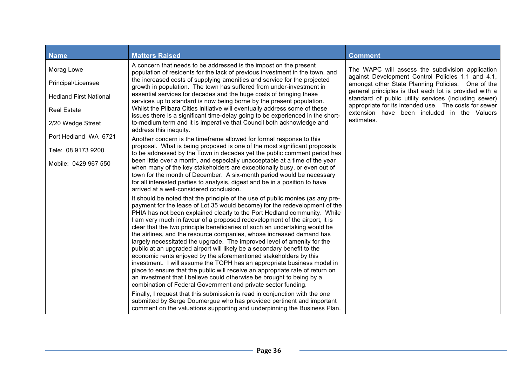| <b>Matters Raised</b>                                                                                                                                                                                                                                                                                                                                                                                                                                                                                                                                                                                                                                                                                                                                                                                                                                                                                                                                                                                                                                                                        | <b>Comment</b>                                                                                                                                                                                                                 |
|----------------------------------------------------------------------------------------------------------------------------------------------------------------------------------------------------------------------------------------------------------------------------------------------------------------------------------------------------------------------------------------------------------------------------------------------------------------------------------------------------------------------------------------------------------------------------------------------------------------------------------------------------------------------------------------------------------------------------------------------------------------------------------------------------------------------------------------------------------------------------------------------------------------------------------------------------------------------------------------------------------------------------------------------------------------------------------------------|--------------------------------------------------------------------------------------------------------------------------------------------------------------------------------------------------------------------------------|
| A concern that needs to be addressed is the impost on the present<br>population of residents for the lack of previous investment in the town, and                                                                                                                                                                                                                                                                                                                                                                                                                                                                                                                                                                                                                                                                                                                                                                                                                                                                                                                                            | The WAPC will assess the subdivision application                                                                                                                                                                               |
| the increased costs of supplying amenities and service for the projected<br>growth in population. The town has suffered from under-investment in                                                                                                                                                                                                                                                                                                                                                                                                                                                                                                                                                                                                                                                                                                                                                                                                                                                                                                                                             | against Development Control Policies 1.1 and 4.1,<br>amongst other State Planning Policies. One of the                                                                                                                         |
| essential services for decades and the huge costs of bringing these<br>services up to standard is now being borne by the present population.                                                                                                                                                                                                                                                                                                                                                                                                                                                                                                                                                                                                                                                                                                                                                                                                                                                                                                                                                 | general principles is that each lot is provided with a<br>standard of public utility services (including sewer)                                                                                                                |
| Whilst the Pilbara Cities initiative will eventually address some of these<br>issues there is a significant time-delay going to be experienced in the short-                                                                                                                                                                                                                                                                                                                                                                                                                                                                                                                                                                                                                                                                                                                                                                                                                                                                                                                                 | appropriate for its intended use. The costs for sewer<br>extension have been included in the Valuers                                                                                                                           |
| to-medium term and it is imperative that Council both acknowledge and<br>address this inequity.                                                                                                                                                                                                                                                                                                                                                                                                                                                                                                                                                                                                                                                                                                                                                                                                                                                                                                                                                                                              | estimates.                                                                                                                                                                                                                     |
| Another concern is the timeframe allowed for formal response to this                                                                                                                                                                                                                                                                                                                                                                                                                                                                                                                                                                                                                                                                                                                                                                                                                                                                                                                                                                                                                         |                                                                                                                                                                                                                                |
| to be addressed by the Town in decades yet the public comment period has                                                                                                                                                                                                                                                                                                                                                                                                                                                                                                                                                                                                                                                                                                                                                                                                                                                                                                                                                                                                                     |                                                                                                                                                                                                                                |
| been little over a month, and especially unacceptable at a time of the year<br>when many of the key stakeholders are exceptionally busy, or even out of<br>town for the month of December. A six-month period would be necessary<br>for all interested parties to analysis, digest and be in a position to have<br>arrived at a well-considered conclusion.                                                                                                                                                                                                                                                                                                                                                                                                                                                                                                                                                                                                                                                                                                                                  |                                                                                                                                                                                                                                |
| It should be noted that the principle of the use of public monies (as any pre-<br>payment for the lease of Lot 35 would become) for the redevelopment of the<br>PHIA has not been explained clearly to the Port Hedland community. While<br>I am very much in favour of a proposed redevelopment of the airport, it is<br>clear that the two principle beneficiaries of such an undertaking would be<br>the airlines, and the resource companies, whose increased demand has<br>largely necessitated the upgrade. The improved level of amenity for the<br>public at an upgraded airport will likely be a secondary benefit to the<br>economic rents enjoyed by the aforementioned stakeholders by this<br>investment. I will assume the TOPH has an appropriate business model in<br>place to ensure that the public will receive an appropriate rate of return on<br>an investment that I believe could otherwise be brought to being by a<br>combination of Federal Government and private sector funding.<br>Finally, I request that this submission is read in conjunction with the one |                                                                                                                                                                                                                                |
|                                                                                                                                                                                                                                                                                                                                                                                                                                                                                                                                                                                                                                                                                                                                                                                                                                                                                                                                                                                                                                                                                              | proposal. What is being proposed is one of the most significant proposals<br>submitted by Serge Doumergue who has provided pertinent and important<br>comment on the valuations supporting and underpinning the Business Plan. |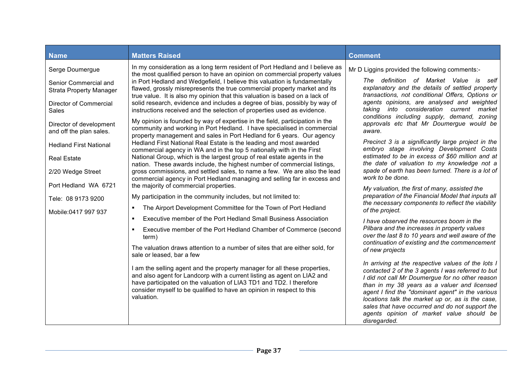| <b>Name</b>                                                                                                                                                                                                                                                                                                                 | <b>Matters Raised</b>                                                                                                                                                                                                                                                                                                                                                                                                                                                                                                                                                                                                                                                                                                                                                                                                                                                                                                                                                                                                                                                                                                                                                                                                                                                                                                                                                                                                                                                                                                                                                                                                                                                                                                                                                                                                                                                                                                                                                                                                                  | <b>Comment</b>                                                                                                                                                                                                                                                                                                                                                                                                                                                                                                                                                                                                                                                                                                                                                                                                                                                                                                                                                                                                                                                                                                                                                                                                                                                                                                                                                                                                                                                                                                         |
|-----------------------------------------------------------------------------------------------------------------------------------------------------------------------------------------------------------------------------------------------------------------------------------------------------------------------------|----------------------------------------------------------------------------------------------------------------------------------------------------------------------------------------------------------------------------------------------------------------------------------------------------------------------------------------------------------------------------------------------------------------------------------------------------------------------------------------------------------------------------------------------------------------------------------------------------------------------------------------------------------------------------------------------------------------------------------------------------------------------------------------------------------------------------------------------------------------------------------------------------------------------------------------------------------------------------------------------------------------------------------------------------------------------------------------------------------------------------------------------------------------------------------------------------------------------------------------------------------------------------------------------------------------------------------------------------------------------------------------------------------------------------------------------------------------------------------------------------------------------------------------------------------------------------------------------------------------------------------------------------------------------------------------------------------------------------------------------------------------------------------------------------------------------------------------------------------------------------------------------------------------------------------------------------------------------------------------------------------------------------------------|------------------------------------------------------------------------------------------------------------------------------------------------------------------------------------------------------------------------------------------------------------------------------------------------------------------------------------------------------------------------------------------------------------------------------------------------------------------------------------------------------------------------------------------------------------------------------------------------------------------------------------------------------------------------------------------------------------------------------------------------------------------------------------------------------------------------------------------------------------------------------------------------------------------------------------------------------------------------------------------------------------------------------------------------------------------------------------------------------------------------------------------------------------------------------------------------------------------------------------------------------------------------------------------------------------------------------------------------------------------------------------------------------------------------------------------------------------------------------------------------------------------------|
| Serge Doumergue<br>Senior Commercial and<br><b>Strata Property Manager</b><br>Director of Commercial<br><b>Sales</b><br>Director of development<br>and off the plan sales.<br><b>Hedland First National</b><br><b>Real Estate</b><br>2/20 Wedge Street<br>Port Hedland WA 6721<br>Tele: 08 9173 9200<br>Mobile:0417 997 937 | In my consideration as a long term resident of Port Hedland and I believe as<br>the most qualified person to have an opinion on commercial property values<br>in Port Hedland and Wedgefield, I believe this valuation is fundamentally<br>flawed, grossly misrepresents the true commercial property market and its<br>true value. It is also my opinion that this valuation is based on a lack of<br>solid research, evidence and includes a degree of bias, possibly by way of<br>instructions received and the selection of properties used as evidence.<br>My opinion is founded by way of expertise in the field, participation in the<br>community and working in Port Hedland. I have specialised in commercial<br>property management and sales in Port Hedland for 6 years. Our agency<br>Hedland First National Real Estate is the leading and most awarded<br>commercial agency in WA and in the top 5 nationally with in the First<br>National Group, which is the largest group of real estate agents in the<br>nation. These awards include, the highest number of commercial listings,<br>gross commissions, and settled sales, to name a few. We are also the lead<br>commercial agency in Port Hedland managing and selling far in excess and<br>the majority of commercial properties.<br>My participation in the community includes, but not limited to:<br>The Airport Development Committee for the Town of Port Hedland<br>Executive member of the Port Hedland Small Business Association<br>٠<br>Executive member of the Port Hedland Chamber of Commerce (second<br>term)<br>The valuation draws attention to a number of sites that are either sold, for<br>sale or leased, bar a few<br>I am the selling agent and the property manager for all these properties,<br>and also agent for Landcorp with a current listing as agent on LIA2 and<br>have participated on the valuation of LIA3 TD1 and TD2. I therefore<br>consider myself to be qualified to have an opinion in respect to this<br>valuation. | Mr D Liggins provided the following comments:-<br>The definition of Market Value is self<br>explanatory and the details of settled property<br>transactions, not conditional Offers, Options or<br>agents opinions, are analysed and weighted<br>taking into consideration current market<br>conditions including supply, demand, zoning<br>approvals etc that Mr Doumergue would be<br>aware.<br>Precinct 3 is a significantly large project in the<br>embryo stage involving Development Costs<br>estimated to be in excess of \$60 million and at<br>the date of valuation to my knowledge not a<br>spade of earth has been turned. There is a lot of<br>work to be done.<br>My valuation, the first of many, assisted the<br>preparation of the Financial Model that inputs all<br>the necessary components to reflect the viability<br>of the project.<br>I have observed the resources boom in the<br>Pilbara and the increases in property values<br>over the last 8 to 10 years and well aware of the<br>continuation of existing and the commencement<br>of new projects<br>In arriving at the respective values of the lots I<br>contacted 2 of the 3 agents I was referred to but<br>I did not call Mr Doumergue for no other reason<br>than in my 38 years as a valuer and licensed<br>agent I find the "dominant agent" in the various<br>locations talk the market up or, as is the case,<br>sales that have occurred and do not support the<br>agents opinion of market value should be<br>disregarded. |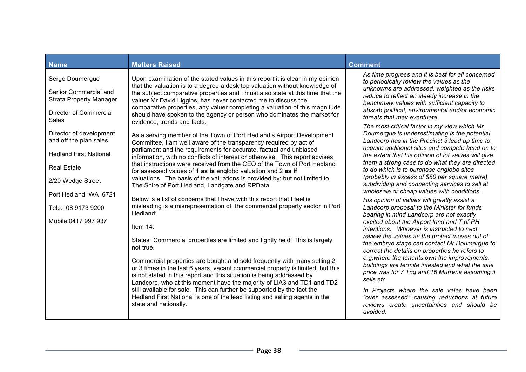| <b>Name</b>                                                                                                                    | <b>Matters Raised</b>                                                                                                                                                                                                                                                                                                                                                                                                                                                                                                                                                                           | <b>Comment</b>                                                                                                                                                                                                                                                                                                                                                                                                                                                                                                                                            |
|--------------------------------------------------------------------------------------------------------------------------------|-------------------------------------------------------------------------------------------------------------------------------------------------------------------------------------------------------------------------------------------------------------------------------------------------------------------------------------------------------------------------------------------------------------------------------------------------------------------------------------------------------------------------------------------------------------------------------------------------|-----------------------------------------------------------------------------------------------------------------------------------------------------------------------------------------------------------------------------------------------------------------------------------------------------------------------------------------------------------------------------------------------------------------------------------------------------------------------------------------------------------------------------------------------------------|
| Serge Doumergue<br>Senior Commercial and<br><b>Strata Property Manager</b><br>Director of Commercial<br><b>Sales</b>           | Upon examination of the stated values in this report it is clear in my opinion<br>that the valuation is to a degree a desk top valuation without knowledge of<br>the subject comparative properties and I must also state at this time that the<br>valuer Mr David Liggins, has never contacted me to discuss the<br>comparative properties, any valuer completing a valuation of this magnitude<br>should have spoken to the agency or person who dominates the market for<br>evidence, trends and facts.                                                                                      | As time progress and it is best for all concerned<br>to periodically review the values as the<br>unknowns are addressed, weighted as the risks<br>reduce to reflect an steady increase in the<br>benchmark values with sufficient capacity to<br>absorb political, environmental and/or economic<br>threats that may eventuate.                                                                                                                                                                                                                           |
| Director of development<br>and off the plan sales.<br><b>Hedland First National</b><br><b>Real Estate</b><br>2/20 Wedge Street | As a serving member of the Town of Port Hedland's Airport Development<br>Committee, I am well aware of the transparency required by act of<br>parliament and the requirements for accurate, factual and unbiased<br>information, with no conflicts of interest or otherwise. This report advises<br>that instructions were received from the CEO of the Town of Port Hedland<br>for assessed values of 1 as is englobo valuation and 2 as if<br>valuations. The basis of the valuations is provided by; but not limited to,<br>The Shire of Port Hedland, Landgate and RPData.                  | The most critical factor in my view which Mr<br>Doumergue is underestimating is the potential<br>Landcorp has in the Precinct 3 lead up time to<br>acquire additional sites and compete head on to<br>the extent that his opinion of lot values will give<br>them a strong case to do what they are directed<br>to do which is to purchase englobo sites<br>(probably in excess of \$80 per square metre)<br>subdividing and connecting services to sell at<br>wholesale or cheap values with conditions.                                                 |
| Port Hedland WA 6721<br>Tele: 08 9173 9200<br>Mobile:0417 997 937                                                              | Below is a list of concerns that I have with this report that I feel is<br>misleading is a misrepresentation of the commercial property sector in Port<br>Hedland:<br>Item $14$ :<br>States" Commercial properties are limited and tightly held" This is largely<br>not true.<br>Commercial properties are bought and sold frequently with many selling 2<br>or 3 times in the last 6 years, vacant commercial property is limited, but this<br>is not stated in this report and this situation is being addressed by<br>Landcorp, who at this moment have the majority of LIA3 and TD1 and TD2 | His opinion of values will greatly assist a<br>Landcorp proposal to the Minister for funds<br>bearing in mind Landcorp are not exactly<br>excited about the Airport land and T of PH<br>intentions. Whoever is instructed to next<br>review the values as the project moves out of<br>the embryo stage can contact Mr Doumergue to<br>correct the details on properties he refers to<br>e.g. where the tenants own the improvements,<br>buildings are termite infested and what the sale<br>price was for 7 Trig and 16 Murrena assuming it<br>sells etc. |
|                                                                                                                                | still available for sale. This can further be supported by the fact the<br>Hedland First National is one of the lead listing and selling agents in the<br>state and nationally.                                                                                                                                                                                                                                                                                                                                                                                                                 | In Projects where the sale vales have been<br>"over assessed" causing reductions at future<br>reviews create uncertainties and should be<br>avoided.                                                                                                                                                                                                                                                                                                                                                                                                      |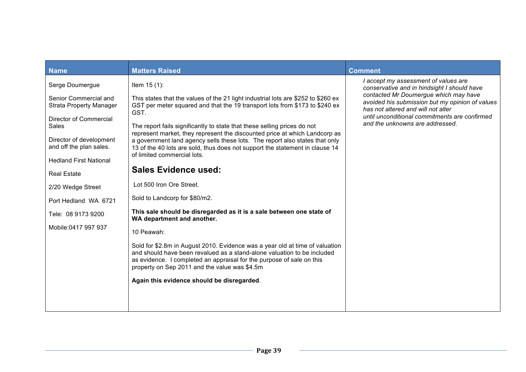| <b>Name</b>                                                | <b>Matters Raised</b>                                                                                                                                                                                                                                                             | <b>Comment</b>                                                                                                                                                                                                                                                                                            |
|------------------------------------------------------------|-----------------------------------------------------------------------------------------------------------------------------------------------------------------------------------------------------------------------------------------------------------------------------------|-----------------------------------------------------------------------------------------------------------------------------------------------------------------------------------------------------------------------------------------------------------------------------------------------------------|
| Serge Doumergue                                            | Item $15(1)$ :                                                                                                                                                                                                                                                                    | I accept my assessment of values are<br>conservative and in hindsight I should have<br>contacted Mr Doumergue which may have<br>avoided his submission but my opinion of values<br>has not altered and will not alter<br>until unconditional commitments are confirmed<br>and the unknowns are addressed. |
| Senior Commercial and<br><b>Strata Property Manager</b>    | This states that the values of the 21 light industrial lots are \$252 to \$260 ex<br>GST per meter squared and that the 19 transport lots from \$173 to \$240 ex<br>GST.                                                                                                          |                                                                                                                                                                                                                                                                                                           |
| Director of Commercial<br>Sales<br>Director of development | The report fails significantly to state that these selling prices do not<br>represent market, they represent the discounted price at which Landcorp as<br>a government land agency sells these lots. The report also states that only                                             |                                                                                                                                                                                                                                                                                                           |
| and off the plan sales.                                    | 13 of the 40 lots are sold, thus does not support the statement in clause 14<br>of limited commercial lots.                                                                                                                                                                       |                                                                                                                                                                                                                                                                                                           |
| <b>Hedland First National</b><br><b>Real Estate</b>        | <b>Sales Evidence used:</b>                                                                                                                                                                                                                                                       |                                                                                                                                                                                                                                                                                                           |
| 2/20 Wedge Street                                          | Lot 500 Iron Ore Street.                                                                                                                                                                                                                                                          |                                                                                                                                                                                                                                                                                                           |
| Port Hedland WA 6721                                       | Sold to Landcorp for \$80/m2.                                                                                                                                                                                                                                                     |                                                                                                                                                                                                                                                                                                           |
| Tele: 08 9173 9200                                         | This sale should be disregarded as it is a sale between one state of<br>WA department and another.                                                                                                                                                                                |                                                                                                                                                                                                                                                                                                           |
| Mobile:0417 997 937                                        | 10 Peawah:                                                                                                                                                                                                                                                                        |                                                                                                                                                                                                                                                                                                           |
|                                                            | Sold for \$2.8m in August 2010. Evidence was a year old at time of valuation<br>and should have been revalued as a stand-alone valuation to be included<br>as evidence. I completed an appraisal for the purpose of sale on this<br>property on Sep 2011 and the value was \$4.5m |                                                                                                                                                                                                                                                                                                           |
|                                                            | Again this evidence should be disregarded.                                                                                                                                                                                                                                        |                                                                                                                                                                                                                                                                                                           |
|                                                            |                                                                                                                                                                                                                                                                                   |                                                                                                                                                                                                                                                                                                           |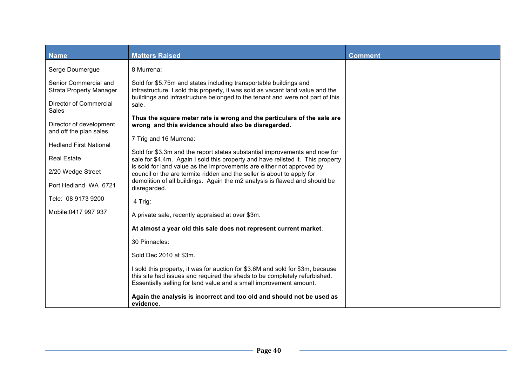| <b>Name</b>                                        | <b>Matters Raised</b>                                                                                                                                                                                                                | <b>Comment</b> |
|----------------------------------------------------|--------------------------------------------------------------------------------------------------------------------------------------------------------------------------------------------------------------------------------------|----------------|
| Serge Doumergue                                    | 8 Murrena:                                                                                                                                                                                                                           |                |
| Senior Commercial and<br>Strata Property Manager   | Sold for \$5.75m and states including transportable buildings and<br>infrastructure. I sold this property, it was sold as vacant land value and the<br>buildings and infrastructure belonged to the tenant and were not part of this |                |
| Director of Commercial<br><b>Sales</b>             | sale.                                                                                                                                                                                                                                |                |
| Director of development<br>and off the plan sales. | Thus the square meter rate is wrong and the particulars of the sale are<br>wrong and this evidence should also be disregarded.                                                                                                       |                |
| <b>Hedland First National</b>                      | 7 Trig and 16 Murrena:                                                                                                                                                                                                               |                |
| <b>Real Estate</b>                                 | Sold for \$3.3m and the report states substantial improvements and now for<br>sale for \$4.4m. Again I sold this property and have relisted it. This property                                                                        |                |
| 2/20 Wedge Street                                  | is sold for land value as the improvements are either not approved by<br>council or the are termite ridden and the seller is about to apply for                                                                                      |                |
| Port Hedland WA 6721                               | demolition of all buildings. Again the m2 analysis is flawed and should be<br>disregarded.                                                                                                                                           |                |
| Tele: 08 9173 9200                                 | 4 Trig:                                                                                                                                                                                                                              |                |
| Mobile:0417 997 937                                | A private sale, recently appraised at over \$3m.                                                                                                                                                                                     |                |
|                                                    | At almost a year old this sale does not represent current market.                                                                                                                                                                    |                |
|                                                    | 30 Pinnacles:                                                                                                                                                                                                                        |                |
|                                                    | Sold Dec 2010 at \$3m.                                                                                                                                                                                                               |                |
|                                                    | I sold this property, it was for auction for \$3.6M and sold for \$3m, because<br>this site had issues and required the sheds to be completely refurbished.<br>Essentially selling for land value and a small improvement amount.    |                |
|                                                    | Again the analysis is incorrect and too old and should not be used as<br>evidence.                                                                                                                                                   |                |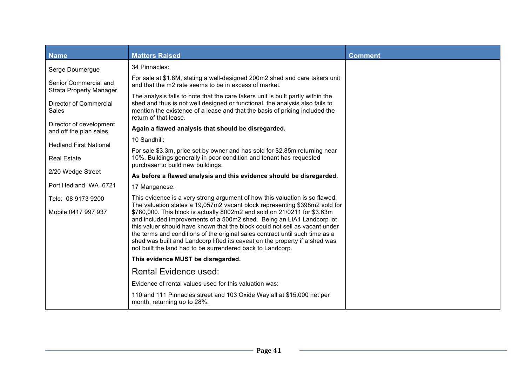| <b>Name</b>                                             | <b>Matters Raised</b>                                                                                                                                                                                                                                                                                                                                                                                                                                                                                                                                                                                                      | <b>Comment</b> |
|---------------------------------------------------------|----------------------------------------------------------------------------------------------------------------------------------------------------------------------------------------------------------------------------------------------------------------------------------------------------------------------------------------------------------------------------------------------------------------------------------------------------------------------------------------------------------------------------------------------------------------------------------------------------------------------------|----------------|
| Serge Doumergue                                         | 34 Pinnacles:                                                                                                                                                                                                                                                                                                                                                                                                                                                                                                                                                                                                              |                |
| Senior Commercial and<br><b>Strata Property Manager</b> | For sale at \$1.8M, stating a well-designed 200m2 shed and care takers unit<br>and that the m2 rate seems to be in excess of market.                                                                                                                                                                                                                                                                                                                                                                                                                                                                                       |                |
| Director of Commercial<br><b>Sales</b>                  | The analysis falls to note that the care takers unit is built partly within the<br>shed and thus is not well designed or functional, the analysis also fails to<br>mention the existence of a lease and that the basis of pricing included the<br>return of that lease.                                                                                                                                                                                                                                                                                                                                                    |                |
| Director of development<br>and off the plan sales.      | Again a flawed analysis that should be disregarded.                                                                                                                                                                                                                                                                                                                                                                                                                                                                                                                                                                        |                |
| <b>Hedland First National</b>                           | 10 Sandhill:                                                                                                                                                                                                                                                                                                                                                                                                                                                                                                                                                                                                               |                |
| <b>Real Estate</b>                                      | For sale \$3.3m, price set by owner and has sold for \$2.85m returning near<br>10%. Buildings generally in poor condition and tenant has requested<br>purchaser to build new buildings.                                                                                                                                                                                                                                                                                                                                                                                                                                    |                |
| 2/20 Wedge Street                                       | As before a flawed analysis and this evidence should be disregarded.                                                                                                                                                                                                                                                                                                                                                                                                                                                                                                                                                       |                |
| Port Hedland WA 6721                                    | 17 Manganese:                                                                                                                                                                                                                                                                                                                                                                                                                                                                                                                                                                                                              |                |
| Tele: 08 9173 9200<br>Mobile:0417 997 937               | This evidence is a very strong argument of how this valuation is so flawed.<br>The valuation states a 19,057m2 vacant block representing \$398m2 sold for<br>\$780,000. This block is actually 8002m2 and sold on 21/0211 for \$3.63m<br>and included improvements of a 500m2 shed. Being an LIA1 Landcorp lot<br>this valuer should have known that the block could not sell as vacant under<br>the terms and conditions of the original sales contract until such time as a<br>shed was built and Landcorp lifted its caveat on the property if a shed was<br>not built the land had to be surrendered back to Landcorp. |                |
|                                                         | This evidence MUST be disregarded.                                                                                                                                                                                                                                                                                                                                                                                                                                                                                                                                                                                         |                |
|                                                         | <b>Rental Evidence used:</b>                                                                                                                                                                                                                                                                                                                                                                                                                                                                                                                                                                                               |                |
|                                                         | Evidence of rental values used for this valuation was:                                                                                                                                                                                                                                                                                                                                                                                                                                                                                                                                                                     |                |
|                                                         | 110 and 111 Pinnacles street and 103 Oxide Way all at \$15,000 net per<br>month, returning up to 28%.                                                                                                                                                                                                                                                                                                                                                                                                                                                                                                                      |                |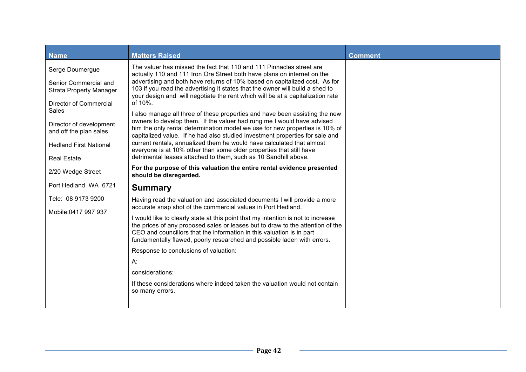| <b>Name</b>                                                                                                                                                                                                                       | <b>Matters Raised</b>                                                                                                                                                                                                                                                                                                                                                                                                                                                                                                                                                                                                                                                                                                                                                                                                                                                                                                                                  | <b>Comment</b> |
|-----------------------------------------------------------------------------------------------------------------------------------------------------------------------------------------------------------------------------------|--------------------------------------------------------------------------------------------------------------------------------------------------------------------------------------------------------------------------------------------------------------------------------------------------------------------------------------------------------------------------------------------------------------------------------------------------------------------------------------------------------------------------------------------------------------------------------------------------------------------------------------------------------------------------------------------------------------------------------------------------------------------------------------------------------------------------------------------------------------------------------------------------------------------------------------------------------|----------------|
| Serge Doumergue<br>Senior Commercial and<br><b>Strata Property Manager</b><br>Director of Commercial<br><b>Sales</b><br>Director of development<br>and off the plan sales.<br><b>Hedland First National</b><br><b>Real Estate</b> | The valuer has missed the fact that 110 and 111 Pinnacles street are<br>actually 110 and 111 Iron Ore Street both have plans on internet on the<br>advertising and both have returns of 10% based on capitalized cost. As for<br>103 if you read the advertising it states that the owner will build a shed to<br>your design and will negotiate the rent which will be at a capitalization rate<br>of 10%.<br>I also manage all three of these properties and have been assisting the new<br>owners to develop them. If the valuer had rung me I would have advised<br>him the only rental determination model we use for new properties is 10% of<br>capitalized value. If he had also studied investment properties for sale and<br>current rentals, annualized them he would have calculated that almost<br>everyone is at 10% other than some older properties that still have<br>detrimental leases attached to them, such as 10 Sandhill above. |                |
|                                                                                                                                                                                                                                   | For the purpose of this valuation the entire rental evidence presented                                                                                                                                                                                                                                                                                                                                                                                                                                                                                                                                                                                                                                                                                                                                                                                                                                                                                 |                |
| 2/20 Wedge Street                                                                                                                                                                                                                 | should be disregarded.                                                                                                                                                                                                                                                                                                                                                                                                                                                                                                                                                                                                                                                                                                                                                                                                                                                                                                                                 |                |
| Port Hedland WA 6721                                                                                                                                                                                                              | <b>Summary</b>                                                                                                                                                                                                                                                                                                                                                                                                                                                                                                                                                                                                                                                                                                                                                                                                                                                                                                                                         |                |
| Tele: 08 9173 9200<br>Mobile:0417 997 937                                                                                                                                                                                         | Having read the valuation and associated documents I will provide a more<br>accurate snap shot of the commercial values in Port Hedland.                                                                                                                                                                                                                                                                                                                                                                                                                                                                                                                                                                                                                                                                                                                                                                                                               |                |
|                                                                                                                                                                                                                                   | I would like to clearly state at this point that my intention is not to increase<br>the prices of any proposed sales or leases but to draw to the attention of the<br>CEO and councillors that the information in this valuation is in part<br>fundamentally flawed, poorly researched and possible laden with errors.                                                                                                                                                                                                                                                                                                                                                                                                                                                                                                                                                                                                                                 |                |
|                                                                                                                                                                                                                                   | Response to conclusions of valuation:                                                                                                                                                                                                                                                                                                                                                                                                                                                                                                                                                                                                                                                                                                                                                                                                                                                                                                                  |                |
|                                                                                                                                                                                                                                   | A:                                                                                                                                                                                                                                                                                                                                                                                                                                                                                                                                                                                                                                                                                                                                                                                                                                                                                                                                                     |                |
|                                                                                                                                                                                                                                   | considerations:                                                                                                                                                                                                                                                                                                                                                                                                                                                                                                                                                                                                                                                                                                                                                                                                                                                                                                                                        |                |
|                                                                                                                                                                                                                                   | If these considerations where indeed taken the valuation would not contain<br>so many errors.                                                                                                                                                                                                                                                                                                                                                                                                                                                                                                                                                                                                                                                                                                                                                                                                                                                          |                |
|                                                                                                                                                                                                                                   |                                                                                                                                                                                                                                                                                                                                                                                                                                                                                                                                                                                                                                                                                                                                                                                                                                                                                                                                                        |                |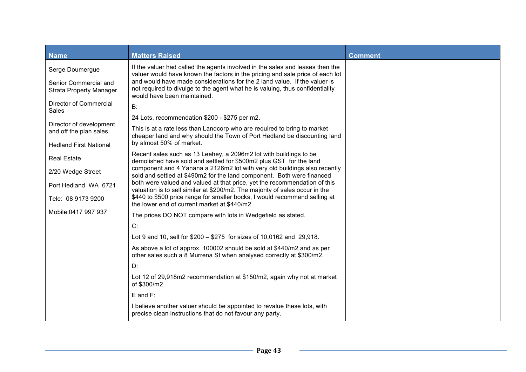| <b>Name</b>                                             | <b>Matters Raised</b>                                                                                                                                                                     | <b>Comment</b> |
|---------------------------------------------------------|-------------------------------------------------------------------------------------------------------------------------------------------------------------------------------------------|----------------|
| Serge Doumergue                                         | If the valuer had called the agents involved in the sales and leases then the<br>valuer would have known the factors in the pricing and sale price of each lot                            |                |
| Senior Commercial and<br><b>Strata Property Manager</b> | and would have made considerations for the 2 land value. If the valuer is<br>not required to divulge to the agent what he is valuing, thus confidentiality<br>would have been maintained. |                |
| Director of Commercial<br><b>Sales</b>                  | B:                                                                                                                                                                                        |                |
| Director of development                                 | 24 Lots, recommendation \$200 - \$275 per m2.                                                                                                                                             |                |
| and off the plan sales.                                 | This is at a rate less than Landcorp who are required to bring to market<br>cheaper land and why should the Town of Port Hedland be discounting land                                      |                |
| <b>Hedland First National</b>                           | by almost 50% of market.                                                                                                                                                                  |                |
| <b>Real Estate</b>                                      | Recent sales such as 13 Leehey, a 2096m2 lot with buildings to be<br>demolished have sold and settled for \$500m2 plus GST for the land                                                   |                |
| 2/20 Wedge Street                                       | component and 4 Yanana a 2126m2 lot with very old buildings also recently<br>sold and settled at \$490m2 for the land component. Both were financed                                       |                |
| Port Hedland WA 6721                                    | both were valued and valued at that price, yet the recommendation of this<br>valuation is to sell similar at \$200/m2. The majority of sales occur in the                                 |                |
| Tele: 08 9173 9200                                      | \$440 to \$500 price range for smaller bocks, I would recommend selling at<br>the lower end of current market at \$440/m2                                                                 |                |
| Mobile:0417 997 937                                     | The prices DO NOT compare with lots in Wedgefield as stated.                                                                                                                              |                |
|                                                         | C:                                                                                                                                                                                        |                |
|                                                         | Lot 9 and 10, sell for \$200 - \$275 for sizes of 10,0162 and 29,918.                                                                                                                     |                |
|                                                         | As above a lot of approx. 100002 should be sold at \$440/m2 and as per<br>other sales such a 8 Murrena St when analysed correctly at \$300/m2.                                            |                |
|                                                         | D:                                                                                                                                                                                        |                |
|                                                         | Lot 12 of 29,918m2 recommendation at \$150/m2, again why not at market<br>of \$300/m2                                                                                                     |                |
|                                                         | $E$ and $F$ :                                                                                                                                                                             |                |
|                                                         | I believe another valuer should be appointed to revalue these lots, with<br>precise clean instructions that do not favour any party.                                                      |                |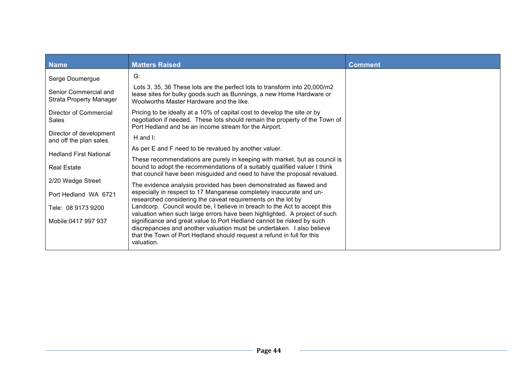| <b>Name</b>                                             | <b>Matters Raised</b>                                                                                                                                                                                                                   | <b>Comment</b> |
|---------------------------------------------------------|-----------------------------------------------------------------------------------------------------------------------------------------------------------------------------------------------------------------------------------------|----------------|
| Serge Doumergue                                         | G:                                                                                                                                                                                                                                      |                |
| Senior Commercial and<br><b>Strata Property Manager</b> | Lots 3, 35, 36 These lots are the perfect lots to transform into 20,000/m2<br>lease sites for bulky goods such as Bunnings, a new Home Hardware or<br>Woolworths Master Hardware and the like.                                          |                |
| Director of Commercial<br>Sales                         | Pricing to be ideally at a 10% of capital cost to develop the site or by<br>negotiation if needed. These lots should remain the property of the Town of<br>Port Hedland and be an income stream for the Airport.                        |                |
| Director of development<br>and off the plan sales.      | H and $\mathsf{I}$ :                                                                                                                                                                                                                    |                |
| <b>Hedland First National</b>                           | As per E and F need to be revalued by another valuer.                                                                                                                                                                                   |                |
| <b>Real Estate</b>                                      | These recommendations are purely in keeping with market, but as council is<br>bound to adopt the recommendations of a suitably qualified valuer I think<br>that council have been misguided and need to have the proposal revalued.     |                |
| 2/20 Wedge Street                                       | The evidence analysis provided has been demonstrated as flawed and                                                                                                                                                                      |                |
| Port Hedland WA 6721                                    | especially in respect to 17 Manganese completely inaccurate and un-<br>researched considering the caveat requirements on the lot by                                                                                                     |                |
| Tele: 08 9173 9200                                      | Landcorp. Council would be, I believe in breach to the Act to accept this<br>valuation when such large errors have been highlighted. A project of such                                                                                  |                |
| Mobile:0417 997 937                                     | significance and great value to Port Hedland cannot be risked by such<br>discrepancies and another valuation must be undertaken. I also believe<br>that the Town of Port Hedland should request a refund in full for this<br>valuation. |                |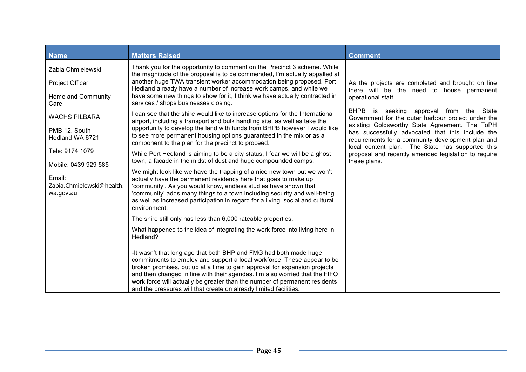| <b>Name</b>                                                                                                                                                                                                                   | <b>Matters Raised</b>                                                                                                                                                                                                                                                                                                                                                                                                                                                                                                                                                                                                                                                                                                                                                                                                                                                                                                                                                                                                                                                                                                                                                                                                                                                                                                                                                                                                                                                                                            | <b>Comment</b>                                                                                                                                                                                                                                                                                                                                                                                                                                                                                               |
|-------------------------------------------------------------------------------------------------------------------------------------------------------------------------------------------------------------------------------|------------------------------------------------------------------------------------------------------------------------------------------------------------------------------------------------------------------------------------------------------------------------------------------------------------------------------------------------------------------------------------------------------------------------------------------------------------------------------------------------------------------------------------------------------------------------------------------------------------------------------------------------------------------------------------------------------------------------------------------------------------------------------------------------------------------------------------------------------------------------------------------------------------------------------------------------------------------------------------------------------------------------------------------------------------------------------------------------------------------------------------------------------------------------------------------------------------------------------------------------------------------------------------------------------------------------------------------------------------------------------------------------------------------------------------------------------------------------------------------------------------------|--------------------------------------------------------------------------------------------------------------------------------------------------------------------------------------------------------------------------------------------------------------------------------------------------------------------------------------------------------------------------------------------------------------------------------------------------------------------------------------------------------------|
| Zabia Chmielewski<br>Project Officer<br>Home and Community<br>Care<br><b>WACHS PILBARA</b><br>PMB 12, South<br>Hedland WA 6721<br>Tele: 9174 1079<br>Mobile: 0439 929 585<br>Email:<br>Zabia.Chmielewski@health.<br>wa.gov.au | Thank you for the opportunity to comment on the Precinct 3 scheme. While<br>the magnitude of the proposal is to be commended, I'm actually appalled at<br>another huge TWA transient worker accommodation being proposed. Port<br>Hedland already have a number of increase work camps, and while we<br>have some new things to show for it, I think we have actually contracted in<br>services / shops businesses closing.<br>I can see that the shire would like to increase options for the International<br>airport, including a transport and bulk handling site, as well as take the<br>opportunity to develop the land with funds from BHPB however I would like<br>to see more permanent housing options guaranteed in the mix or as a<br>component to the plan for the precinct to proceed.<br>While Port Hedland is aiming to be a city status, I fear we will be a ghost<br>town, a facade in the midst of dust and huge compounded camps.<br>We might look like we have the trapping of a nice new town but we won't<br>actually have the permanent residency here that goes to make up<br>'community'. As you would know, endless studies have shown that<br>'community' adds many things to a town including security and well-being<br>as well as increased participation in regard for a living, social and cultural<br>environment.<br>The shire still only has less than 6,000 rateable properties.<br>What happened to the idea of integrating the work force into living here in<br>Hedland? | As the projects are completed and brought on line<br>there will be the need to house permanent<br>operational staff.<br>BHPB is seeking approval from the State<br>Government for the outer harbour project under the<br>existing Goldsworthy State Agreement. The ToPH<br>has successfully advocated that this include the<br>requirements for a community development plan and<br>local content plan. The State has supported this<br>proposal and recently amended legislation to require<br>these plans. |
|                                                                                                                                                                                                                               | -It wasn't that long ago that both BHP and FMG had both made huge<br>commitments to employ and support a local workforce. These appear to be<br>broken promises, put up at a time to gain approval for expansion projects<br>and then changed in line with their agendas. I'm also worried that the FIFO<br>work force will actually be greater than the number of permanent residents<br>and the pressures will that create on already limited facilities.                                                                                                                                                                                                                                                                                                                                                                                                                                                                                                                                                                                                                                                                                                                                                                                                                                                                                                                                                                                                                                                      |                                                                                                                                                                                                                                                                                                                                                                                                                                                                                                              |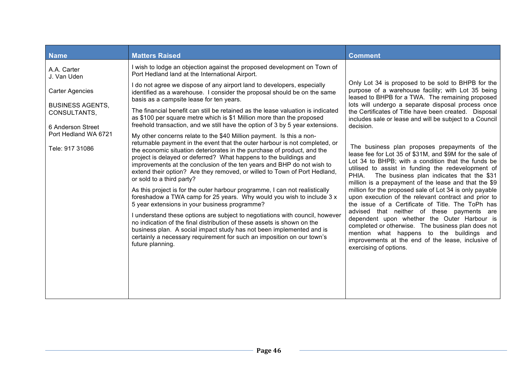| <b>Name</b>                                                  | <b>Matters Raised</b>                                                                                                                                                                                                                                                                                                                                                                | <b>Comment</b>                                                                                                                                                                                                                                                               |
|--------------------------------------------------------------|--------------------------------------------------------------------------------------------------------------------------------------------------------------------------------------------------------------------------------------------------------------------------------------------------------------------------------------------------------------------------------------|------------------------------------------------------------------------------------------------------------------------------------------------------------------------------------------------------------------------------------------------------------------------------|
| A.A. Carter<br>J. Van Uden                                   | I wish to lodge an objection against the proposed development on Town of<br>Port Hedland land at the International Airport.                                                                                                                                                                                                                                                          |                                                                                                                                                                                                                                                                              |
| <b>Carter Agencies</b>                                       | I do not agree we dispose of any airport land to developers, especially<br>identified as a warehouse. I consider the proposal should be on the same<br>basis as a campsite lease for ten years.                                                                                                                                                                                      | Only Lot 34 is proposed to be sold to BHPB for the<br>purpose of a warehouse facility; with Lot 35 being<br>leased to BHPB for a TWA. The remaining proposed                                                                                                                 |
| <b>BUSINESS AGENTS,</b><br>CONSULTANTS,                      | The financial benefit can still be retained as the lease valuation is indicated<br>as \$100 per square metre which is \$1 Million more than the proposed                                                                                                                                                                                                                             | lots will undergo a separate disposal process once<br>the Certificates of Title have been created. Disposal<br>includes sale or lease and will be subject to a Council                                                                                                       |
| 6 Anderson Street<br>Port Hedland WA 6721<br>Tele: 917 31086 | freehold transaction, and we still have the option of 3 by 5 year extensions.<br>My other concerns relate to the \$40 Million payment. Is this a non-<br>returnable payment in the event that the outer harbour is not completed, or<br>the economic situation deteriorates in the purchase of product, and the<br>project is delayed or deferred? What happens to the buildings and | decision.<br>The business plan proposes prepayments of the<br>lease fee for Lot 35 of \$31M, and \$9M for the sale of<br>Lot 34 to BHPB; with a condition that the funds be                                                                                                  |
|                                                              | improvements at the conclusion of the ten years and BHP do not wish to<br>extend their option? Are they removed, or willed to Town of Port Hedland,<br>or sold to a third party?                                                                                                                                                                                                     | utilised to assist in funding the redevelopment of<br>PHIA.<br>The business plan indicates that the \$31<br>million is a prepayment of the lease and that the \$9                                                                                                            |
|                                                              | As this project is for the outer harbour programme, I can not realistically<br>foreshadow a TWA camp for 25 years. Why would you wish to include 3 x<br>5 year extensions in your business programme?                                                                                                                                                                                | million for the proposed sale of Lot 34 is only payable<br>upon execution of the relevant contract and prior to<br>the issue of a Certificate of Title. The ToPh has                                                                                                         |
|                                                              | I understand these options are subject to negotiations with council, however<br>no indication of the final distribution of these assets is shown on the<br>business plan. A social impact study has not been implemented and is<br>certainly a necessary requirement for such an imposition on our town's<br>future planning.                                                        | advised that neither of these payments are<br>dependent upon whether the Outer Harbour is<br>completed or otherwise. The business plan does not<br>mention what happens to the buildings and<br>improvements at the end of the lease, inclusive of<br>exercising of options. |
|                                                              |                                                                                                                                                                                                                                                                                                                                                                                      |                                                                                                                                                                                                                                                                              |
|                                                              |                                                                                                                                                                                                                                                                                                                                                                                      |                                                                                                                                                                                                                                                                              |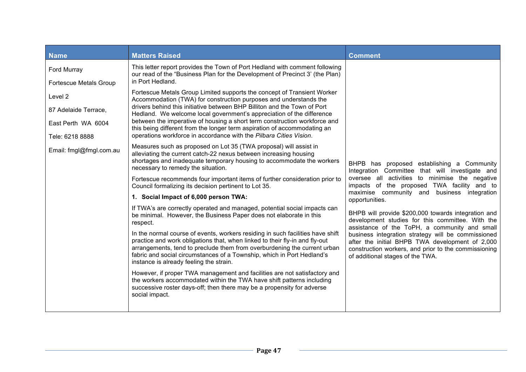| <b>Name</b>                                                              | <b>Matters Raised</b>                                                                                                                                                                                                                                                                                                                                                                                                                                                                                                                                                                                 | <b>Comment</b>                                                                                                                                                                                    |
|--------------------------------------------------------------------------|-------------------------------------------------------------------------------------------------------------------------------------------------------------------------------------------------------------------------------------------------------------------------------------------------------------------------------------------------------------------------------------------------------------------------------------------------------------------------------------------------------------------------------------------------------------------------------------------------------|---------------------------------------------------------------------------------------------------------------------------------------------------------------------------------------------------|
| Ford Murray<br>Fortescue Metals Group                                    | This letter report provides the Town of Port Hedland with comment following<br>our read of the "Business Plan for the Development of Precinct 3' (the Plan)<br>in Port Hedland.                                                                                                                                                                                                                                                                                                                                                                                                                       |                                                                                                                                                                                                   |
| Level 2<br>87 Adelaide Terrace,<br>East Perth WA 6004<br>Tele: 6218 8888 | Fortescue Metals Group Limited supports the concept of Transient Worker<br>Accommodation (TWA) for construction purposes and understands the<br>drivers behind this initiative between BHP Billiton and the Town of Port<br>Hedland. We welcome local government's appreciation of the difference<br>between the imperative of housing a short term construction workforce and<br>this being different from the longer term aspiration of accommodating an<br>operations workforce in accordance with the Pilbara Cities Vision.<br>Measures such as proposed on Lot 35 (TWA proposal) will assist in |                                                                                                                                                                                                   |
| Email: fmgl@fmgl.com.au                                                  | alleviating the current catch-22 nexus between increasing housing<br>shortages and inadequate temporary housing to accommodate the workers<br>necessary to remedy the situation.                                                                                                                                                                                                                                                                                                                                                                                                                      | BHPB has proposed establishing a Community<br>Integration Committee that will investigate and                                                                                                     |
|                                                                          | Fortescue recommends four important items of further consideration prior to<br>Council formalizing its decision pertinent to Lot 35.                                                                                                                                                                                                                                                                                                                                                                                                                                                                  | oversee all activities to minimise the negative<br>impacts of the proposed TWA facility and to<br>maximise community and business integration                                                     |
|                                                                          | 1. Social Impact of 6,000 person TWA:                                                                                                                                                                                                                                                                                                                                                                                                                                                                                                                                                                 | opportunities.                                                                                                                                                                                    |
|                                                                          | If TWA's are correctly operated and managed, potential social impacts can<br>be minimal. However, the Business Paper does not elaborate in this<br>respect.                                                                                                                                                                                                                                                                                                                                                                                                                                           | BHPB will provide \$200,000 towards integration and<br>development studies for this committee. With the<br>assistance of the ToPH, a community and small                                          |
|                                                                          | In the normal course of events, workers residing in such facilities have shift<br>practice and work obligations that, when linked to their fly-in and fly-out<br>arrangements, tend to preclude them from overburdening the current urban<br>fabric and social circumstances of a Township, which in Port Hedland's<br>instance is already feeling the strain.                                                                                                                                                                                                                                        | business integration strategy will be commissioned<br>after the initial BHPB TWA development of 2,000<br>construction workers, and prior to the commissioning<br>of additional stages of the TWA. |
|                                                                          | However, if proper TWA management and facilities are not satisfactory and<br>the workers accommodated within the TWA have shift patterns including<br>successive roster days-off; then there may be a propensity for adverse<br>social impact.                                                                                                                                                                                                                                                                                                                                                        |                                                                                                                                                                                                   |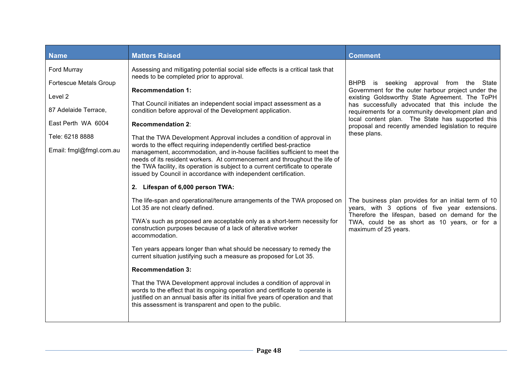| <b>Name</b>                                                                                                                                         | <b>Matters Raised</b>                                                                                                                                                                                                                                                                                                                                                                                                                                                                                                                                                                                                                                                                                                                                                                                                     | <b>Comment</b>                                                                                                                                                                                                                                                                                                                                                                       |
|-----------------------------------------------------------------------------------------------------------------------------------------------------|---------------------------------------------------------------------------------------------------------------------------------------------------------------------------------------------------------------------------------------------------------------------------------------------------------------------------------------------------------------------------------------------------------------------------------------------------------------------------------------------------------------------------------------------------------------------------------------------------------------------------------------------------------------------------------------------------------------------------------------------------------------------------------------------------------------------------|--------------------------------------------------------------------------------------------------------------------------------------------------------------------------------------------------------------------------------------------------------------------------------------------------------------------------------------------------------------------------------------|
| Ford Murray<br><b>Fortescue Metals Group</b><br>Level 2<br>87 Adelaide Terrace,<br>East Perth WA 6004<br>Tele: 6218 8888<br>Email: fmgl@fmgl.com.au | Assessing and mitigating potential social side effects is a critical task that<br>needs to be completed prior to approval.<br><b>Recommendation 1:</b><br>That Council initiates an independent social impact assessment as a<br>condition before approval of the Development application.<br><b>Recommendation 2:</b><br>That the TWA Development Approval includes a condition of approval in<br>words to the effect requiring independently certified best-practice<br>management, accommodation, and in-house facilities sufficient to meet the<br>needs of its resident workers. At commencement and throughout the life of<br>the TWA facility, its operation is subject to a current certificate to operate<br>issued by Council in accordance with independent certification.<br>2. Lifespan of 6,000 person TWA: | BHPB is seeking approval from the State<br>Government for the outer harbour project under the<br>existing Goldsworthy State Agreement. The ToPH<br>has successfully advocated that this include the<br>requirements for a community development plan and<br>local content plan. The State has supported this<br>proposal and recently amended legislation to require<br>these plans. |
|                                                                                                                                                     | The life-span and operational/tenure arrangements of the TWA proposed on<br>Lot 35 are not clearly defined.<br>TWA's such as proposed are acceptable only as a short-term necessity for<br>construction purposes because of a lack of alterative worker<br>accommodation.<br>Ten years appears longer than what should be necessary to remedy the<br>current situation justifying such a measure as proposed for Lot 35.<br><b>Recommendation 3:</b><br>That the TWA Development approval includes a condition of approval in<br>words to the effect that its ongoing operation and certificate to operate is<br>justified on an annual basis after its initial five years of operation and that<br>this assessment is transparent and open to the public.                                                                | The business plan provides for an initial term of 10<br>years, with 3 options of five year extensions.<br>Therefore the lifespan, based on demand for the<br>TWA, could be as short as 10 years, or for a<br>maximum of 25 years.                                                                                                                                                    |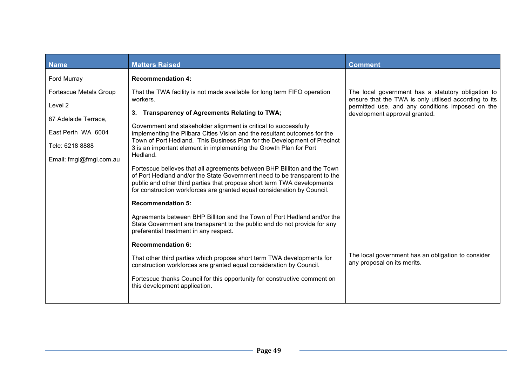| <b>Name</b>                                                                                                                          | <b>Matters Raised</b>                                                                                                                                                                                                                                                                                                                                                                                                                                                                                                                                                                                                                                                                     | <b>Comment</b>                                                                                                                                                                                   |
|--------------------------------------------------------------------------------------------------------------------------------------|-------------------------------------------------------------------------------------------------------------------------------------------------------------------------------------------------------------------------------------------------------------------------------------------------------------------------------------------------------------------------------------------------------------------------------------------------------------------------------------------------------------------------------------------------------------------------------------------------------------------------------------------------------------------------------------------|--------------------------------------------------------------------------------------------------------------------------------------------------------------------------------------------------|
| Ford Murray                                                                                                                          | <b>Recommendation 4:</b>                                                                                                                                                                                                                                                                                                                                                                                                                                                                                                                                                                                                                                                                  |                                                                                                                                                                                                  |
| <b>Fortescue Metals Group</b><br>Level 2<br>87 Adelaide Terrace,<br>East Perth WA 6004<br>Tele: 6218 8888<br>Email: fmgl@fmgl.com.au | That the TWA facility is not made available for long term FIFO operation<br>workers.<br>3. Transparency of Agreements Relating to TWA;<br>Government and stakeholder alignment is critical to successfully<br>implementing the Pilbara Cities Vision and the resultant outcomes for the<br>Town of Port Hedland. This Business Plan for the Development of Precinct<br>3 is an important element in implementing the Growth Plan for Port<br>Hedland.<br>Fortescue believes that all agreements between BHP Billiton and the Town<br>of Port Hedland and/or the State Government need to be transparent to the<br>public and other third parties that propose short term TWA developments | The local government has a statutory obligation to<br>ensure that the TWA is only utilised according to its<br>permitted use, and any conditions imposed on the<br>development approval granted. |
|                                                                                                                                      | for construction workforces are granted equal consideration by Council.<br><b>Recommendation 5:</b><br>Agreements between BHP Billiton and the Town of Port Hedland and/or the<br>State Government are transparent to the public and do not provide for any<br>preferential treatment in any respect.<br><b>Recommendation 6:</b><br>That other third parties which propose short term TWA developments for<br>construction workforces are granted equal consideration by Council.<br>Fortescue thanks Council for this opportunity for constructive comment on<br>this development application.                                                                                          | The local government has an obligation to consider<br>any proposal on its merits.                                                                                                                |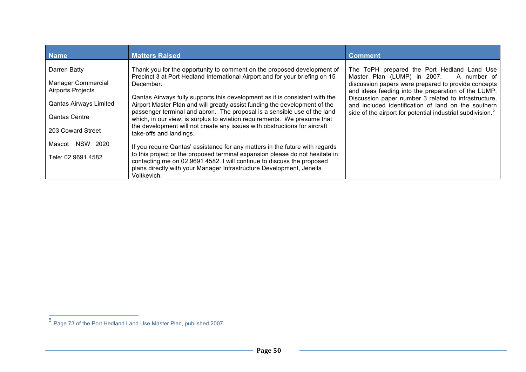| <b>Name</b>                                                                                                                                                                                 | <b>Matters Raised</b>                                                                                                                                                                                                                                                                                                                                                                                                                                                                                                                                                                                                                                                                                                                                                                                                                                                                                                              | <b>Comment</b>                                                                                                                                                                                                                                                                                                                                                                                |
|---------------------------------------------------------------------------------------------------------------------------------------------------------------------------------------------|------------------------------------------------------------------------------------------------------------------------------------------------------------------------------------------------------------------------------------------------------------------------------------------------------------------------------------------------------------------------------------------------------------------------------------------------------------------------------------------------------------------------------------------------------------------------------------------------------------------------------------------------------------------------------------------------------------------------------------------------------------------------------------------------------------------------------------------------------------------------------------------------------------------------------------|-----------------------------------------------------------------------------------------------------------------------------------------------------------------------------------------------------------------------------------------------------------------------------------------------------------------------------------------------------------------------------------------------|
| Darren Batty<br><b>Manager Commercial</b><br><b>Airports Projects</b><br>Qantas Airways Limited<br><b>Qantas Centre</b><br>203 Coward Street<br>NSW<br>2020<br>Mascot<br>Tele: 02 9691 4582 | Thank you for the opportunity to comment on the proposed development of<br>Precinct 3 at Port Hedland International Airport and for your briefing on 15<br>December.<br>Qantas Airways fully supports this development as it is consistent with the<br>Airport Master Plan and will greatly assist funding the development of the<br>passenger terminal and apron. The proposal is a sensible use of the land<br>which, in our view, is surplus to aviation requirements. We presume that<br>the development will not create any issues with obstructions for aircraft<br>take-offs and landings.<br>If you require Qantas' assistance for any matters in the future with regards<br>to this project or the proposed terminal expansion please do not hesitate in<br>contacting me on 02 9691 4582. I will continue to discuss the proposed<br>plans directly with your Manager Infrastructure Development, Jenella<br>Voitkevich. | The ToPH prepared the Port Hedland Land Use<br>Master Plan (LUMP) in 2007. A number of<br>discussion papers were prepared to provide concepts<br>and ideas feeding into the preparation of the LUMP.<br>Discussion paper number 3 related to infrastructure,<br>and included identification of land on the southern<br>side of the airport for potential industrial subdivision. <sup>5</sup> |

 <sup>5</sup> Page 73 of the Port Hedland Land Use Master Plan, published 2007.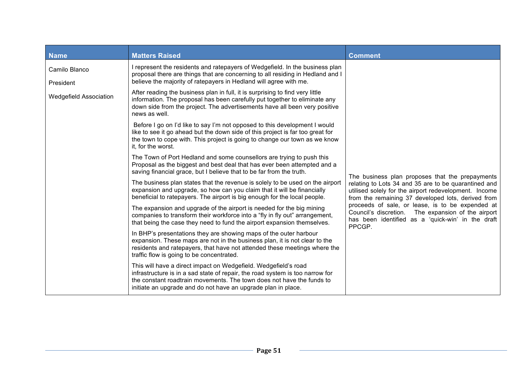| <b>Name</b>                   | <b>Matters Raised</b>                                                                                                                                                                                                                                                                      | <b>Comment</b>                                                                                                                                                                                                                                                                                                                                                                                  |
|-------------------------------|--------------------------------------------------------------------------------------------------------------------------------------------------------------------------------------------------------------------------------------------------------------------------------------------|-------------------------------------------------------------------------------------------------------------------------------------------------------------------------------------------------------------------------------------------------------------------------------------------------------------------------------------------------------------------------------------------------|
| Camilo Blanco<br>President    | I represent the residents and ratepayers of Wedgefield. In the business plan<br>proposal there are things that are concerning to all residing in Hedland and I<br>believe the majority of ratepayers in Hedland will agree with me.                                                        |                                                                                                                                                                                                                                                                                                                                                                                                 |
| <b>Wedgefield Association</b> | After reading the business plan in full, it is surprising to find very little<br>information. The proposal has been carefully put together to eliminate any<br>down side from the project. The advertisements have all been very positive<br>news as well.                                 | The business plan proposes that the prepayments<br>relating to Lots 34 and 35 are to be quarantined and<br>utilised solely for the airport redevelopment. Income<br>from the remaining 37 developed lots, derived from<br>proceeds of sale, or lease, is to be expended at<br>Council's discretion. The expansion of the airport<br>has been identified as a 'quick-win' in the draft<br>PPCGP. |
|                               | Before I go on I'd like to say I'm not opposed to this development I would<br>like to see it go ahead but the down side of this project is far too great for<br>the town to cope with. This project is going to change our town as we know<br>it, for the worst.                           |                                                                                                                                                                                                                                                                                                                                                                                                 |
|                               | The Town of Port Hedland and some counsellors are trying to push this<br>Proposal as the biggest and best deal that has ever been attempted and a<br>saving financial grace, but I believe that to be far from the truth.                                                                  |                                                                                                                                                                                                                                                                                                                                                                                                 |
|                               | The business plan states that the revenue is solely to be used on the airport<br>expansion and upgrade, so how can you claim that it will be financially<br>beneficial to ratepayers. The airport is big enough for the local people.                                                      |                                                                                                                                                                                                                                                                                                                                                                                                 |
|                               | The expansion and upgrade of the airport is needed for the big mining<br>companies to transform their workforce into a "fly in fly out" arrangement,<br>that being the case they need to fund the airport expansion themselves.                                                            |                                                                                                                                                                                                                                                                                                                                                                                                 |
|                               | In BHP's presentations they are showing maps of the outer harbour<br>expansion. These maps are not in the business plan, it is not clear to the<br>residents and ratepayers, that have not attended these meetings where the<br>traffic flow is going to be concentrated.                  |                                                                                                                                                                                                                                                                                                                                                                                                 |
|                               | This will have a direct impact on Wedgefield. Wedgefield's road<br>infrastructure is in a sad state of repair, the road system is too narrow for<br>the constant roadtrain movements. The town does not have the funds to<br>initiate an upgrade and do not have an upgrade plan in place. |                                                                                                                                                                                                                                                                                                                                                                                                 |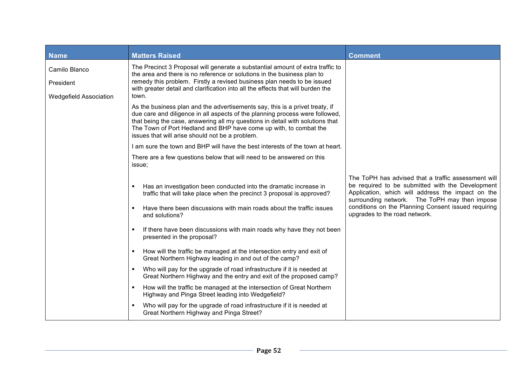| <b>Name</b>                                                 | <b>Matters Raised</b>                                                                                                                                                                                                                                                                                                                                                 | <b>Comment</b>                                                                                                                                                                                                                                                                                        |
|-------------------------------------------------------------|-----------------------------------------------------------------------------------------------------------------------------------------------------------------------------------------------------------------------------------------------------------------------------------------------------------------------------------------------------------------------|-------------------------------------------------------------------------------------------------------------------------------------------------------------------------------------------------------------------------------------------------------------------------------------------------------|
| Camilo Blanco<br>President<br><b>Wedgefield Association</b> | The Precinct 3 Proposal will generate a substantial amount of extra traffic to<br>the area and there is no reference or solutions in the business plan to<br>remedy this problem. Firstly a revised business plan needs to be issued<br>with greater detail and clarification into all the effects that will burden the<br>town.                                      |                                                                                                                                                                                                                                                                                                       |
|                                                             | As the business plan and the advertisements say, this is a privet treaty, if<br>due care and diligence in all aspects of the planning process were followed,<br>that being the case, answering all my questions in detail with solutions that<br>The Town of Port Hedland and BHP have come up with, to combat the<br>issues that will arise should not be a problem. |                                                                                                                                                                                                                                                                                                       |
|                                                             | I am sure the town and BHP will have the best interests of the town at heart.                                                                                                                                                                                                                                                                                         |                                                                                                                                                                                                                                                                                                       |
|                                                             | There are a few questions below that will need to be answered on this<br>issue;                                                                                                                                                                                                                                                                                       |                                                                                                                                                                                                                                                                                                       |
|                                                             | Has an investigation been conducted into the dramatic increase in<br>п<br>traffic that will take place when the precinct 3 proposal is approved?<br>Have there been discussions with main roads about the traffic issues<br>$\blacksquare$<br>and solutions?                                                                                                          | The ToPH has advised that a traffic assessment will<br>be required to be submitted with the Development<br>Application, which will address the impact on the<br>surrounding network. The ToPH may then impose<br>conditions on the Planning Consent issued requiring<br>upgrades to the road network. |
|                                                             | If there have been discussions with main roads why have they not been<br>٠<br>presented in the proposal?                                                                                                                                                                                                                                                              |                                                                                                                                                                                                                                                                                                       |
|                                                             | How will the traffic be managed at the intersection entry and exit of<br>$\blacksquare$<br>Great Northern Highway leading in and out of the camp?                                                                                                                                                                                                                     |                                                                                                                                                                                                                                                                                                       |
|                                                             | Who will pay for the upgrade of road infrastructure if it is needed at<br>٠<br>Great Northern Highway and the entry and exit of the proposed camp?                                                                                                                                                                                                                    |                                                                                                                                                                                                                                                                                                       |
|                                                             | How will the traffic be managed at the intersection of Great Northern<br>٠<br>Highway and Pinga Street leading into Wedgefield?                                                                                                                                                                                                                                       |                                                                                                                                                                                                                                                                                                       |
|                                                             | Who will pay for the upgrade of road infrastructure if it is needed at<br>٠<br>Great Northern Highway and Pinga Street?                                                                                                                                                                                                                                               |                                                                                                                                                                                                                                                                                                       |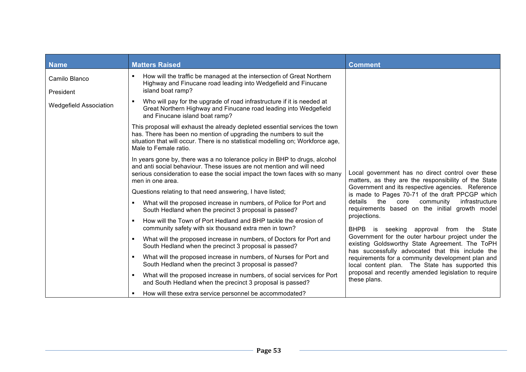| <b>Name</b>                   | <b>Matters Raised</b>                                                                                                                                                                                                                                          | <b>Comment</b>                                                                                                                                                  |
|-------------------------------|----------------------------------------------------------------------------------------------------------------------------------------------------------------------------------------------------------------------------------------------------------------|-----------------------------------------------------------------------------------------------------------------------------------------------------------------|
| Camilo Blanco<br>President    | How will the traffic be managed at the intersection of Great Northern<br>Highway and Finucane road leading into Wedgefield and Finucane<br>island boat ramp?                                                                                                   |                                                                                                                                                                 |
| <b>Wedgefield Association</b> | Who will pay for the upgrade of road infrastructure if it is needed at<br>Great Northern Highway and Finucane road leading into Wedgefield<br>and Finucane island boat ramp?                                                                                   |                                                                                                                                                                 |
|                               | This proposal will exhaust the already depleted essential services the town<br>has. There has been no mention of upgrading the numbers to suit the<br>situation that will occur. There is no statistical modelling on; Workforce age,<br>Male to Female ratio. |                                                                                                                                                                 |
|                               | In years gone by, there was a no tolerance policy in BHP to drugs, alcohol<br>and anti social behaviour. These issues are not mention and will need<br>serious consideration to ease the social impact the town faces with so many<br>men in one area.         | Local government has no direct control over these<br>matters, as they are the responsibility of the State                                                       |
|                               | Questions relating to that need answering, I have listed;                                                                                                                                                                                                      | Government and its respective agencies. Reference<br>is made to Pages 70-71 of the draft PPCGP which                                                            |
|                               | What will the proposed increase in numbers, of Police for Port and<br>South Hedland when the precinct 3 proposal is passed?                                                                                                                                    | the core<br>community<br>infrastructure<br>details<br>requirements based on the initial growth model                                                            |
|                               | How will the Town of Port Hedland and BHP tackle the erosion of<br>community safety with six thousand extra men in town?                                                                                                                                       | projections.<br>BHPB is seeking approval from the State<br>Government for the outer harbour project under the<br>existing Goldsworthy State Agreement. The ToPH |
|                               | What will the proposed increase in numbers, of Doctors for Port and<br>٠<br>South Hedland when the precinct 3 proposal is passed?                                                                                                                              |                                                                                                                                                                 |
|                               | What will the proposed increase in numbers, of Nurses for Port and<br>٠<br>South Hedland when the precinct 3 proposal is passed?                                                                                                                               | has successfully advocated that this include the<br>requirements for a community development plan and<br>local content plan. The State has supported this       |
|                               | What will the proposed increase in numbers, of social services for Port<br>and South Hedland when the precinct 3 proposal is passed?                                                                                                                           | proposal and recently amended legislation to require<br>these plans.                                                                                            |
|                               | How will these extra service personnel be accommodated?<br>٠                                                                                                                                                                                                   |                                                                                                                                                                 |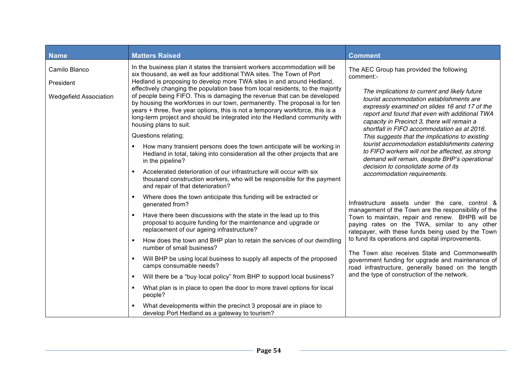| <b>Name</b>                                                 | <b>Matters Raised</b>                                                                                                                                                                                                                                                                                                                                                                                                                                                                                                                                                                                                                                                                                                                                                                                                                                                                                                                                                                                                                     | <b>Comment</b>                                                                                                                                                                                                                                                                                                                                                                                                                                                                                                                                                                                                                    |
|-------------------------------------------------------------|-------------------------------------------------------------------------------------------------------------------------------------------------------------------------------------------------------------------------------------------------------------------------------------------------------------------------------------------------------------------------------------------------------------------------------------------------------------------------------------------------------------------------------------------------------------------------------------------------------------------------------------------------------------------------------------------------------------------------------------------------------------------------------------------------------------------------------------------------------------------------------------------------------------------------------------------------------------------------------------------------------------------------------------------|-----------------------------------------------------------------------------------------------------------------------------------------------------------------------------------------------------------------------------------------------------------------------------------------------------------------------------------------------------------------------------------------------------------------------------------------------------------------------------------------------------------------------------------------------------------------------------------------------------------------------------------|
| Camilo Blanco<br>President<br><b>Wedgefield Association</b> | In the business plan it states the transient workers accommodation will be<br>six thousand, as well as four additional TWA sites. The Town of Port<br>Hedland is proposing to develop more TWA sites in and around Hedland,<br>effectively changing the population base from local residents, to the majority<br>of people being FIFO. This is damaging the revenue that can be developed<br>by housing the workforces in our town, permanently. The proposal is for ten<br>years + three, five year options, this is not a temporary workforce, this is a<br>long-term project and should be integrated into the Hedland community with<br>housing plans to suit.<br>Questions relating;<br>How many transient persons does the town anticipate will be working in<br>Hedland in total, taking into consideration all the other projects that are<br>in the pipeline?<br>Accelerated deterioration of our infrastructure will occur with six<br>$\blacksquare$<br>thousand construction workers, who will be responsible for the payment | The AEC Group has provided the following<br>comment:-<br>The implications to current and likely future<br>tourist accommodation establishments are<br>expressly examined on slides 16 and 17 of the<br>report and found that even with additional TWA<br>capacity in Precinct 3, there will remain a<br>shortfall in FIFO accommodation as at 2016.<br>This suggests that the implications to existing<br>tourist accommodation establishments catering<br>to FIFO workers will not be affected, as strong<br>demand will remain, despite BHP's operational<br>decision to consolidate some of its<br>accommodation requirements. |
|                                                             | and repair of that deterioration?<br>Where does the town anticipate this funding will be extracted or<br>$\blacksquare$<br>generated from?<br>Have there been discussions with the state in the lead up to this<br>$\blacksquare$<br>proposal to acquire funding for the maintenance and upgrade or<br>replacement of our ageing infrastructure?<br>How does the town and BHP plan to retain the services of our dwindling<br>п<br>number of small business?<br>Will BHP be using local business to supply all aspects of the proposed<br>camps consumable needs?<br>Will there be a "buy local policy" from BHP to support local business?<br>$\blacksquare$<br>What plan is in place to open the door to more travel options for local<br>$\blacksquare$<br>people?<br>What developments within the precinct 3 proposal are in place to<br>develop Port Hedland as a gateway to tourism?                                                                                                                                                | Infrastructure assets under the care, control &<br>management of the Town are the responsibility of the<br>Town to maintain, repair and renew. BHPB will be<br>paying rates on the TWA, similar to any other<br>ratepayer, with these funds being used by the Town<br>to fund its operations and capital improvements.<br>The Town also receives State and Commonwealth<br>government funding for upgrade and maintenance of<br>road infrastructure, generally based on the length<br>and the type of construction of the network.                                                                                                |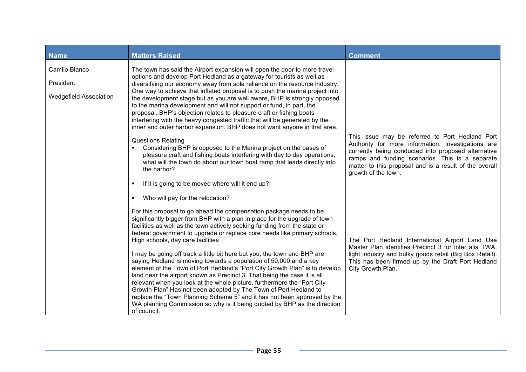| <b>Name</b>                                                 | <b>Matters Raised</b>                                                                                                                                                                                                                                                                                                                                                                                                                                                                                                                                                                                                                                                                                                                                                                                                                                                                                                                                                                                                                  | <b>Comment</b>                                                                                                                                                                                                                                                                                   |
|-------------------------------------------------------------|----------------------------------------------------------------------------------------------------------------------------------------------------------------------------------------------------------------------------------------------------------------------------------------------------------------------------------------------------------------------------------------------------------------------------------------------------------------------------------------------------------------------------------------------------------------------------------------------------------------------------------------------------------------------------------------------------------------------------------------------------------------------------------------------------------------------------------------------------------------------------------------------------------------------------------------------------------------------------------------------------------------------------------------|--------------------------------------------------------------------------------------------------------------------------------------------------------------------------------------------------------------------------------------------------------------------------------------------------|
| Camilo Blanco<br>President<br><b>Wedgefield Association</b> | The town has said the Airport expansion will open the door to more travel<br>options and develop Port Hedland as a gateway for tourists as well as<br>diversifying our economy away from sole reliance on the resource industry.<br>One way to achieve that inflated proposal is to push the marina project into<br>the development stage but as you are well aware, BHP is strongly opposed<br>to the marina development and will not support or fund, in part, the<br>proposal. BHP's objection relates to pleasure craft or fishing boats<br>interfering with the heavy congested traffic that will be generated by the<br>inner and outer harbor expansion. BHP does not want anyone in that area.<br><b>Questions Relating</b><br>Considering BHP is opposed to the Marina project on the bases of<br>pleasure craft and fishing boats interfering with day to day operations,<br>what will the town do about our town boat ramp that leads directly into<br>the harbor?<br>If it is going to be moved where will it end up?<br>٠ | This issue may be referred to Port Hedland Port<br>Authority for more information. Investigations are<br>currently being conducted into proposed alternative<br>ramps and funding scenarios. This is a separate<br>matter to this proposal and is a result of the overall<br>growth of the town. |
|                                                             | Who will pay for the relocation?<br>٠<br>For this proposal to go ahead the compensation package needs to be<br>significantly bigger from BHP with a plan in place for the upgrade of town<br>facilities as well as the town actively seeking funding from the state or<br>federal government to upgrade or replace core needs like primary schools,<br>High schools, day care facilities<br>I may be going off track a little bit here but you, the town and BHP are<br>saying Hedland is moving towards a population of 50,000 and a key<br>element of the Town of Port Hedland's "Port City Growth Plan" is to develop<br>land near the airport known as Precinct 3. That being the case it is all<br>relevant when you look at the whole picture, furthermore the "Port City<br>Growth Plan" Has not been adopted by The Town of Port Hedland to<br>replace the "Town Planning Scheme 5" and it has not been approved by the<br>WA planning Commission so why is it being quoted by BHP as the direction<br>of council.             | The Port Hedland International Airport Land Use<br>Master Plan identifies Precinct 3 for inter alia TWA,<br>light industry and bulky goods retail (Big Box Retail).<br>This has been firmed up by the Draft Port Hedland<br>City Growth Plan.                                                    |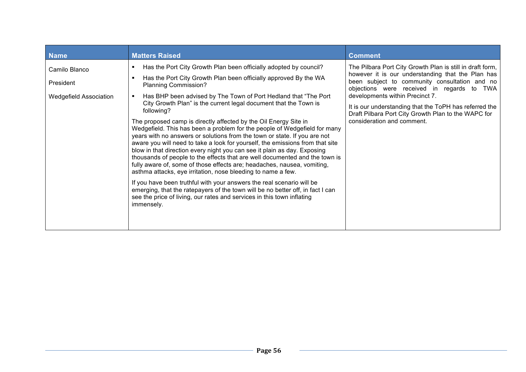| <b>Name</b>                                                 | <b>Matters Raised</b>                                                                                                                                                                                                                                                                                                                                                                                                                                                                                                                                                                                                                                                                                                                                                                                                                                                                                                                                                                                                                                                                                                                                                                                                          | <b>Comment</b>                                                                                                                                                                                                                                                                                                                                                                                  |
|-------------------------------------------------------------|--------------------------------------------------------------------------------------------------------------------------------------------------------------------------------------------------------------------------------------------------------------------------------------------------------------------------------------------------------------------------------------------------------------------------------------------------------------------------------------------------------------------------------------------------------------------------------------------------------------------------------------------------------------------------------------------------------------------------------------------------------------------------------------------------------------------------------------------------------------------------------------------------------------------------------------------------------------------------------------------------------------------------------------------------------------------------------------------------------------------------------------------------------------------------------------------------------------------------------|-------------------------------------------------------------------------------------------------------------------------------------------------------------------------------------------------------------------------------------------------------------------------------------------------------------------------------------------------------------------------------------------------|
| Camilo Blanco<br>President<br><b>Wedgefield Association</b> | Has the Port City Growth Plan been officially adopted by council?<br>٠<br>Has the Port City Growth Plan been officially approved By the WA<br>п<br><b>Planning Commission?</b><br>Has BHP been advised by The Town of Port Hedland that "The Port"<br>$\blacksquare$<br>City Growth Plan" is the current legal document that the Town is<br>following?<br>The proposed camp is directly affected by the Oil Energy Site in<br>Wedgefield. This has been a problem for the people of Wedgefield for many<br>years with no answers or solutions from the town or state. If you are not<br>aware you will need to take a look for yourself, the emissions from that site<br>blow in that direction every night you can see it plain as day. Exposing<br>thousands of people to the effects that are well documented and the town is<br>fully aware of, some of those effects are; headaches, nausea, vomiting,<br>asthma attacks, eye irritation, nose bleeding to name a few.<br>If you have been truthful with your answers the real scenario will be<br>emerging, that the ratepayers of the town will be no better off, in fact I can<br>see the price of living, our rates and services in this town inflating<br>immensely. | The Pilbara Port City Growth Plan is still in draft form,<br>however it is our understanding that the Plan has<br>been subject to community consultation and no<br>objections were received in regards to TWA<br>developments within Precinct 7.<br>It is our understanding that the ToPH has referred the<br>Draft Pilbara Port City Growth Plan to the WAPC for<br>consideration and comment. |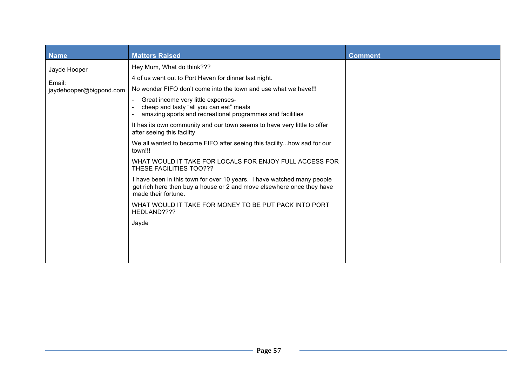| <b>Name</b>                                       | <b>Matters Raised</b>                                                                                                                                                                                         | <b>Comment</b> |
|---------------------------------------------------|---------------------------------------------------------------------------------------------------------------------------------------------------------------------------------------------------------------|----------------|
| Jayde Hooper<br>Email:<br>jaydehooper@bigpond.com | Hey Mum, What do think???<br>4 of us went out to Port Haven for dinner last night.<br>No wonder FIFO don't come into the town and use what we have!!!<br>Great income very little expenses-<br>$\blacksquare$ |                |
|                                                   | cheap and tasty "all you can eat" meals<br>amazing sports and recreational programmes and facilities                                                                                                          |                |
|                                                   | It has its own community and our town seems to have very little to offer<br>after seeing this facility                                                                                                        |                |
|                                                   | We all wanted to become FIFO after seeing this facility how sad for our<br>town!!!                                                                                                                            |                |
|                                                   | WHAT WOULD IT TAKE FOR LOCALS FOR ENJOY FULL ACCESS FOR<br>THESE FACILITIES TOO???                                                                                                                            |                |
|                                                   | I have been in this town for over 10 years. I have watched many people<br>get rich here then buy a house or 2 and move elsewhere once they have<br>made their fortune.                                        |                |
|                                                   | WHAT WOULD IT TAKE FOR MONEY TO BE PUT PACK INTO PORT<br>HEDLAND????                                                                                                                                          |                |
|                                                   | Jayde                                                                                                                                                                                                         |                |
|                                                   |                                                                                                                                                                                                               |                |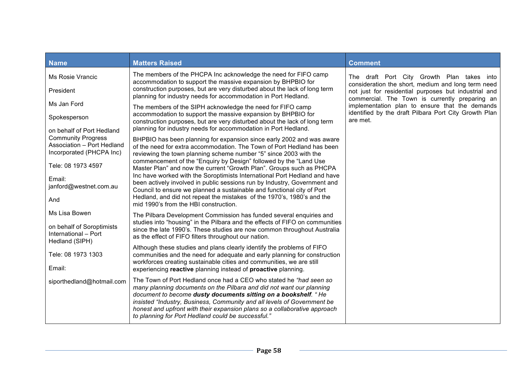| <b>Name</b>                                                         | <b>Matters Raised</b>                                                                                                                                                                                                                                                                                                                                                                                                      | <b>Comment</b>                                                                                         |
|---------------------------------------------------------------------|----------------------------------------------------------------------------------------------------------------------------------------------------------------------------------------------------------------------------------------------------------------------------------------------------------------------------------------------------------------------------------------------------------------------------|--------------------------------------------------------------------------------------------------------|
| Ms Rosie Vrancic                                                    | The members of the PHCPA Inc acknowledge the need for FIFO camp<br>accommodation to support the massive expansion by BHPBIO for                                                                                                                                                                                                                                                                                            | The draft Port City Growth Plan takes into<br>consideration the short, medium and long term need       |
| President                                                           | construction purposes, but are very disturbed about the lack of long term<br>planning for industry needs for accommodation in Port Hedland.                                                                                                                                                                                                                                                                                | not just for residential purposes but industrial and<br>commercial. The Town is currently preparing an |
| Ms Jan Ford                                                         | The members of the SIPH acknowledge the need for FIFO camp                                                                                                                                                                                                                                                                                                                                                                 | implementation plan to ensure that the demands                                                         |
| Spokesperson                                                        | accommodation to support the massive expansion by BHPBIO for<br>construction purposes, but are very disturbed about the lack of long term                                                                                                                                                                                                                                                                                  | identified by the draft Pilbara Port City Growth Plan<br>are met.                                      |
| on behalf of Port Hedland<br><b>Community Progress</b>              | planning for industry needs for accommodation in Port Hedland.                                                                                                                                                                                                                                                                                                                                                             |                                                                                                        |
| Association - Port Hedland<br>Incorporated (PHCPA Inc)              | BHPBIO has been planning for expansion since early 2002 and was aware<br>of the need for extra accommodation. The Town of Port Hedland has been<br>reviewing the town planning scheme number "5" since 2003 with the                                                                                                                                                                                                       |                                                                                                        |
| Tele: 08 1973 4597                                                  | commencement of the "Enquiry by Design" followed by the "Land Use<br>Master Plan" and now the current "Growth Plan". Groups such as PHCPA                                                                                                                                                                                                                                                                                  |                                                                                                        |
| Email:<br>janford@westnet.com.au                                    | Inc have worked with the Soroptimists International Port Hedland and have<br>been actively involved in public sessions run by Industry, Government and                                                                                                                                                                                                                                                                     |                                                                                                        |
| And                                                                 | Council to ensure we planned a sustainable and functional city of Port<br>Hedland, and did not repeat the mistakes of the 1970's, 1980's and the<br>mid 1990's from the HBI construction.                                                                                                                                                                                                                                  |                                                                                                        |
| Ms Lisa Bowen                                                       | The Pilbara Development Commission has funded several enquiries and                                                                                                                                                                                                                                                                                                                                                        |                                                                                                        |
| on behalf of Soroptimists<br>International - Port<br>Hedland (SIPH) | studies into "housing" in the Pilbara and the effects of FIFO on communities<br>since the late 1990's. These studies are now common throughout Australia<br>as the effect of FIFO filters throughout our nation.                                                                                                                                                                                                           |                                                                                                        |
| Tele: 08 1973 1303                                                  | Although these studies and plans clearly identify the problems of FIFO<br>communities and the need for adequate and early planning for construction                                                                                                                                                                                                                                                                        |                                                                                                        |
| Email:                                                              | workforces creating sustainable cities and communities, we are still<br>experiencing reactive planning instead of proactive planning.                                                                                                                                                                                                                                                                                      |                                                                                                        |
| siporthedland@hotmail.com                                           | The Town of Port Hedland once had a CEO who stated he "had seen so<br>many planning documents on the Pilbara and did not want our planning<br>document to become dusty documents sitting on a bookshelf. "He<br>insisted "Industry, Business, Community and all levels of Government be<br>honest and upfront with their expansion plans so a collaborative approach<br>to planning for Port Hedland could be successful." |                                                                                                        |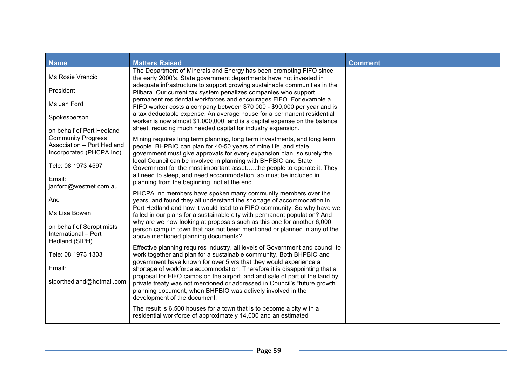| <b>Name</b>                                                                         | <b>Matters Raised</b>                                                                                                                                                                                                   | <b>Comment</b> |
|-------------------------------------------------------------------------------------|-------------------------------------------------------------------------------------------------------------------------------------------------------------------------------------------------------------------------|----------------|
| Ms Rosie Vrancic                                                                    | The Department of Minerals and Energy has been promoting FIFO since<br>the early 2000's. State government departments have not invested in<br>adequate infrastructure to support growing sustainable communities in the |                |
| President                                                                           | Pilbara. Our current tax system penalizes companies who support                                                                                                                                                         |                |
| Ms Jan Ford                                                                         | permanent residential workforces and encourages FIFO. For example a<br>FIFO worker costs a company between \$70 000 - \$90,000 per year and is                                                                          |                |
| Spokesperson                                                                        | a tax deductable expense. An average house for a permanent residential<br>worker is now almost \$1,000,000, and is a capital expense on the balance                                                                     |                |
| on behalf of Port Hedland                                                           | sheet, reducing much needed capital for industry expansion.                                                                                                                                                             |                |
| <b>Community Progress</b><br>Association - Port Hedland<br>Incorporated (PHCPA Inc) | Mining requires long term planning, long term investments, and long term<br>people. BHPBIO can plan for 40-50 years of mine life, and state<br>government must give approvals for every expansion plan, so surely the   |                |
| Tele: 08 1973 4597                                                                  | local Council can be involved in planning with BHPBIO and State<br>Government for the most important assetthe people to operate it. They                                                                                |                |
| Email:<br>janford@westnet.com.au                                                    | all need to sleep, and need accommodation, so must be included in<br>planning from the beginning, not at the end.                                                                                                       |                |
| And                                                                                 | PHCPA Inc members have spoken many community members over the<br>years, and found they all understand the shortage of accommodation in                                                                                  |                |
| Ms Lisa Bowen                                                                       | Port Hedland and how it would lead to a FIFO community. So why have we<br>failed in our plans for a sustainable city with permanent population? And                                                                     |                |
| on behalf of Soroptimists<br>International - Port<br>Hedland (SIPH)                 | why are we now looking at proposals such as this one for another 6,000<br>person camp in town that has not been mentioned or planned in any of the<br>above mentioned planning documents?                               |                |
| Tele: 08 1973 1303                                                                  | Effective planning requires industry, all levels of Government and council to<br>work together and plan for a sustainable community. Both BHPBIO and                                                                    |                |
| Email:                                                                              | government have known for over 5 yrs that they would experience a<br>shortage of workforce accommodation. Therefore it is disappointing that a                                                                          |                |
|                                                                                     | proposal for FIFO camps on the airport land and sale of part of the land by                                                                                                                                             |                |
| siporthedland@hotmail.com                                                           | private treaty was not mentioned or addressed in Council's "future growth"<br>planning document, when BHPBIO was actively involved in the<br>development of the document.                                               |                |
|                                                                                     | The result is 6,500 houses for a town that is to become a city with a<br>residential workforce of approximately 14,000 and an estimated                                                                                 |                |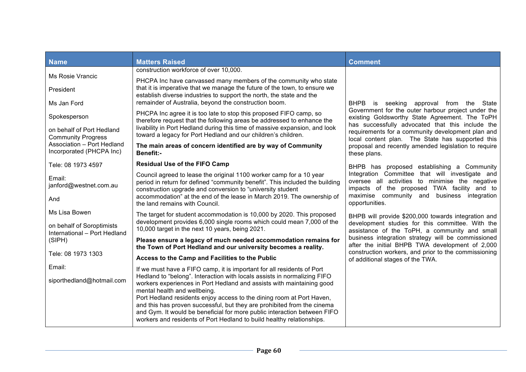| <b>Name</b>                                            | <b>Matters Raised</b>                                                                                                                                                                                                                                                                                                         | <b>Comment</b>                                                                                                                                                                                                     |
|--------------------------------------------------------|-------------------------------------------------------------------------------------------------------------------------------------------------------------------------------------------------------------------------------------------------------------------------------------------------------------------------------|--------------------------------------------------------------------------------------------------------------------------------------------------------------------------------------------------------------------|
|                                                        | construction workforce of over 10,000.                                                                                                                                                                                                                                                                                        |                                                                                                                                                                                                                    |
| <b>Ms Rosie Vrancic</b><br>President                   | PHCPA Inc have canvassed many members of the community who state<br>that it is imperative that we manage the future of the town, to ensure we                                                                                                                                                                                 |                                                                                                                                                                                                                    |
| Ms Jan Ford                                            | establish diverse industries to support the north, the state and the<br>remainder of Australia, beyond the construction boom.                                                                                                                                                                                                 | BHPB is seeking approval from the State                                                                                                                                                                            |
| Spokesperson                                           | PHCPA Inc agree it is too late to stop this proposed FIFO camp, so<br>therefore request that the following areas be addressed to enhance the                                                                                                                                                                                  | Government for the outer harbour project under the<br>existing Goldsworthy State Agreement. The ToPH                                                                                                               |
| on behalf of Port Hedland<br><b>Community Progress</b> | livability in Port Hedland during this time of massive expansion, and look<br>toward a legacy for Port Hedland and our children's children.                                                                                                                                                                                   | has successfully advocated that this include the<br>requirements for a community development plan and<br>local content plan. The State has supported this                                                          |
| Association - Port Hedland<br>Incorporated (PHCPA Inc) | The main areas of concern identified are by way of Community<br><b>Benefit:-</b>                                                                                                                                                                                                                                              | proposal and recently amended legislation to require<br>these plans.                                                                                                                                               |
| Tele: 08 1973 4597                                     | <b>Residual Use of the FIFO Camp</b>                                                                                                                                                                                                                                                                                          | BHPB has proposed establishing a Community                                                                                                                                                                         |
| Email:<br>janford@westnet.com.au<br>And                | Council agreed to lease the original 1100 worker camp for a 10 year<br>period in return for defined "community benefit". This included the building<br>construction upgrade and conversion to "university student<br>accommodation" at the end of the lease in March 2019. The ownership of<br>the land remains with Council. | Integration Committee that will investigate and<br>oversee all activities to minimise the negative<br>impacts of the proposed TWA facility and to<br>maximise community and business integration<br>opportunities. |
| Ms Lisa Bowen<br>on behalf of Soroptimists             | The target for student accommodation is 10,000 by 2020. This proposed<br>development provides 6,000 single rooms which could mean 7,000 of the                                                                                                                                                                                | BHPB will provide \$200,000 towards integration and<br>development studies for this committee. With the                                                                                                            |
| International - Port Hedland                           | 10,000 target in the next 10 years, being 2021.                                                                                                                                                                                                                                                                               | assistance of the ToPH, a community and small                                                                                                                                                                      |
| (SIPH)                                                 | Please ensure a legacy of much needed accommodation remains for<br>the Town of Port Hedland and our university becomes a reality.                                                                                                                                                                                             | business integration strategy will be commissioned<br>after the initial BHPB TWA development of 2,000                                                                                                              |
| Tele: 08 1973 1303                                     | Access to the Camp and Facilities to the Public                                                                                                                                                                                                                                                                               | construction workers, and prior to the commissioning<br>of additional stages of the TWA.                                                                                                                           |
| Email:                                                 | If we must have a FIFO camp, it is important for all residents of Port                                                                                                                                                                                                                                                        |                                                                                                                                                                                                                    |
| siporthedland@hotmail.com                              | Hedland to "belong". Interaction with locals assists in normalizing FIFO<br>workers experiences in Port Hedland and assists with maintaining good<br>mental health and wellbeing.<br>Port Hedland residents enjoy access to the dining room at Port Haven,                                                                    |                                                                                                                                                                                                                    |
|                                                        | and this has proven successful, but they are prohibited from the cinema<br>and Gym. It would be beneficial for more public interaction between FIFO<br>workers and residents of Port Hedland to build healthy relationships.                                                                                                  |                                                                                                                                                                                                                    |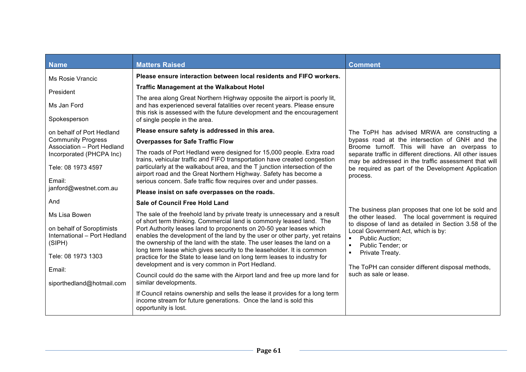| Name                                                                | <b>Matters Raised</b>                                                                                                                                                                                                           | <b>Comment</b>                                                                                                                             |
|---------------------------------------------------------------------|---------------------------------------------------------------------------------------------------------------------------------------------------------------------------------------------------------------------------------|--------------------------------------------------------------------------------------------------------------------------------------------|
| Ms Rosie Vrancic                                                    | Please ensure interaction between local residents and FIFO workers.                                                                                                                                                             |                                                                                                                                            |
| President                                                           | <b>Traffic Management at the Walkabout Hotel</b>                                                                                                                                                                                |                                                                                                                                            |
| Ms Jan Ford                                                         | The area along Great Northern Highway opposite the airport is poorly lit,<br>and has experienced several fatalities over recent years. Please ensure<br>this risk is assessed with the future development and the encouragement |                                                                                                                                            |
| Spokesperson                                                        | of single people in the area.                                                                                                                                                                                                   |                                                                                                                                            |
| on behalf of Port Hedland                                           | Please ensure safety is addressed in this area.                                                                                                                                                                                 | The ToPH has advised MRWA are constructing a                                                                                               |
| <b>Community Progress</b><br>Association - Port Hedland             | <b>Overpasses for Safe Traffic Flow</b>                                                                                                                                                                                         | bypass road at the intersection of GNH and the<br>Broome turnoff. This will have an overpass to                                            |
| Incorporated (PHCPA Inc)                                            | The roads of Port Hedland were designed for 15,000 people. Extra road<br>trains, vehicular traffic and FIFO transportation have created congestion                                                                              | separate traffic in different directions. All other issues<br>may be addressed in the traffic assessment that will                         |
| Tele: 08 1973 4597                                                  | particularly at the walkabout area, and the T junction intersection of the<br>airport road and the Great Northern Highway. Safety has become a                                                                                  | be required as part of the Development Application                                                                                         |
| Email:                                                              | serious concern. Safe traffic flow requires over and under passes.                                                                                                                                                              | process.                                                                                                                                   |
| janford@westnet.com.au                                              | Please insist on safe overpasses on the roads.                                                                                                                                                                                  |                                                                                                                                            |
| And                                                                 | <b>Sale of Council Free Hold Land</b>                                                                                                                                                                                           |                                                                                                                                            |
| Ms Lisa Bowen                                                       | The sale of the freehold land by private treaty is unnecessary and a result<br>of short term thinking. Commercial land is commonly leased land. The                                                                             | The business plan proposes that one lot be sold and<br>the other leased. The local government is required                                  |
| on behalf of Soroptimists<br>International - Port Hedland<br>(SIPH) | Port Authority leases land to proponents on 20-50 year leases which<br>enables the development of the land by the user or other party, yet retains<br>the ownership of the land with the state. The user leases the land on a   | to dispose of land as detailed in Section 3.58 of the<br>Local Government Act, which is by:<br><b>Public Auction;</b><br>Public Tender; or |
| Tele: 08 1973 1303                                                  | long term lease which gives security to the leaseholder. It is common<br>practice for the State to lease land on long term leases to industry for<br>development and is very common in Port Hedland.                            | Private Treaty.<br>The ToPH can consider different disposal methods,                                                                       |
| Email:<br>siporthedland@hotmail.com                                 | Council could do the same with the Airport land and free up more land for<br>similar developments.                                                                                                                              | such as sale or lease.                                                                                                                     |
|                                                                     | If Council retains ownership and sells the lease it provides for a long term<br>income stream for future generations. Once the land is sold this<br>opportunity is lost.                                                        |                                                                                                                                            |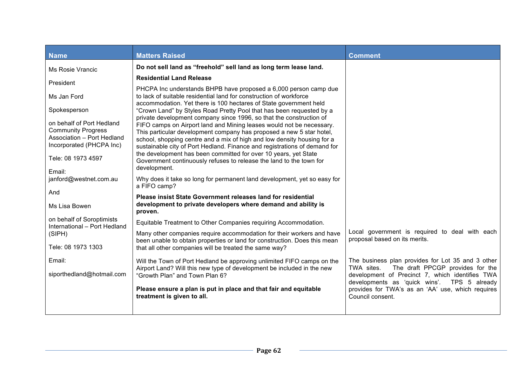| <b>Name</b>                                                                                                      | <b>Matters Raised</b>                                                                                                                                                                                                                                                                                                                                                       | <b>Comment</b>                                                                                                       |
|------------------------------------------------------------------------------------------------------------------|-----------------------------------------------------------------------------------------------------------------------------------------------------------------------------------------------------------------------------------------------------------------------------------------------------------------------------------------------------------------------------|----------------------------------------------------------------------------------------------------------------------|
| Ms Rosie Vrancic                                                                                                 | Do not sell land as "freehold" sell land as long term lease land.                                                                                                                                                                                                                                                                                                           |                                                                                                                      |
| President                                                                                                        | <b>Residential Land Release</b>                                                                                                                                                                                                                                                                                                                                             |                                                                                                                      |
| Ms Jan Ford                                                                                                      | PHCPA Inc understands BHPB have proposed a 6,000 person camp due<br>to lack of suitable residential land for construction of workforce<br>accommodation. Yet there is 100 hectares of State government held                                                                                                                                                                 |                                                                                                                      |
| Spokesperson                                                                                                     | "Crown Land" by Styles Road Pretty Pool that has been requested by a                                                                                                                                                                                                                                                                                                        |                                                                                                                      |
| on behalf of Port Hedland<br><b>Community Progress</b><br>Association - Port Hedland<br>Incorporated (PHCPA Inc) | private development company since 1996, so that the construction of<br>FIFO camps on Airport land and Mining leases would not be necessary.<br>This particular development company has proposed a new 5 star hotel,<br>school, shopping centre and a mix of high and low density housing for a<br>sustainable city of Port Hedland. Finance and registrations of demand for |                                                                                                                      |
| Tele: 08 1973 4597                                                                                               | the development has been committed for over 10 years, yet State<br>Government continuously refuses to release the land to the town for                                                                                                                                                                                                                                      |                                                                                                                      |
| Email:                                                                                                           | development.                                                                                                                                                                                                                                                                                                                                                                |                                                                                                                      |
| janford@westnet.com.au                                                                                           | Why does it take so long for permanent land development, yet so easy for<br>a FIFO camp?                                                                                                                                                                                                                                                                                    |                                                                                                                      |
| And                                                                                                              | <b>Please insist State Government releases land for residential</b>                                                                                                                                                                                                                                                                                                         |                                                                                                                      |
| Ms Lisa Bowen                                                                                                    | development to private developers where demand and ability is<br>proven.                                                                                                                                                                                                                                                                                                    |                                                                                                                      |
| on behalf of Soroptimists<br>International - Port Hedland                                                        | Equitable Treatment to Other Companies requiring Accommodation.                                                                                                                                                                                                                                                                                                             |                                                                                                                      |
| (SIPH)                                                                                                           | Many other companies require accommodation for their workers and have<br>been unable to obtain properties or land for construction. Does this mean                                                                                                                                                                                                                          | Local government is required to deal with each<br>proposal based on its merits.                                      |
| Tele: 08 1973 1303                                                                                               | that all other companies will be treated the same way?                                                                                                                                                                                                                                                                                                                      |                                                                                                                      |
| Email:                                                                                                           | Will the Town of Port Hedland be approving unlimited FIFO camps on the                                                                                                                                                                                                                                                                                                      | The business plan provides for Lot 35 and 3 other                                                                    |
| siporthedland@hotmail.com                                                                                        | Airport Land? Will this new type of development be included in the new<br>"Growth Plan" and Town Plan 6?                                                                                                                                                                                                                                                                    | TWA sites.<br>The draft PPCGP provides for the<br>development of Precinct 7, which identifies TWA                    |
|                                                                                                                  | Please ensure a plan is put in place and that fair and equitable<br>treatment is given to all.                                                                                                                                                                                                                                                                              | developments as 'quick wins'. TPS 5 already<br>provides for TWA's as an 'AA' use, which requires<br>Council consent. |
|                                                                                                                  |                                                                                                                                                                                                                                                                                                                                                                             |                                                                                                                      |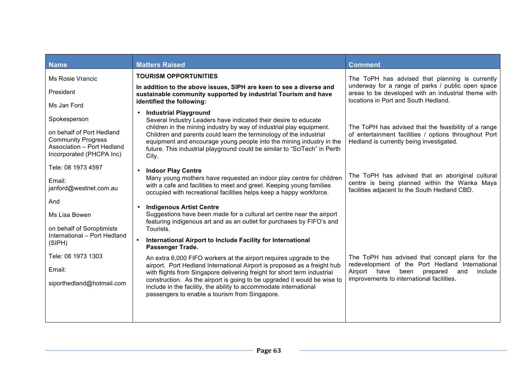| <b>Name</b>                                                                                                      | <b>Matters Raised</b>                                                                                                                                                                                                                                                                                    | <b>Comment</b>                                                                                                                                            |
|------------------------------------------------------------------------------------------------------------------|----------------------------------------------------------------------------------------------------------------------------------------------------------------------------------------------------------------------------------------------------------------------------------------------------------|-----------------------------------------------------------------------------------------------------------------------------------------------------------|
| Ms Rosie Vrancic                                                                                                 | <b>TOURISM OPPORTUNITIES</b>                                                                                                                                                                                                                                                                             | The ToPH has advised that planning is currently                                                                                                           |
| President                                                                                                        | In addition to the above issues, SIPH are keen to see a diverse and<br>sustainable community supported by industrial Tourism and have                                                                                                                                                                    | underway for a range of parks / public open space<br>areas to be developed with an industrial theme with                                                  |
| Ms Jan Ford                                                                                                      | identified the following:                                                                                                                                                                                                                                                                                | locations in Port and South Hedland.                                                                                                                      |
| Spokesperson                                                                                                     | <b>Industrial Playground</b><br>$\bullet$<br>Several Industry Leaders have indicated their desire to educate                                                                                                                                                                                             |                                                                                                                                                           |
| on behalf of Port Hedland<br><b>Community Progress</b><br>Association - Port Hedland<br>Incorporated (PHCPA Inc) | children in the mining industry by way of industrial play equipment.<br>Children and parents could learn the terminology of the industrial<br>equipment and encourage young people into the mining industry in the<br>future. This industrial playground could be similar to "SciTech" in Perth<br>City. | The ToPH has advised that the feasibility of a range<br>of entertainment facilities / options throughout Port<br>Hedland is currently being investigated. |
| Tele: 08 1973 4597                                                                                               | <b>Indoor Play Centre</b>                                                                                                                                                                                                                                                                                |                                                                                                                                                           |
| Email:<br>janford@westnet.com.au                                                                                 | Many young mothers have requested an indoor play centre for children<br>with a cafe and facilities to meet and greet. Keeping young families<br>occupied with recreational facilities helps keep a happy workforce.                                                                                      | The ToPH has advised that an aboriginal cultural<br>centre is being planned within the Wanka Maya<br>facilities adjacent to the South Hedland CBD.        |
| And                                                                                                              | <b>Indigenous Artist Centre</b>                                                                                                                                                                                                                                                                          |                                                                                                                                                           |
| Ms Lisa Bowen                                                                                                    | Suggestions have been made for a cultural art centre near the airport<br>featuring indigenous art and as an outlet for purchases by FIFO's and                                                                                                                                                           |                                                                                                                                                           |
| on behalf of Soroptimists                                                                                        | Tourists.                                                                                                                                                                                                                                                                                                |                                                                                                                                                           |
| International - Port Hedland<br>(SIPH)                                                                           | International Airport to Include Facility for International<br>Passenger Trade.                                                                                                                                                                                                                          |                                                                                                                                                           |
| Tele: 08 1973 1303                                                                                               | An extra 6,000 FIFO workers at the airport requires upgrade to the                                                                                                                                                                                                                                       | The ToPH has advised that concept plans for the                                                                                                           |
| Email:                                                                                                           | airport. Port Hedland International Airport is proposed as a freight hub<br>with flights from Singapore delivering freight for short term industrial                                                                                                                                                     | redevelopment of the Port Hedland International<br>include<br>Airport<br>have<br>been<br>prepared<br>and                                                  |
| siporthedland@hotmail.com                                                                                        | construction. As the airport is going to be upgraded it would be wise to<br>include in the facility, the ability to accommodate international<br>passengers to enable a tourism from Singapore.                                                                                                          | improvements to international facilities.                                                                                                                 |
|                                                                                                                  |                                                                                                                                                                                                                                                                                                          |                                                                                                                                                           |
|                                                                                                                  |                                                                                                                                                                                                                                                                                                          |                                                                                                                                                           |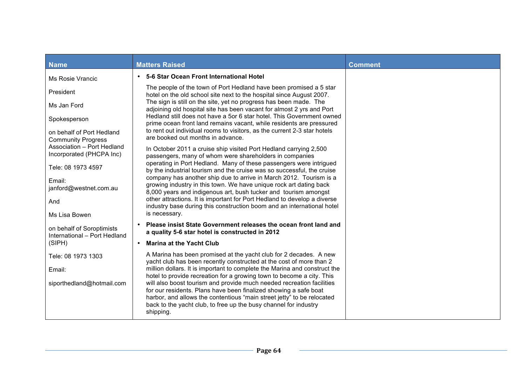| <b>Name</b>                                               | <b>Matters Raised</b>                                                                                                                                                                                                                                                                                | <b>Comment</b> |
|-----------------------------------------------------------|------------------------------------------------------------------------------------------------------------------------------------------------------------------------------------------------------------------------------------------------------------------------------------------------------|----------------|
| Ms Rosie Vrancic                                          | 5-6 Star Ocean Front International Hotel<br>$\bullet$                                                                                                                                                                                                                                                |                |
| President                                                 | The people of the town of Port Hedland have been promised a 5 star<br>hotel on the old school site next to the hospital since August 2007.                                                                                                                                                           |                |
| Ms Jan Ford                                               | The sign is still on the site, yet no progress has been made. The<br>adjoining old hospital site has been vacant for almost 2 yrs and Port                                                                                                                                                           |                |
| Spokesperson                                              | Hedland still does not have a 5or 6 star hotel. This Government owned<br>prime ocean front land remains vacant, while residents are pressured                                                                                                                                                        |                |
| on behalf of Port Hedland<br><b>Community Progress</b>    | to rent out individual rooms to visitors, as the current 2-3 star hotels<br>are booked out months in advance.                                                                                                                                                                                        |                |
| Association - Port Hedland<br>Incorporated (PHCPA Inc)    | In October 2011 a cruise ship visited Port Hedland carrying 2,500<br>passengers, many of whom were shareholders in companies                                                                                                                                                                         |                |
| Tele: 08 1973 4597                                        | operating in Port Hedland. Many of these passengers were intrigued<br>by the industrial tourism and the cruise was so successful, the cruise                                                                                                                                                         |                |
| Email:<br>janford@westnet.com.au                          | company has another ship due to arrive in March 2012. Tourism is a<br>growing industry in this town. We have unique rock art dating back                                                                                                                                                             |                |
| And                                                       | 8,000 years and indigenous art, bush tucker and tourism amongst<br>other attractions. It is important for Port Hedland to develop a diverse                                                                                                                                                          |                |
| Ms Lisa Bowen                                             | industry base during this construction boom and an international hotel<br>is necessary.                                                                                                                                                                                                              |                |
| on behalf of Soroptimists<br>International - Port Hedland | Please insist State Government releases the ocean front land and<br>a quality 5-6 star hotel is constructed in 2012                                                                                                                                                                                  |                |
| (SIPH)                                                    | <b>Marina at the Yacht Club</b><br>$\bullet$                                                                                                                                                                                                                                                         |                |
| Tele: 08 1973 1303                                        | A Marina has been promised at the yacht club for 2 decades. A new<br>yacht club has been recently constructed at the cost of more than 2                                                                                                                                                             |                |
| Email:                                                    | million dollars. It is important to complete the Marina and construct the<br>hotel to provide recreation for a growing town to become a city. This                                                                                                                                                   |                |
| siporthedland@hotmail.com                                 | will also boost tourism and provide much needed recreation facilities<br>for our residents. Plans have been finalized showing a safe boat<br>harbor, and allows the contentious "main street jetty" to be relocated<br>back to the yacht club, to free up the busy channel for industry<br>shipping. |                |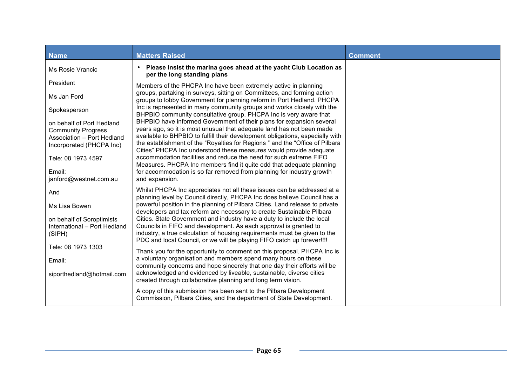| <b>Name</b>                                                                                                      | <b>Matters Raised</b>                                                                                                                                                                                                                                                                                                                                                                 | <b>Comment</b> |
|------------------------------------------------------------------------------------------------------------------|---------------------------------------------------------------------------------------------------------------------------------------------------------------------------------------------------------------------------------------------------------------------------------------------------------------------------------------------------------------------------------------|----------------|
| <b>Ms Rosie Vrancic</b>                                                                                          | Please insist the marina goes ahead at the yacht Club Location as<br>$\bullet$<br>per the long standing plans                                                                                                                                                                                                                                                                         |                |
| President                                                                                                        | Members of the PHCPA Inc have been extremely active in planning                                                                                                                                                                                                                                                                                                                       |                |
| Ms Jan Ford                                                                                                      | groups, partaking in surveys, sitting on Committees, and forming action<br>groups to lobby Government for planning reform in Port Hedland. PHCPA                                                                                                                                                                                                                                      |                |
| Spokesperson                                                                                                     | Inc is represented in many community groups and works closely with the<br>BHPBIO community consultative group. PHCPA Inc is very aware that                                                                                                                                                                                                                                           |                |
| on behalf of Port Hedland<br><b>Community Progress</b><br>Association - Port Hedland<br>Incorporated (PHCPA Inc) | BHPBIO have informed Government of their plans for expansion several<br>years ago, so it is most unusual that adequate land has not been made<br>available to BHPBIO to fulfill their development obligations, especially with<br>the establishment of the "Royalties for Regions " and the "Office of Pilbara"<br>Cities" PHCPA Inc understood these measures would provide adequate |                |
| Tele: 08 1973 4597                                                                                               | accommodation facilities and reduce the need for such extreme FIFO<br>Measures. PHCPA Inc members find it quite odd that adequate planning                                                                                                                                                                                                                                            |                |
| Email:<br>janford@westnet.com.au                                                                                 | for accommodation is so far removed from planning for industry growth<br>and expansion.                                                                                                                                                                                                                                                                                               |                |
| And                                                                                                              | Whilst PHCPA Inc appreciates not all these issues can be addressed at a<br>planning level by Council directly, PHCPA Inc does believe Council has a                                                                                                                                                                                                                                   |                |
| Ms Lisa Bowen                                                                                                    | powerful position in the planning of Pilbara Cities. Land release to private<br>developers and tax reform are necessary to create Sustainable Pilbara                                                                                                                                                                                                                                 |                |
| on behalf of Soroptimists<br>International - Port Hedland<br>(SIPH)                                              | Cities. State Government and industry have a duty to include the local<br>Councils in FIFO and development. As each approval is granted to<br>industry, a true calculation of housing requirements must be given to the<br>PDC and local Council, or we will be playing FIFO catch up forever!!!!                                                                                     |                |
| Tele: 08 1973 1303                                                                                               | Thank you for the opportunity to comment on this proposal. PHCPA Inc is                                                                                                                                                                                                                                                                                                               |                |
| Email:                                                                                                           | a voluntary organisation and members spend many hours on these<br>community concerns and hope sincerely that one day their efforts will be                                                                                                                                                                                                                                            |                |
| siporthedland@hotmail.com                                                                                        | acknowledged and evidenced by liveable, sustainable, diverse cities<br>created through collaborative planning and long term vision.                                                                                                                                                                                                                                                   |                |
|                                                                                                                  | A copy of this submission has been sent to the Pilbara Development<br>Commission, Pilbara Cities, and the department of State Development.                                                                                                                                                                                                                                            |                |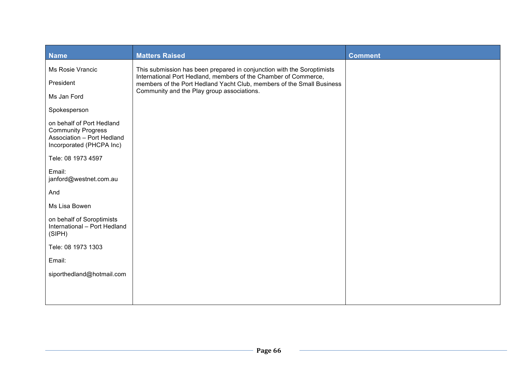| <b>Name</b>                                                                                                      | <b>Matters Raised</b>                                                                                                                    | <b>Comment</b> |
|------------------------------------------------------------------------------------------------------------------|------------------------------------------------------------------------------------------------------------------------------------------|----------------|
| Ms Rosie Vrancic                                                                                                 | This submission has been prepared in conjunction with the Soroptimists                                                                   |                |
| President                                                                                                        | International Port Hedland, members of the Chamber of Commerce,<br>members of the Port Hedland Yacht Club, members of the Small Business |                |
| Ms Jan Ford                                                                                                      | Community and the Play group associations.                                                                                               |                |
| Spokesperson                                                                                                     |                                                                                                                                          |                |
| on behalf of Port Hedland<br><b>Community Progress</b><br>Association - Port Hedland<br>Incorporated (PHCPA Inc) |                                                                                                                                          |                |
| Tele: 08 1973 4597                                                                                               |                                                                                                                                          |                |
| Email:<br>janford@westnet.com.au                                                                                 |                                                                                                                                          |                |
| And                                                                                                              |                                                                                                                                          |                |
| Ms Lisa Bowen                                                                                                    |                                                                                                                                          |                |
| on behalf of Soroptimists<br>International - Port Hedland<br>(SIPH)                                              |                                                                                                                                          |                |
| Tele: 08 1973 1303                                                                                               |                                                                                                                                          |                |
| Email:                                                                                                           |                                                                                                                                          |                |
| siporthedland@hotmail.com                                                                                        |                                                                                                                                          |                |
|                                                                                                                  |                                                                                                                                          |                |
|                                                                                                                  |                                                                                                                                          |                |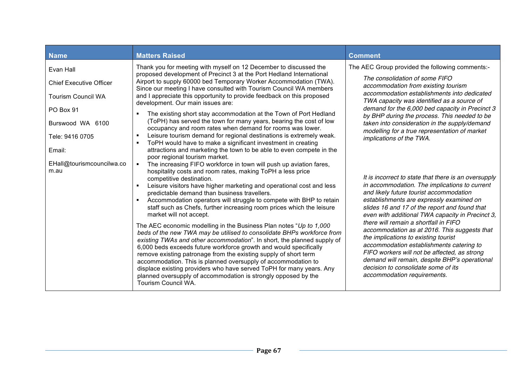| <b>Name</b>                                                                                                                            | <b>Matters Raised</b>                                                                                                                                                                                                                                                                                                                                                                                                                                                                                                                                                                                                                                                                                                                                                                                                                                                                                                                                                                                                                                                                   | <b>Comment</b>                                                                                                                                                                                                                                                                                                                                                                                                                                                                                                                                                                                                                                        |
|----------------------------------------------------------------------------------------------------------------------------------------|-----------------------------------------------------------------------------------------------------------------------------------------------------------------------------------------------------------------------------------------------------------------------------------------------------------------------------------------------------------------------------------------------------------------------------------------------------------------------------------------------------------------------------------------------------------------------------------------------------------------------------------------------------------------------------------------------------------------------------------------------------------------------------------------------------------------------------------------------------------------------------------------------------------------------------------------------------------------------------------------------------------------------------------------------------------------------------------------|-------------------------------------------------------------------------------------------------------------------------------------------------------------------------------------------------------------------------------------------------------------------------------------------------------------------------------------------------------------------------------------------------------------------------------------------------------------------------------------------------------------------------------------------------------------------------------------------------------------------------------------------------------|
| Evan Hall<br><b>Chief Executive Officer</b><br><b>Tourism Council WA</b><br>PO Box 91<br>Burswood WA 6100<br>Tele: 9416 0705<br>Email: | Thank you for meeting with myself on 12 December to discussed the<br>proposed development of Precinct 3 at the Port Hedland International<br>Airport to supply 60000 bed Temporary Worker Accommodation (TWA).<br>Since our meeting I have consulted with Tourism Council WA members<br>and I appreciate this opportunity to provide feedback on this proposed<br>development. Our main issues are:<br>The existing short stay accommodation at the Town of Port Hedland<br>(ToPH) has served the town for many years, bearing the cost of low<br>occupancy and room rates when demand for rooms was lower.<br>Leisure tourism demand for regional destinations is extremely weak.<br>$\blacksquare$<br>ToPH would have to make a significant investment in creating<br>attractions and marketing the town to be able to even compete in the<br>poor regional tourism market.                                                                                                                                                                                                           | The AEC Group provided the following comments:-<br>The consolidation of some FIFO<br>accommodation from existing tourism<br>accommodation establishments into dedicated<br>TWA capacity was identified as a source of<br>demand for the 6,000 bed capacity in Precinct 3<br>by BHP during the process. This needed to be<br>taken into consideration in the supply/demand<br>modelling for a true representation of market<br>implications of the TWA.                                                                                                                                                                                                |
| EHall@tourismcouncilwa.co<br>m.au                                                                                                      | The increasing FIFO workforce in town will push up aviation fares,<br>$\blacksquare$<br>hospitality costs and room rates, making ToPH a less price<br>competitive destination.<br>Leisure visitors have higher marketing and operational cost and less<br>predictable demand than business travellers.<br>Accommodation operators will struggle to compete with BHP to retain<br>staff such as Chefs, further increasing room prices which the leisure<br>market will not accept.<br>The AEC economic modelling in the Business Plan notes "Up to 1,000<br>beds of the new TWA may be utilised to consolidate BHPs workforce from<br>existing TWAs and other accommodation". In short, the planned supply of<br>6,000 beds exceeds future workforce growth and would specifically<br>remove existing patronage from the existing supply of short term<br>accommodation. This is planned oversupply of accommodation to<br>displace existing providers who have served ToPH for many years. Any<br>planned oversupply of accommodation is strongly opposed by the<br>Tourism Council WA. | It is incorrect to state that there is an oversupply<br>in accommodation. The implications to current<br>and likely future tourist accommodation<br>establishments are expressly examined on<br>slides 16 and 17 of the report and found that<br>even with additional TWA capacity in Precinct 3,<br>there will remain a shortfall in FIFO<br>accommodation as at 2016. This suggests that<br>the implications to existing tourist<br>accommodation establishments catering to<br>FIFO workers will not be affected, as strong<br>demand will remain, despite BHP's operational<br>decision to consolidate some of its<br>accommodation requirements. |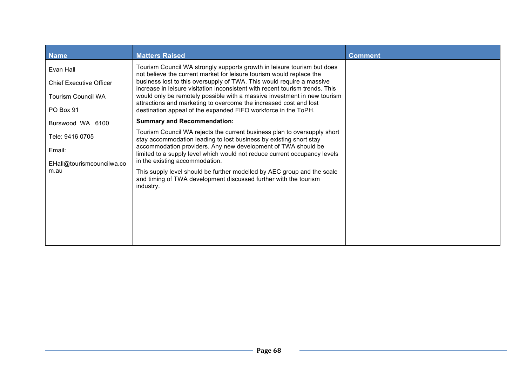| <b>Name</b>                                                                           | <b>Matters Raised</b>                                                                                                                                                                                                                                                                                                                                                                                                                                                                                                       | <b>Comment</b> |
|---------------------------------------------------------------------------------------|-----------------------------------------------------------------------------------------------------------------------------------------------------------------------------------------------------------------------------------------------------------------------------------------------------------------------------------------------------------------------------------------------------------------------------------------------------------------------------------------------------------------------------|----------------|
| Evan Hall<br><b>Chief Executive Officer</b><br><b>Tourism Council WA</b><br>PO Box 91 | Tourism Council WA strongly supports growth in leisure tourism but does<br>not believe the current market for leisure tourism would replace the<br>business lost to this oversupply of TWA. This would require a massive<br>increase in leisure visitation inconsistent with recent tourism trends. This<br>would only be remotely possible with a massive investment in new tourism<br>attractions and marketing to overcome the increased cost and lost<br>destination appeal of the expanded FIFO workforce in the ToPH. |                |
| Burswood WA 6100                                                                      | <b>Summary and Recommendation:</b>                                                                                                                                                                                                                                                                                                                                                                                                                                                                                          |                |
| Tele: 9416 0705<br>Email:<br>EHall@tourismcouncilwa.co<br>m.au                        | Tourism Council WA rejects the current business plan to oversupply short<br>stay accommodation leading to lost business by existing short stay<br>accommodation providers. Any new development of TWA should be<br>limited to a supply level which would not reduce current occupancy levels<br>in the existing accommodation.<br>This supply level should be further modelled by AEC group and the scale<br>and timing of TWA development discussed further with the tourism<br>industry.                                  |                |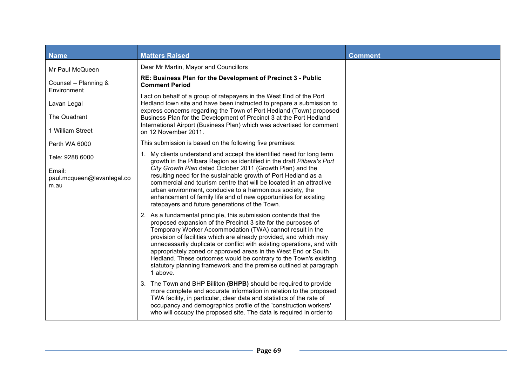| <b>Name</b>                                                     | <b>Matters Raised</b>                                                                                                                                                                                                                                                                                                                                                                                                                                                                                                                                                 | <b>Comment</b> |
|-----------------------------------------------------------------|-----------------------------------------------------------------------------------------------------------------------------------------------------------------------------------------------------------------------------------------------------------------------------------------------------------------------------------------------------------------------------------------------------------------------------------------------------------------------------------------------------------------------------------------------------------------------|----------------|
| Mr Paul McQueen                                                 | Dear Mr Martin, Mayor and Councillors                                                                                                                                                                                                                                                                                                                                                                                                                                                                                                                                 |                |
| Counsel - Planning &<br>Environment                             | RE: Business Plan for the Development of Precinct 3 - Public<br><b>Comment Period</b>                                                                                                                                                                                                                                                                                                                                                                                                                                                                                 |                |
| Lavan Legal                                                     | I act on behalf of a group of ratepayers in the West End of the Port<br>Hedland town site and have been instructed to prepare a submission to                                                                                                                                                                                                                                                                                                                                                                                                                         |                |
| The Quadrant                                                    | express concerns regarding the Town of Port Hedland (Town) proposed<br>Business Plan for the Development of Precinct 3 at the Port Hedland                                                                                                                                                                                                                                                                                                                                                                                                                            |                |
| 1 William Street                                                | International Airport (Business Plan) which was advertised for comment<br>on 12 November 2011.                                                                                                                                                                                                                                                                                                                                                                                                                                                                        |                |
| Perth WA 6000                                                   | This submission is based on the following five premises:                                                                                                                                                                                                                                                                                                                                                                                                                                                                                                              |                |
| Tele: 9288 6000<br>Email:<br>paul.mcqueen@lavanlegal.co<br>m.au | 1. My clients understand and accept the identified need for long term<br>growth in the Pilbara Region as identified in the draft Pilbara's Port<br>City Growth Plan dated October 2011 (Growth Plan) and the<br>resulting need for the sustainable growth of Port Hedland as a<br>commercial and tourism centre that will be located in an attractive<br>urban environment, conducive to a harmonious society, the<br>enhancement of family life and of new opportunities for existing<br>ratepayers and future generations of the Town.                              |                |
|                                                                 | 2. As a fundamental principle, this submission contends that the<br>proposed expansion of the Precinct 3 site for the purposes of<br>Temporary Worker Accommodation (TWA) cannot result in the<br>provision of facilities which are already provided, and which may<br>unnecessarily duplicate or conflict with existing operations, and with<br>appropriately zoned or approved areas in the West End or South<br>Hedland. These outcomes would be contrary to the Town's existing<br>statutory planning framework and the premise outlined at paragraph<br>1 above. |                |
|                                                                 | 3. The Town and BHP Billiton (BHPB) should be required to provide<br>more complete and accurate information in relation to the proposed<br>TWA facility, in particular, clear data and statistics of the rate of<br>occupancy and demographics profile of the 'construction workers'<br>who will occupy the proposed site. The data is required in order to                                                                                                                                                                                                           |                |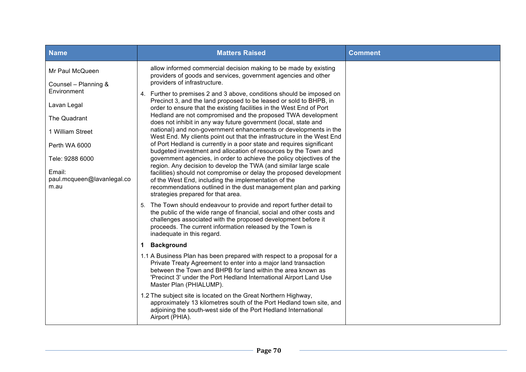| <b>Name</b>                                                     | <b>Matters Raised</b>                                                                                                                                                                                                                                                                                                                                                              | <b>Comment</b> |
|-----------------------------------------------------------------|------------------------------------------------------------------------------------------------------------------------------------------------------------------------------------------------------------------------------------------------------------------------------------------------------------------------------------------------------------------------------------|----------------|
| Mr Paul McQueen<br>Counsel - Planning &                         | allow informed commercial decision making to be made by existing<br>providers of goods and services, government agencies and other<br>providers of infrastructure.                                                                                                                                                                                                                 |                |
| Environment<br>Lavan Legal                                      | 4. Further to premises 2 and 3 above, conditions should be imposed on<br>Precinct 3, and the land proposed to be leased or sold to BHPB, in<br>order to ensure that the existing facilities in the West End of Port                                                                                                                                                                |                |
| The Quadrant                                                    | Hedland are not compromised and the proposed TWA development<br>does not inhibit in any way future government (local, state and                                                                                                                                                                                                                                                    |                |
| 1 William Street                                                | national) and non-government enhancements or developments in the<br>West End. My clients point out that the infrastructure in the West End                                                                                                                                                                                                                                         |                |
| Perth WA 6000                                                   | of Port Hedland is currently in a poor state and requires significant<br>budgeted investment and allocation of resources by the Town and                                                                                                                                                                                                                                           |                |
| Tele: 9288 6000<br>Email:<br>paul.mcqueen@lavanlegal.co<br>m.au | government agencies, in order to achieve the policy objectives of the<br>region. Any decision to develop the TWA (and similar large scale<br>facilities) should not compromise or delay the proposed development<br>of the West End, including the implementation of the<br>recommendations outlined in the dust management plan and parking<br>strategies prepared for that area. |                |
|                                                                 | 5. The Town should endeavour to provide and report further detail to<br>the public of the wide range of financial, social and other costs and<br>challenges associated with the proposed development before it<br>proceeds. The current information released by the Town is<br>inadequate in this regard.                                                                          |                |
|                                                                 | 1 Background                                                                                                                                                                                                                                                                                                                                                                       |                |
|                                                                 | 1.1 A Business Plan has been prepared with respect to a proposal for a<br>Private Treaty Agreement to enter into a major land transaction<br>between the Town and BHPB for land within the area known as<br>'Precinct 3' under the Port Hedland International Airport Land Use<br>Master Plan (PHIALUMP).                                                                          |                |
|                                                                 | 1.2 The subject site is located on the Great Northern Highway,<br>approximately 13 kilometres south of the Port Hedland town site, and<br>adjoining the south-west side of the Port Hedland International<br>Airport (PHIA).                                                                                                                                                       |                |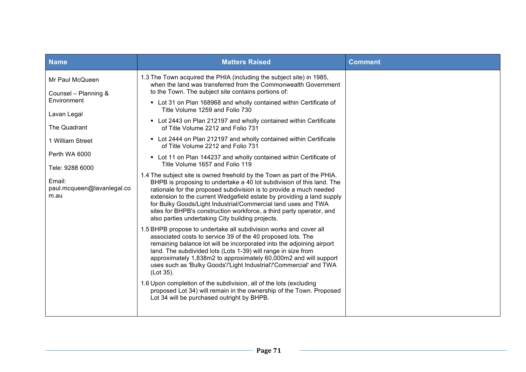| <b>Name</b>                                  | <b>Matters Raised</b>                                                                                                                                                                                                                                                                                                                                                                                                                                                                        | <b>Comment</b> |
|----------------------------------------------|----------------------------------------------------------------------------------------------------------------------------------------------------------------------------------------------------------------------------------------------------------------------------------------------------------------------------------------------------------------------------------------------------------------------------------------------------------------------------------------------|----------------|
| Mr Paul McQueen<br>Counsel - Planning &      | 1.3 The Town acquired the PHIA (including the subject site) in 1985,<br>when the land was transferred from the Commonwealth Government<br>to the Town. The subject site contains portions of:                                                                                                                                                                                                                                                                                                |                |
| Environment                                  | • Lot 31 on Plan 168968 and wholly contained within Certificate of<br>Title Volume 1259 and Folio 730                                                                                                                                                                                                                                                                                                                                                                                        |                |
| Lavan Legal<br>The Quadrant                  | • Lot 2443 on Plan 212197 and wholly contained within Certificate<br>of Title Volume 2212 and Folio 731                                                                                                                                                                                                                                                                                                                                                                                      |                |
| 1 William Street                             | • Lot 2444 on Plan 212197 and wholly contained within Certificate<br>of Title Volume 2212 and Folio 731                                                                                                                                                                                                                                                                                                                                                                                      |                |
| Perth WA 6000<br>Tele: 9288 6000             | • Lot 11 on Plan 144237 and wholly contained within Certificate of<br>Title Volume 1657 and Folio 119                                                                                                                                                                                                                                                                                                                                                                                        |                |
| Email:<br>paul.mcqueen@lavanlegal.co<br>m.au | 1.4 The subject site is owned freehold by the Town as part of the PHIA.<br>BHPB is proposing to undertake a 40 lot subdivision of this land. The<br>rationale for the proposed subdivision is to provide a much needed<br>extension to the current Wedgefield estate by providing a land supply<br>for Bulky Goods/Light Industrial/Commercial land uses and TWA<br>sites for BHPB's construction workforce, a third party operator, and<br>also parties undertaking City building projects. |                |
|                                              | 1.5 BHPB propose to undertake all subdivision works and cover all<br>associated costs to service 39 of the 40 proposed lots. The<br>remaining balance lot will be incorporated into the adjoining airport<br>land. The subdivided lots (Lots 1-39) will range in size from<br>approximately 1,838m2 to approximately 60,000m2 and will support<br>uses such as 'Bulky Goods'/'Light Industrial'/'Commercial' and TWA<br>(Lot 35).                                                            |                |
|                                              | 1.6 Upon completion of the subdivision, all of the lots (excluding<br>proposed Lot 34) will remain in the ownership of the Town. Proposed<br>Lot 34 will be purchased outright by BHPB.                                                                                                                                                                                                                                                                                                      |                |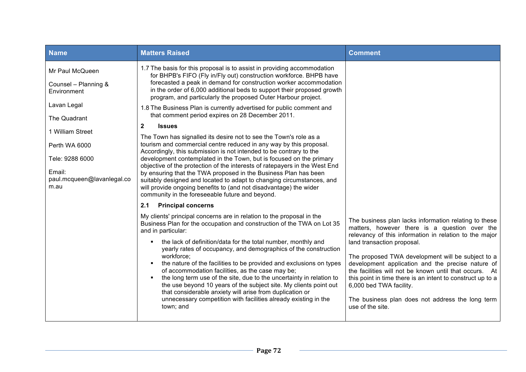|                                                                                                                                             | <b>Matters Raised</b>                                                                                                                                                                                                                                                                                                                                                                                                                                                                                                                                                                                                                                                                                                                                                                                                                                                                                                                                                                                                                                                                                                                                                                                                                                                                                                                                                                                                                                                      | <b>Comment</b>                                                                                                                                                                                                                                                                                                                                                                                                                                                                                                  |
|---------------------------------------------------------------------------------------------------------------------------------------------|----------------------------------------------------------------------------------------------------------------------------------------------------------------------------------------------------------------------------------------------------------------------------------------------------------------------------------------------------------------------------------------------------------------------------------------------------------------------------------------------------------------------------------------------------------------------------------------------------------------------------------------------------------------------------------------------------------------------------------------------------------------------------------------------------------------------------------------------------------------------------------------------------------------------------------------------------------------------------------------------------------------------------------------------------------------------------------------------------------------------------------------------------------------------------------------------------------------------------------------------------------------------------------------------------------------------------------------------------------------------------------------------------------------------------------------------------------------------------|-----------------------------------------------------------------------------------------------------------------------------------------------------------------------------------------------------------------------------------------------------------------------------------------------------------------------------------------------------------------------------------------------------------------------------------------------------------------------------------------------------------------|
| Mr Paul McQueen<br>Counsel - Planning &<br>Environment<br>Lavan Legal                                                                       | 1.7 The basis for this proposal is to assist in providing accommodation<br>for BHPB's FIFO (Fly in/Fly out) construction workforce. BHPB have<br>forecasted a peak in demand for construction worker accommodation<br>in the order of 6,000 additional beds to support their proposed growth<br>program, and particularly the proposed Outer Harbour project.<br>1.8 The Business Plan is currently advertised for public comment and                                                                                                                                                                                                                                                                                                                                                                                                                                                                                                                                                                                                                                                                                                                                                                                                                                                                                                                                                                                                                                      |                                                                                                                                                                                                                                                                                                                                                                                                                                                                                                                 |
| The Quadrant<br>$\mathbf{2}$<br>1 William Street<br>Perth WA 6000<br>Tele: 9288 6000<br>Email:<br>paul.mcqueen@lavanlegal.co<br>m.au<br>2.1 | that comment period expires on 28 December 2011.<br><b>Issues</b><br>The Town has signalled its desire not to see the Town's role as a<br>tourism and commercial centre reduced in any way by this proposal.<br>Accordingly, this submission is not intended to be contrary to the<br>development contemplated in the Town, but is focused on the primary<br>objective of the protection of the interests of ratepayers in the West End<br>by ensuring that the TWA proposed in the Business Plan has been<br>suitably designed and located to adapt to changing circumstances, and<br>will provide ongoing benefits to (and not disadvantage) the wider<br>community in the foreseeable future and beyond.<br><b>Principal concerns</b><br>My clients' principal concerns are in relation to the proposal in the<br>Business Plan for the occupation and construction of the TWA on Lot 35<br>and in particular:<br>the lack of definition/data for the total number, monthly and<br>yearly rates of occupancy, and demographics of the construction<br>workforce:<br>the nature of the facilities to be provided and exclusions on types<br>of accommodation facilities, as the case may be;<br>the long term use of the site, due to the uncertainty in relation to<br>the use beyond 10 years of the subject site. My clients point out<br>that considerable anxiety will arise from duplication or<br>unnecessary competition with facilities already existing in the | The business plan lacks information relating to these<br>matters, however there is a question over the<br>relevancy of this information in relation to the major<br>land transaction proposal.<br>The proposed TWA development will be subject to a<br>development application and the precise nature of<br>the facilities will not be known until that occurs. At<br>this point in time there is an intent to construct up to a<br>6,000 bed TWA facility.<br>The business plan does not address the long term |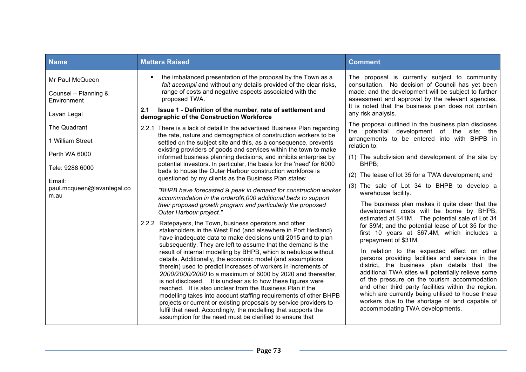| <b>Name</b>                                                                                                          | <b>Matters Raised</b>                                                                                                                                                                                                                                                                                                                                                                                                                                                                                                                                                                                                                                                                                                                                                                                                                                                                                                                                                                                                                                                                                                                                                                                                                                                                                                                                                                                                                                                                                                                                                                                                                                                                                                  | <b>Comment</b>                                                                                                                                                                                                                                                                                                                                                                                                                                                                                                                                                                                                                                                                                                                                                                                                                                                                                                                                                                                                                                                                                           |
|----------------------------------------------------------------------------------------------------------------------|------------------------------------------------------------------------------------------------------------------------------------------------------------------------------------------------------------------------------------------------------------------------------------------------------------------------------------------------------------------------------------------------------------------------------------------------------------------------------------------------------------------------------------------------------------------------------------------------------------------------------------------------------------------------------------------------------------------------------------------------------------------------------------------------------------------------------------------------------------------------------------------------------------------------------------------------------------------------------------------------------------------------------------------------------------------------------------------------------------------------------------------------------------------------------------------------------------------------------------------------------------------------------------------------------------------------------------------------------------------------------------------------------------------------------------------------------------------------------------------------------------------------------------------------------------------------------------------------------------------------------------------------------------------------------------------------------------------------|----------------------------------------------------------------------------------------------------------------------------------------------------------------------------------------------------------------------------------------------------------------------------------------------------------------------------------------------------------------------------------------------------------------------------------------------------------------------------------------------------------------------------------------------------------------------------------------------------------------------------------------------------------------------------------------------------------------------------------------------------------------------------------------------------------------------------------------------------------------------------------------------------------------------------------------------------------------------------------------------------------------------------------------------------------------------------------------------------------|
| Mr Paul McQueen<br>Counsel - Planning &<br>Environment<br>Lavan Legal                                                | the imbalanced presentation of the proposal by the Town as a<br>٠<br>fait accompli and without any details provided of the clear risks,<br>range of costs and negative aspects associated with the<br>proposed TWA.<br>2.1<br>Issue 1 - Definition of the number, rate of settlement and<br>demographic of the Construction Workforce                                                                                                                                                                                                                                                                                                                                                                                                                                                                                                                                                                                                                                                                                                                                                                                                                                                                                                                                                                                                                                                                                                                                                                                                                                                                                                                                                                                  | The proposal is currently subject to community<br>consultation. No decision of Council has yet been<br>made; and the development will be subject to further<br>assessment and approval by the relevant agencies.<br>It is noted that the business plan does not contain<br>any risk analysis.                                                                                                                                                                                                                                                                                                                                                                                                                                                                                                                                                                                                                                                                                                                                                                                                            |
| The Quadrant<br>1 William Street<br>Perth WA 6000<br>Tele: 9288 6000<br>Email:<br>paul.mcqueen@lavanlegal.co<br>m.au | 2.2.1 There is a lack of detail in the advertised Business Plan regarding<br>the rate, nature and demographics of construction workers to be<br>settled on the subject site and this, as a consequence, prevents<br>existing providers of goods and services within the town to make<br>informed business planning decisions, and inhibits enterprise by<br>potential investors. In particular, the basis for the 'need' for 6000<br>beds to house the Outer Harbour construction workforce is<br>questioned by my clients as the Business Plan states:<br>"BHPB have forecasted a peak in demand for construction worker<br>accommodation in the orderof6,000 additional beds to support<br>their proposed growth program and particularly the proposed<br>Outer Harbour project."<br>2.2.2 Ratepayers, the Town, business operators and other<br>stakeholders in the West End (and elsewhere in Port Hedland)<br>have inadequate data to make decisions until 2015 and to plan<br>subsequently. They are left to assume that the demand is the<br>result of internal modelling by BHPB, which is nebulous without<br>details. Additionally, the economic model (and assumptions<br>therein) used to predict increases of workers in increments of<br>2000/2000/2000 to a maximum of 6000 by 2020 and thereafter,<br>is not disclosed. It is unclear as to how these figures were<br>reached. It is also unclear from the Business Plan if the<br>modelling takes into account staffing requirements of other BHPB<br>projects or current or existing proposals by service providers to<br>fulfil that need. Accordingly, the modelling that supports the<br>assumption for the need must be clarified to ensure that | The proposal outlined in the business plan discloses<br>the potential development of the site; the<br>arrangements to be entered into with BHPB in<br>relation to:<br>(1) The subdivision and development of the site by<br>BHPB;<br>(2) The lease of lot 35 for a TWA development; and<br>(3) The sale of Lot 34 to BHPB to develop a<br>warehouse facility.<br>The business plan makes it quite clear that the<br>development costs will be borne by BHPB,<br>estimated at \$41M. The potential sale of Lot 34<br>for \$9M; and the potential lease of Lot 35 for the<br>first 10 years at \$67.4M, which includes a<br>prepayment of \$31M.<br>In relation to the expected effect on other<br>persons providing facilities and services in the<br>district, the business plan details that the<br>additional TWA sites will potentially relieve some<br>of the pressure on the tourism accommodation<br>and other third party facilities within the region,<br>which are currently being utilised to house these<br>workers due to the shortage of land capable of<br>accommodating TWA developments. |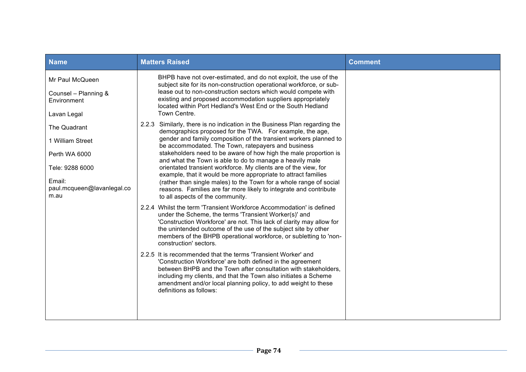| <b>Name</b>                                                                                                          | <b>Matters Raised</b>                                                                                                                                                                                                                                                                                                                                                                                                                                                                                                                                                                                                                                                                                                 | <b>Comment</b> |
|----------------------------------------------------------------------------------------------------------------------|-----------------------------------------------------------------------------------------------------------------------------------------------------------------------------------------------------------------------------------------------------------------------------------------------------------------------------------------------------------------------------------------------------------------------------------------------------------------------------------------------------------------------------------------------------------------------------------------------------------------------------------------------------------------------------------------------------------------------|----------------|
| Mr Paul McQueen<br>Counsel - Planning &<br>Environment<br>Lavan Legal                                                | BHPB have not over-estimated, and do not exploit, the use of the<br>subject site for its non-construction operational workforce, or sub-<br>lease out to non-construction sectors which would compete with<br>existing and proposed accommodation suppliers appropriately<br>located within Port Hedland's West End or the South Hedland<br>Town Centre.                                                                                                                                                                                                                                                                                                                                                              |                |
| The Quadrant<br>1 William Street<br>Perth WA 6000<br>Tele: 9288 6000<br>Email:<br>paul.mcqueen@lavanlegal.co<br>m.au | 2.2.3 Similarly, there is no indication in the Business Plan regarding the<br>demographics proposed for the TWA. For example, the age,<br>gender and family composition of the transient workers planned to<br>be accommodated. The Town, ratepayers and business<br>stakeholders need to be aware of how high the male proportion is<br>and what the Town is able to do to manage a heavily male<br>orientated transient workforce. My clients are of the view, for<br>example, that it would be more appropriate to attract families<br>(rather than single males) to the Town for a whole range of social<br>reasons. Families are far more likely to integrate and contribute<br>to all aspects of the community. |                |
|                                                                                                                      | 2.2.4 Whilst the term 'Transient Workforce Accommodation' is defined<br>under the Scheme, the terms 'Transient Worker(s)' and<br>'Construction Workforce' are not. This lack of clarity may allow for<br>the unintended outcome of the use of the subject site by other<br>members of the BHPB operational workforce, or subletting to 'non-<br>construction' sectors.                                                                                                                                                                                                                                                                                                                                                |                |
|                                                                                                                      | 2.2.5 It is recommended that the terms 'Transient Worker' and<br>'Construction Workforce' are both defined in the agreement<br>between BHPB and the Town after consultation with stakeholders,<br>including my clients, and that the Town also initiates a Scheme<br>amendment and/or local planning policy, to add weight to these<br>definitions as follows:                                                                                                                                                                                                                                                                                                                                                        |                |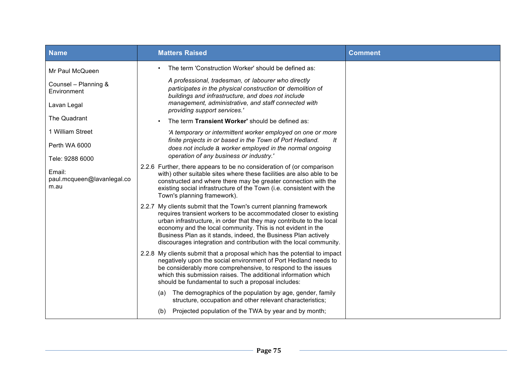| <b>Name</b>                                  | <b>Matters Raised</b>                                                                                                                                                                                                                                                                                                                                                                                                 | <b>Comment</b> |
|----------------------------------------------|-----------------------------------------------------------------------------------------------------------------------------------------------------------------------------------------------------------------------------------------------------------------------------------------------------------------------------------------------------------------------------------------------------------------------|----------------|
| Mr Paul McQueen                              | The term 'Construction Worker' should be defined as:                                                                                                                                                                                                                                                                                                                                                                  |                |
| Counsel - Planning &<br>Environment          | A professional, tradesman, or labourer who directly<br>participates in the physical construction Of demolition of<br>buildings and infrastructure, and does not include                                                                                                                                                                                                                                               |                |
| Lavan Legal                                  | management, administrative, and staff connected with<br>providing support services.'                                                                                                                                                                                                                                                                                                                                  |                |
| The Quadrant                                 | The term Transient Worker' should be defined as:                                                                                                                                                                                                                                                                                                                                                                      |                |
| 1 William Street                             | 'A temporary or intermittent worker employed on one or more<br>finite projects in or based in the Town of Port Hedland.<br>lt                                                                                                                                                                                                                                                                                         |                |
| Perth WA 6000                                | does not include a worker employed in the normal ongoing                                                                                                                                                                                                                                                                                                                                                              |                |
| Tele: 9288 6000                              | operation of any business or industry.'                                                                                                                                                                                                                                                                                                                                                                               |                |
| Email:<br>paul.mcqueen@lavanlegal.co<br>m.au | 2.2.6 Further, there appears to be no consideration of (or comparison<br>with) other suitable sites where these facilities are also able to be<br>constructed and where there may be greater connection with the<br>existing social infrastructure of the Town (i.e. consistent with the<br>Town's planning framework).                                                                                               |                |
|                                              | 2.2.7 My clients submit that the Town's current planning framework<br>requires transient workers to be accommodated closer to existing<br>urban infrastructure, in order that they may contribute to the local<br>economy and the local community. This is not evident in the<br>Business Plan as it stands, indeed, the Business Plan actively<br>discourages integration and contribution with the local community. |                |
|                                              | 2.2.8 My clients submit that a proposal which has the potential to impact<br>negatively upon the social environment of Port Hedland needs to<br>be considerably more comprehensive, to respond to the issues<br>which this submission raises. The additional information which<br>should be fundamental to such a proposal includes:                                                                                  |                |
|                                              | The demographics of the population by age, gender, family<br>(a)<br>structure, occupation and other relevant characteristics;                                                                                                                                                                                                                                                                                         |                |
|                                              | Projected population of the TWA by year and by month;<br>(b)                                                                                                                                                                                                                                                                                                                                                          |                |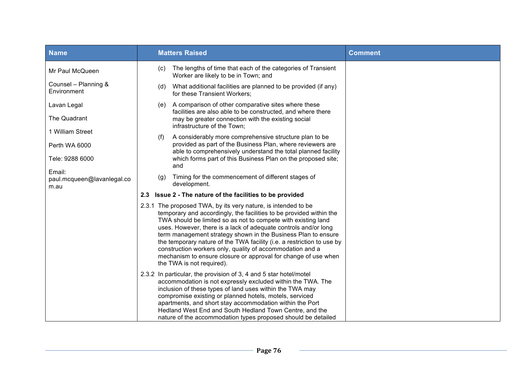| <b>Name</b>                                  | <b>Matters Raised</b>                                                                                                                                                                                                                                                                                                                                                                                                                                                                                                                                                           | <b>Comment</b> |
|----------------------------------------------|---------------------------------------------------------------------------------------------------------------------------------------------------------------------------------------------------------------------------------------------------------------------------------------------------------------------------------------------------------------------------------------------------------------------------------------------------------------------------------------------------------------------------------------------------------------------------------|----------------|
| Mr Paul McQueen                              | The lengths of time that each of the categories of Transient<br>(C)<br>Worker are likely to be in Town; and                                                                                                                                                                                                                                                                                                                                                                                                                                                                     |                |
| Counsel - Planning &<br>Environment          | What additional facilities are planned to be provided (if any)<br>(d)<br>for these Transient Workers;                                                                                                                                                                                                                                                                                                                                                                                                                                                                           |                |
| Lavan Legal                                  | A comparison of other comparative sites where these<br>(e)<br>facilities are also able to be constructed, and where there                                                                                                                                                                                                                                                                                                                                                                                                                                                       |                |
| The Quadrant                                 | may be greater connection with the existing social<br>infrastructure of the Town;                                                                                                                                                                                                                                                                                                                                                                                                                                                                                               |                |
| 1 William Street                             | A considerably more comprehensive structure plan to be<br>(f)                                                                                                                                                                                                                                                                                                                                                                                                                                                                                                                   |                |
| Perth WA 6000                                | provided as part of the Business Plan, where reviewers are<br>able to comprehensively understand the total planned facility                                                                                                                                                                                                                                                                                                                                                                                                                                                     |                |
| Tele: 9288 6000                              | which forms part of this Business Plan on the proposed site;<br>and                                                                                                                                                                                                                                                                                                                                                                                                                                                                                                             |                |
| Email:<br>paul.mcqueen@lavanlegal.co<br>m.au | Timing for the commencement of different stages of<br>(g)<br>development.                                                                                                                                                                                                                                                                                                                                                                                                                                                                                                       |                |
|                                              | Issue 2 - The nature of the facilities to be provided<br>2.3                                                                                                                                                                                                                                                                                                                                                                                                                                                                                                                    |                |
|                                              | 2.3.1 The proposed TWA, by its very nature, is intended to be<br>temporary and accordingly, the facilities to be provided within the<br>TWA should be limited so as not to compete with existing land<br>uses. However, there is a lack of adequate controls and/or long<br>term management strategy shown in the Business Plan to ensure<br>the temporary nature of the TWA facility (i.e. a restriction to use by<br>construction workers only, quality of accommodation and a<br>mechanism to ensure closure or approval for change of use when<br>the TWA is not required). |                |
|                                              | 2.3.2 In particular, the provision of 3, 4 and 5 star hotel/motel<br>accommodation is not expressly excluded within the TWA. The<br>inclusion of these types of land uses within the TWA may<br>compromise existing or planned hotels, motels, serviced<br>apartments, and short stay accommodation within the Port<br>Hedland West End and South Hedland Town Centre, and the<br>nature of the accommodation types proposed should be detailed                                                                                                                                 |                |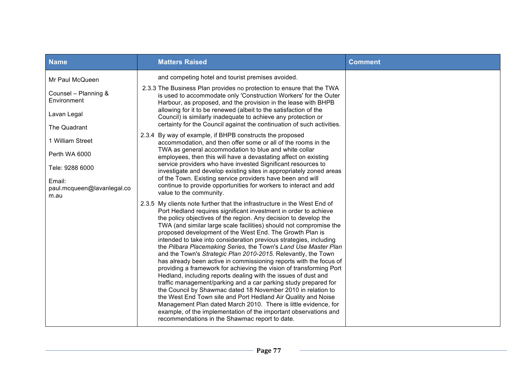| <b>Name</b>                                                                                               | <b>Matters Raised</b>                                                                                                                                                                                                                                                                                                                                                                                                                                                                                                                                                                                                                                                                                                                                                                                                                                                                                                                                                                                                                                                                                                                                                    | <b>Comment</b> |
|-----------------------------------------------------------------------------------------------------------|--------------------------------------------------------------------------------------------------------------------------------------------------------------------------------------------------------------------------------------------------------------------------------------------------------------------------------------------------------------------------------------------------------------------------------------------------------------------------------------------------------------------------------------------------------------------------------------------------------------------------------------------------------------------------------------------------------------------------------------------------------------------------------------------------------------------------------------------------------------------------------------------------------------------------------------------------------------------------------------------------------------------------------------------------------------------------------------------------------------------------------------------------------------------------|----------------|
| Mr Paul McQueen<br>Counsel - Planning &<br>Environment<br>Lavan Legal<br>The Quadrant<br>1 William Street | and competing hotel and tourist premises avoided.<br>2.3.3 The Business Plan provides no protection to ensure that the TWA<br>is used to accommodate only 'Construction Workers' for the Outer<br>Harbour, as proposed, and the provision in the lease with BHPB<br>allowing for it to be renewed (albeit to the satisfaction of the<br>Council) is similarly inadequate to achieve any protection or<br>certainty for the Council against the continuation of such activities.<br>2.3.4 By way of example, if BHPB constructs the proposed<br>accommodation, and then offer some or all of the rooms in the                                                                                                                                                                                                                                                                                                                                                                                                                                                                                                                                                             |                |
| Perth WA 6000<br>Tele: 9288 6000<br>Email:<br>paul.mcqueen@lavanlegal.co<br>m.au                          | TWA as general accommodation to blue and white collar<br>employees, then this will have a devastating affect on existing<br>service providers who have invested Significant resources to<br>investigate and develop existing sites in appropriately zoned areas<br>of the Town. Existing service providers have been and will<br>continue to provide opportunities for workers to interact and add<br>value to the community.                                                                                                                                                                                                                                                                                                                                                                                                                                                                                                                                                                                                                                                                                                                                            |                |
|                                                                                                           | 2.3.5 My clients note further that the infrastructure in the West End of<br>Port Hedland requires significant investment in order to achieve<br>the policy objectives of the region. Any decision to develop the<br>TWA (and similar large scale facilities) should not compromise the<br>proposed development of the West End. The Growth Plan is<br>intended to take into consideration previous strategies, including<br>the Pilbara Placemaking Series, the Town's Land Use Master Plan<br>and the Town's Strategic Plan 2010-2015. Relevantly, the Town<br>has already been active in commissioning reports with the focus of<br>providing a framework for achieving the vision of transforming Port<br>Hedland, including reports dealing with the issues of dust and<br>traffic management/parking and a car parking study prepared for<br>the Council by Shawmac dated 18 November 2010 in relation to<br>the West End Town site and Port Hedland Air Quality and Noise<br>Management Plan dated March 2010. There is little evidence, for<br>example, of the implementation of the important observations and<br>recommendations in the Shawmac report to date. |                |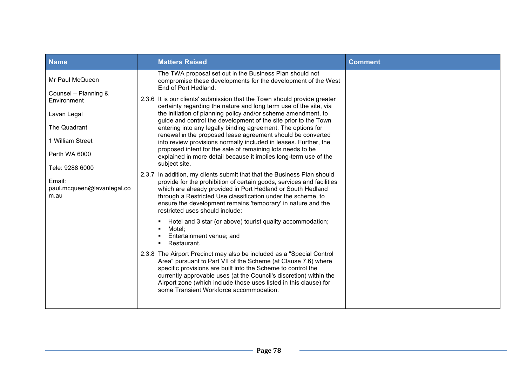| <b>Name</b>                                                                                             | <b>Matters Raised</b>                                                                                                                                                                                                                                                                                                                                                                                                                                                                                                                                                                                                  | <b>Comment</b> |
|---------------------------------------------------------------------------------------------------------|------------------------------------------------------------------------------------------------------------------------------------------------------------------------------------------------------------------------------------------------------------------------------------------------------------------------------------------------------------------------------------------------------------------------------------------------------------------------------------------------------------------------------------------------------------------------------------------------------------------------|----------------|
| Mr Paul McQueen                                                                                         | The TWA proposal set out in the Business Plan should not<br>compromise these developments for the development of the West<br>End of Port Hedland.                                                                                                                                                                                                                                                                                                                                                                                                                                                                      |                |
| Counsel - Planning &<br>Environment<br>Lavan Legal<br>The Quadrant<br>1 William Street<br>Perth WA 6000 | 2.3.6 It is our clients' submission that the Town should provide greater<br>certainty regarding the nature and long term use of the site, via<br>the initiation of planning policy and/or scheme amendment, to<br>guide and control the development of the site prior to the Town<br>entering into any legally binding agreement. The options for<br>renewal in the proposed lease agreement should be converted<br>into review provisions normally included in leases. Further, the<br>proposed intent for the sale of remaining lots needs to be<br>explained in more detail because it implies long-term use of the |                |
| Tele: 9288 6000<br>Email:<br>paul.mcqueen@lavanlegal.co<br>m.au                                         | subject site.<br>2.3.7 In addition, my clients submit that that the Business Plan should<br>provide for the prohibition of certain goods, services and facilities<br>which are already provided in Port Hedland or South Hedland<br>through a Restricted Use classification under the scheme, to<br>ensure the development remains 'temporary' in nature and the<br>restricted uses should include:<br>Hotel and 3 star (or above) tourist quality accommodation;<br>Motel:                                                                                                                                            |                |
|                                                                                                         | Entertainment venue; and<br>Restaurant.<br>2.3.8 The Airport Precinct may also be included as a "Special Control"<br>Area" pursuant to Part VII of the Scheme (at Clause 7.6) where<br>specific provisions are built into the Scheme to control the<br>currently approvable uses (at the Council's discretion) within the<br>Airport zone (which include those uses listed in this clause) for<br>some Transient Workforce accommodation.                                                                                                                                                                              |                |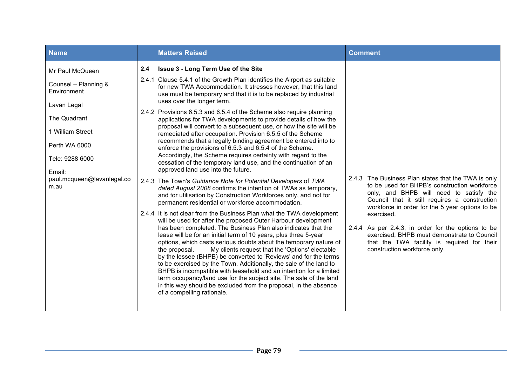| <b>Name</b>                                                                                                                                                                                   |     | <b>Matters Raised</b>                                                                                                                                                                                                                                                                                                                                                                                                                                                                                                                                                                                                                                                                                                                                                                                                                                                                                                                                                                                                                                                                                                                           | <b>Comment</b>                                                                                                                                                                                                                                    |
|-----------------------------------------------------------------------------------------------------------------------------------------------------------------------------------------------|-----|-------------------------------------------------------------------------------------------------------------------------------------------------------------------------------------------------------------------------------------------------------------------------------------------------------------------------------------------------------------------------------------------------------------------------------------------------------------------------------------------------------------------------------------------------------------------------------------------------------------------------------------------------------------------------------------------------------------------------------------------------------------------------------------------------------------------------------------------------------------------------------------------------------------------------------------------------------------------------------------------------------------------------------------------------------------------------------------------------------------------------------------------------|---------------------------------------------------------------------------------------------------------------------------------------------------------------------------------------------------------------------------------------------------|
| Mr Paul McQueen<br>Counsel - Planning &<br>Environment<br>Lavan Legal<br>The Quadrant<br>1 William Street<br>Perth WA 6000<br>Tele: 9288 6000<br>Email:<br>paul.mcqueen@lavanlegal.co<br>m.au | 2.4 | <b>Issue 3 - Long Term Use of the Site</b><br>2.4.1 Clause 5.4.1 of the Growth Plan identifies the Airport as suitable<br>for new TWA Accommodation. It stresses however, that this land<br>use must be temporary and that it is to be replaced by industrial<br>uses over the longer term.<br>2.4.2 Provisions 6.5.3 and 6.5.4 of the Scheme also require planning<br>applications for TWA developments to provide details of how the<br>proposal will convert to a subsequent use, or how the site will be<br>remediated after occupation. Provision 6.5.5 of the Scheme<br>recommends that a legally binding agreement be entered into to<br>enforce the provisions of 6.5.3 and 6.5.4 of the Scheme.<br>Accordingly, the Scheme requires certainty with regard to the<br>cessation of the temporary land use, and the continuation of an<br>approved land use into the future.<br>2.4.3 The Town's Guidance Note for Potential Developers of TWA<br>dated August 2008 confirms the intention of TWAs as temporary,<br>and for utilisation by Construction Workforces only, and not for<br>permanent residential or workforce accommodation. | 2.4.3 The Business Plan states that the TWA is only<br>to be used for BHPB's construction workforce<br>only, and BHPB will need to satisfy the<br>Council that it still requires a construction                                                   |
|                                                                                                                                                                                               |     | 2.4.4 It is not clear from the Business Plan what the TWA development<br>will be used for after the proposed Outer Harbour development<br>has been completed. The Business Plan also indicates that the<br>lease will be for an initial term of 10 years, plus three 5-year<br>options, which casts serious doubts about the temporary nature of<br>My clients request that the 'Options' electable<br>the proposal.<br>by the lessee (BHPB) be converted to 'Reviews' and for the terms<br>to be exercised by the Town. Additionally, the sale of the land to<br>BHPB is incompatible with leasehold and an intention for a limited<br>term occupancy/land use for the subject site. The sale of the land<br>in this way should be excluded from the proposal, in the absence<br>of a compelling rationale.                                                                                                                                                                                                                                                                                                                                    | workforce in order for the 5 year options to be<br>exercised.<br>2.4.4 As per 2.4.3, in order for the options to be<br>exercised, BHPB must demonstrate to Council<br>that the TWA facility is required for their<br>construction workforce only. |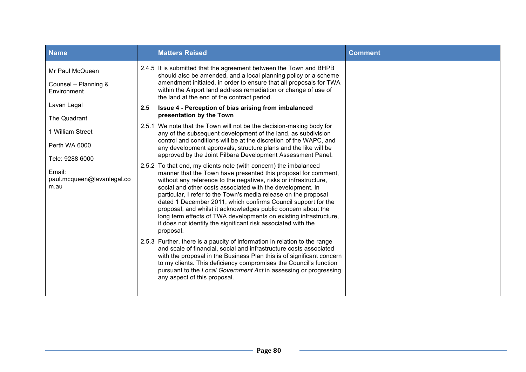| Name                                                            | <b>Matters Raised</b>                                                                                                                                                                                                                                                                                                                                                                                                                                                                                                                                                                                                                                                                                                                                                                                                                                                                                                                                                                                                                                                                            | <b>Comment</b> |
|-----------------------------------------------------------------|--------------------------------------------------------------------------------------------------------------------------------------------------------------------------------------------------------------------------------------------------------------------------------------------------------------------------------------------------------------------------------------------------------------------------------------------------------------------------------------------------------------------------------------------------------------------------------------------------------------------------------------------------------------------------------------------------------------------------------------------------------------------------------------------------------------------------------------------------------------------------------------------------------------------------------------------------------------------------------------------------------------------------------------------------------------------------------------------------|----------------|
| Mr Paul McQueen<br>Counsel - Planning &<br>Environment          | 2.4.5 It is submitted that the agreement between the Town and BHPB<br>should also be amended, and a local planning policy or a scheme<br>amendment initiated, in order to ensure that all proposals for TWA<br>within the Airport land address remediation or change of use of<br>the land at the end of the contract period.                                                                                                                                                                                                                                                                                                                                                                                                                                                                                                                                                                                                                                                                                                                                                                    |                |
| Lavan Legal<br>The Quadrant                                     | 2.5<br>Issue 4 - Perception of bias arising from imbalanced<br>presentation by the Town                                                                                                                                                                                                                                                                                                                                                                                                                                                                                                                                                                                                                                                                                                                                                                                                                                                                                                                                                                                                          |                |
| 1 William Street                                                | 2.5.1 We note that the Town will not be the decision-making body for<br>any of the subsequent development of the land, as subdivision                                                                                                                                                                                                                                                                                                                                                                                                                                                                                                                                                                                                                                                                                                                                                                                                                                                                                                                                                            |                |
| Perth WA 6000                                                   | control and conditions will be at the discretion of the WAPC, and<br>any development approvals, structure plans and the like will be                                                                                                                                                                                                                                                                                                                                                                                                                                                                                                                                                                                                                                                                                                                                                                                                                                                                                                                                                             |                |
| Tele: 9288 6000<br>Email:<br>paul.mcqueen@lavanlegal.co<br>m.au | approved by the Joint Pilbara Development Assessment Panel.<br>2.5.2 To that end, my clients note (with concern) the imbalanced<br>manner that the Town have presented this proposal for comment,<br>without any reference to the negatives, risks or infrastructure,<br>social and other costs associated with the development. In<br>particular, I refer to the Town's media release on the proposal<br>dated 1 December 2011, which confirms Council support for the<br>proposal, and whilst it acknowledges public concern about the<br>long term effects of TWA developments on existing infrastructure,<br>it does not identify the significant risk associated with the<br>proposal.<br>2.5.3 Further, there is a paucity of information in relation to the range<br>and scale of financial, social and infrastructure costs associated<br>with the proposal in the Business Plan this is of significant concern<br>to my clients. This deficiency compromises the Council's function<br>pursuant to the Local Government Act in assessing or progressing<br>any aspect of this proposal. |                |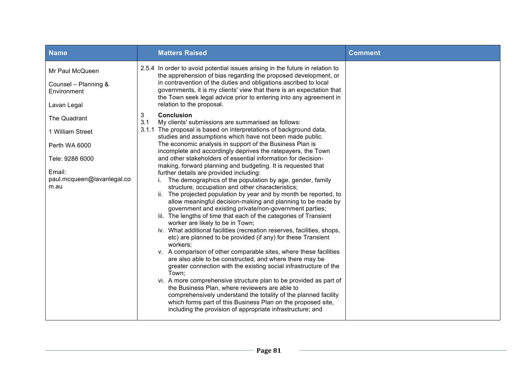| <b>Name</b>                                                                                                          | <b>Matters Raised</b>                                                                                                                                                                                                                                                                                                                                                                                                                                                                                                                                                                                                                                                                                                                                                                                                                                                                                                                                                                                                                                                                                                                                                                                                                                                                                                                                                                                                                                                                                                                                                                                                                               | <b>Comment</b> |
|----------------------------------------------------------------------------------------------------------------------|-----------------------------------------------------------------------------------------------------------------------------------------------------------------------------------------------------------------------------------------------------------------------------------------------------------------------------------------------------------------------------------------------------------------------------------------------------------------------------------------------------------------------------------------------------------------------------------------------------------------------------------------------------------------------------------------------------------------------------------------------------------------------------------------------------------------------------------------------------------------------------------------------------------------------------------------------------------------------------------------------------------------------------------------------------------------------------------------------------------------------------------------------------------------------------------------------------------------------------------------------------------------------------------------------------------------------------------------------------------------------------------------------------------------------------------------------------------------------------------------------------------------------------------------------------------------------------------------------------------------------------------------------------|----------------|
| Mr Paul McQueen<br>Counsel - Planning &<br>Environment<br>Lavan Legal                                                | 2.5.4 In order to avoid potential issues arising in the future in relation to<br>the apprehension of bias regarding the proposed development, or<br>in contravention of the duties and obligations ascribed to local<br>governments, it is my clients' view that there is an expectation that<br>the Town seek legal advice prior to entering into any agreement in<br>relation to the proposal.                                                                                                                                                                                                                                                                                                                                                                                                                                                                                                                                                                                                                                                                                                                                                                                                                                                                                                                                                                                                                                                                                                                                                                                                                                                    |                |
| The Quadrant<br>1 William Street<br>Perth WA 6000<br>Tele: 9288 6000<br>Email:<br>paul.mcqueen@lavanlegal.co<br>m.au | <b>Conclusion</b><br>3<br>3.1<br>My clients' submissions are summarised as follows:<br>3.1.1 The proposal is based on interpretations of background data,<br>studies and assumptions which have not been made public.<br>The economic analysis in support of the Business Plan is<br>incomplete and accordingly deprives the ratepayers, the Town<br>and other stakeholders of essential information for decision-<br>making, forward planning and budgeting. It is requested that<br>further details are provided including:<br>The demographics of the population by age, gender, family<br>structure, occupation and other characteristics;<br>ii. The projected population by year and by month be reported, to<br>allow meaningful decision-making and planning to be made by<br>government and existing private/non-government parties;<br>iii. The lengths of time that each of the categories of Transient<br>worker are likely to be in Town;<br>iv. What additional facilities (recreation reserves, facilities, shops,<br>etc) are planned to be provided (if any) for these Transient<br>workers;<br>v. A comparison of other comparable sites, where these facilities<br>are also able to be constructed, and where there may be<br>greater connection with the existing social infrastructure of the<br>Town;<br>vi. A more comprehensive structure plan to be provided as part of<br>the Business Plan, where reviewers are able to<br>comprehensively understand the totality of the planned facility<br>which forms part of this Business Plan on the proposed site,<br>including the provision of appropriate infrastructure; and |                |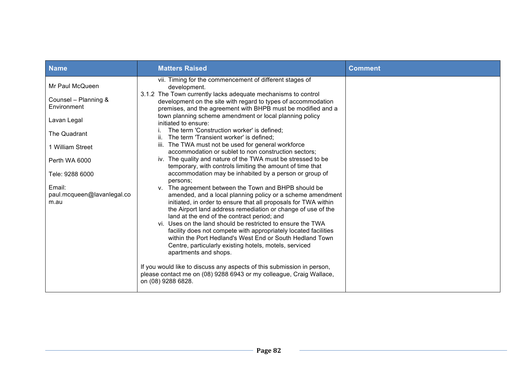| <b>Name</b>                                  | <b>Matters Raised</b>                                                                                                                                                                                                                                                                                                                                                                                                                                                                                                                                                                 | <b>Comment</b> |
|----------------------------------------------|---------------------------------------------------------------------------------------------------------------------------------------------------------------------------------------------------------------------------------------------------------------------------------------------------------------------------------------------------------------------------------------------------------------------------------------------------------------------------------------------------------------------------------------------------------------------------------------|----------------|
| Mr Paul McQueen                              | vii. Timing for the commencement of different stages of<br>development.                                                                                                                                                                                                                                                                                                                                                                                                                                                                                                               |                |
| Counsel - Planning &<br>Environment          | 3.1.2 The Town currently lacks adequate mechanisms to control<br>development on the site with regard to types of accommodation<br>premises, and the agreement with BHPB must be modified and a                                                                                                                                                                                                                                                                                                                                                                                        |                |
| Lavan Legal                                  | town planning scheme amendment or local planning policy<br>initiated to ensure:                                                                                                                                                                                                                                                                                                                                                                                                                                                                                                       |                |
| The Quadrant                                 | The term 'Construction worker' is defined;<br>ii. The term 'Transient worker' is defined;                                                                                                                                                                                                                                                                                                                                                                                                                                                                                             |                |
| 1 William Street                             | iii. The TWA must not be used for general workforce<br>accommodation or sublet to non construction sectors;                                                                                                                                                                                                                                                                                                                                                                                                                                                                           |                |
| Perth WA 6000                                | iv. The quality and nature of the TWA must be stressed to be<br>temporary, with controls limiting the amount of time that                                                                                                                                                                                                                                                                                                                                                                                                                                                             |                |
| Tele: 9288 6000                              | accommodation may be inhabited by a person or group of<br>persons:                                                                                                                                                                                                                                                                                                                                                                                                                                                                                                                    |                |
| Email:<br>paul.mcqueen@lavanlegal.co<br>m.au | v. The agreement between the Town and BHPB should be<br>amended, and a local planning policy or a scheme amendment<br>initiated, in order to ensure that all proposals for TWA within<br>the Airport land address remediation or change of use of the<br>land at the end of the contract period; and<br>vi. Uses on the land should be restricted to ensure the TWA<br>facility does not compete with appropriately located facilities<br>within the Port Hedland's West End or South Hedland Town<br>Centre, particularly existing hotels, motels, serviced<br>apartments and shops. |                |
|                                              | If you would like to discuss any aspects of this submission in person,<br>please contact me on (08) 9288 6943 or my colleague, Craig Wallace,<br>on (08) 9288 6828.                                                                                                                                                                                                                                                                                                                                                                                                                   |                |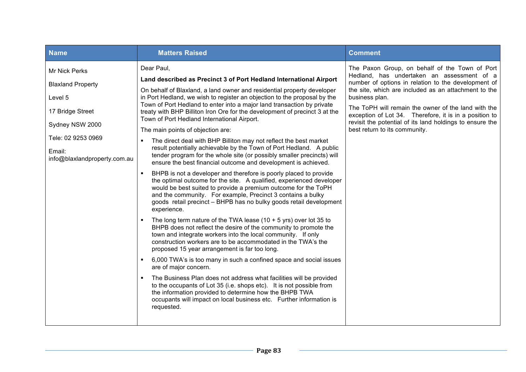| Dear Paul,<br>Mr Nick Perks<br>Land described as Precinct 3 of Port Hedland International Airport<br><b>Blaxland Property</b><br>On behalf of Blaxland, a land owner and residential property developer<br>in Port Hedland, we wish to register an objection to the proposal by the<br>business plan.<br>Level 5<br>Town of Port Hedland to enter into a major land transaction by private<br>17 Bridge Street<br>treaty with BHP Billiton Iron Ore for the development of precinct 3 at the<br>Town of Port Hedland International Airport.<br>Sydney NSW 2000<br>best return to its community.<br>The main points of objection are:<br>Tele: 02 9253 0969<br>The direct deal with BHP Billiton may not reflect the best market<br>result potentially achievable by the Town of Port Hedland. A public<br>Email:<br>tender program for the whole site (or possibly smaller precincts) will<br>info@blaxlandproperty.com.au<br>ensure the best financial outcome and development is achieved.<br>BHPB is not a developer and therefore is poorly placed to provide<br>the optimal outcome for the site. A qualified, experienced developer<br>would be best suited to provide a premium outcome for the ToPH<br>and the community. For example, Precinct 3 contains a bulky<br>goods retail precinct - BHPB has no bulky goods retail development<br>experience.<br>The long term nature of the TWA lease $(10 + 5$ yrs) over lot 35 to<br>BHPB does not reflect the desire of the community to promote the<br>town and integrate workers into the local community. If only<br>construction workers are to be accommodated in the TWA's the<br>proposed 15 year arrangement is far too long.<br>6,000 TWA's is too many in such a confined space and social issues<br>are of major concern.<br>The Business Plan does not address what facilities will be provided<br>to the occupants of Lot 35 (i.e. shops etc). It is not possible from | <b>Name</b> | <b>Matters Raised</b>                                  | <b>Comment</b>                                                                                                                                                                                                                                                                                                                                                                           |
|-------------------------------------------------------------------------------------------------------------------------------------------------------------------------------------------------------------------------------------------------------------------------------------------------------------------------------------------------------------------------------------------------------------------------------------------------------------------------------------------------------------------------------------------------------------------------------------------------------------------------------------------------------------------------------------------------------------------------------------------------------------------------------------------------------------------------------------------------------------------------------------------------------------------------------------------------------------------------------------------------------------------------------------------------------------------------------------------------------------------------------------------------------------------------------------------------------------------------------------------------------------------------------------------------------------------------------------------------------------------------------------------------------------------------------------------------------------------------------------------------------------------------------------------------------------------------------------------------------------------------------------------------------------------------------------------------------------------------------------------------------------------------------------------------------------------------------------------------------------------------------------------------------------------------------------------|-------------|--------------------------------------------------------|------------------------------------------------------------------------------------------------------------------------------------------------------------------------------------------------------------------------------------------------------------------------------------------------------------------------------------------------------------------------------------------|
| occupants will impact on local business etc. Further information is<br>requested.                                                                                                                                                                                                                                                                                                                                                                                                                                                                                                                                                                                                                                                                                                                                                                                                                                                                                                                                                                                                                                                                                                                                                                                                                                                                                                                                                                                                                                                                                                                                                                                                                                                                                                                                                                                                                                                         |             | the information provided to determine how the BHPB TWA | The Paxon Group, on behalf of the Town of Port<br>Hedland, has undertaken an assessment of a<br>number of options in relation to the development of<br>the site, which are included as an attachment to the<br>The ToPH will remain the owner of the land with the<br>exception of Lot 34. Therefore, it is in a position to<br>revisit the potential of its land holdings to ensure the |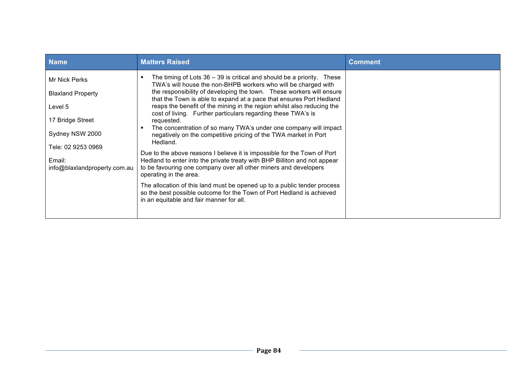| <b>Name</b>                                                                                                                                                 | <b>Matters Raised</b>                                                                                                                                                                                                                                                                                                                                                                                                                                                                                                                                                                                                                                                                                                                                                                                                                                                                                                                                                                                                                                        | <b>Comment</b> |
|-------------------------------------------------------------------------------------------------------------------------------------------------------------|--------------------------------------------------------------------------------------------------------------------------------------------------------------------------------------------------------------------------------------------------------------------------------------------------------------------------------------------------------------------------------------------------------------------------------------------------------------------------------------------------------------------------------------------------------------------------------------------------------------------------------------------------------------------------------------------------------------------------------------------------------------------------------------------------------------------------------------------------------------------------------------------------------------------------------------------------------------------------------------------------------------------------------------------------------------|----------------|
| Mr Nick Perks<br><b>Blaxland Property</b><br>Level 5<br>17 Bridge Street<br>Sydney NSW 2000<br>Tele: 02 9253 0969<br>Email:<br>info@blaxlandproperty.com.au | The timing of Lots $36 - 39$ is critical and should be a priority. These<br>TWA's will house the non-BHPB workers who will be charged with<br>the responsibility of developing the town. These workers will ensure<br>that the Town is able to expand at a pace that ensures Port Hedland<br>reaps the benefit of the mining in the region whilst also reducing the<br>cost of living. Further particulars regarding these TWA's is<br>requested.<br>The concentration of so many TWA's under one company will impact<br>negatively on the competitive pricing of the TWA market in Port<br>Hedland.<br>Due to the above reasons I believe it is impossible for the Town of Port<br>Hedland to enter into the private treaty with BHP Billiton and not appear<br>to be favouring one company over all other miners and developers<br>operating in the area.<br>The allocation of this land must be opened up to a public tender process<br>so the best possible outcome for the Town of Port Hedland is achieved<br>in an equitable and fair manner for all. |                |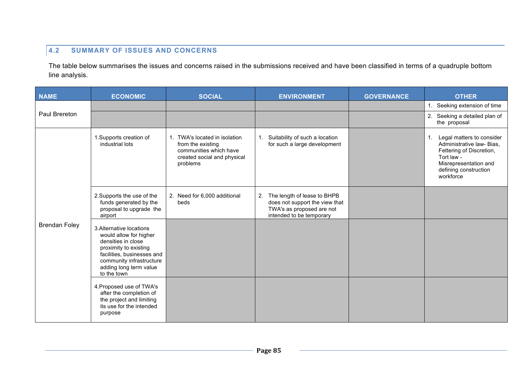## **4.2 SUMMARY OF ISSUES AND CONCERNS**

The table below summarises the issues and concerns raised in the submissions received and have been classified in terms of a quadruple bottom line analysis.

| <b>NAME</b>          | <b>ECONOMIC</b>                                                                                                                                                                                      | <b>SOCIAL</b>                                                                                                           | <b>ENVIRONMENT</b>                                                                                                           | <b>GOVERNANCE</b> | <b>OTHER</b>                                                                                                                                                          |
|----------------------|------------------------------------------------------------------------------------------------------------------------------------------------------------------------------------------------------|-------------------------------------------------------------------------------------------------------------------------|------------------------------------------------------------------------------------------------------------------------------|-------------------|-----------------------------------------------------------------------------------------------------------------------------------------------------------------------|
|                      |                                                                                                                                                                                                      |                                                                                                                         |                                                                                                                              |                   | 1. Seeking extension of time                                                                                                                                          |
| Paul Brereton        |                                                                                                                                                                                                      |                                                                                                                         |                                                                                                                              |                   | 2. Seeking a detailed plan of<br>the proposal                                                                                                                         |
|                      | 1. Supports creation of<br>industrial lots                                                                                                                                                           | 1. TWA's located in isolation<br>from the existing<br>communities which have<br>created social and physical<br>problems | Suitability of such a location<br>for such a large development                                                               |                   | Legal matters to consider<br>1.<br>Administrative law- Bias,<br>Fettering of Discretion,<br>Tort law -<br>Misrepresentation and<br>defining construction<br>workforce |
|                      | 2. Supports the use of the<br>funds generated by the<br>proposal to upgrade the<br>airport                                                                                                           | 2. Need for 6,000 additional<br>beds                                                                                    | 2.<br>The length of lease to BHPB<br>does not support the view that<br>TWA's as proposed are not<br>intended to be temporary |                   |                                                                                                                                                                       |
| <b>Brendan Foley</b> | 3. Alternative locations<br>would allow for higher<br>densities in close<br>proximity to existing<br>facilities, businesses and<br>community infrastructure<br>adding long term value<br>to the town |                                                                                                                         |                                                                                                                              |                   |                                                                                                                                                                       |
|                      | 4. Proposed use of TWA's<br>after the completion of<br>the project and limiting<br>its use for the intended<br>purpose                                                                               |                                                                                                                         |                                                                                                                              |                   |                                                                                                                                                                       |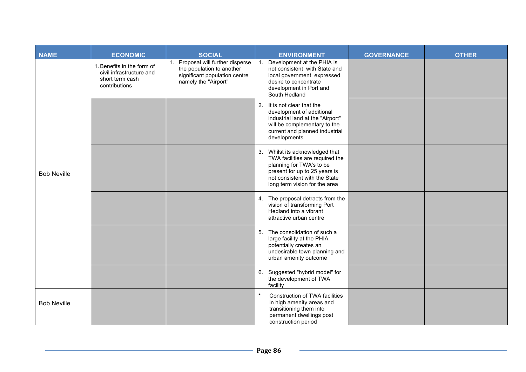| <b>NAME</b>        | <b>ECONOMIC</b>                                                                            | <b>SOCIAL</b>                                                                                                              | <b>ENVIRONMENT</b>                                                                                                                                                                                | <b>GOVERNANCE</b> | <b>OTHER</b> |
|--------------------|--------------------------------------------------------------------------------------------|----------------------------------------------------------------------------------------------------------------------------|---------------------------------------------------------------------------------------------------------------------------------------------------------------------------------------------------|-------------------|--------------|
| <b>Bob Neville</b> | 1. Benefits in the form of<br>civil infrastructure and<br>short term cash<br>contributions | Proposal will further disperse<br>1.<br>the population to another<br>significant population centre<br>namely the "Airport" | Development at the PHIA is<br>1.<br>not consistent with State and<br>local government expressed<br>desire to concentrate<br>development in Port and<br>South Hedland                              |                   |              |
|                    |                                                                                            |                                                                                                                            | It is not clear that the<br>2.<br>development of additional<br>industrial land at the "Airport"<br>will be complementary to the<br>current and planned industrial<br>developments                 |                   |              |
|                    |                                                                                            |                                                                                                                            | 3. Whilst its acknowledged that<br>TWA facilities are required the<br>planning for TWA's to be<br>present for up to 25 years is<br>not consistent with the State<br>long term vision for the area |                   |              |
|                    |                                                                                            |                                                                                                                            | 4. The proposal detracts from the<br>vision of transforming Port<br>Hedland into a vibrant<br>attractive urban centre                                                                             |                   |              |
|                    |                                                                                            |                                                                                                                            | The consolidation of such a<br>5.<br>large facility at the PHIA<br>potentially creates an<br>undesirable town planning and<br>urban amenity outcome                                               |                   |              |
|                    |                                                                                            |                                                                                                                            | Suggested "hybrid model" for<br>6.<br>the development of TWA<br>facility                                                                                                                          |                   |              |
| <b>Bob Neville</b> |                                                                                            |                                                                                                                            | $\star$<br>Construction of TWA facilities<br>in high amenity areas and<br>transitioning them into<br>permanent dwellings post<br>construction period                                              |                   |              |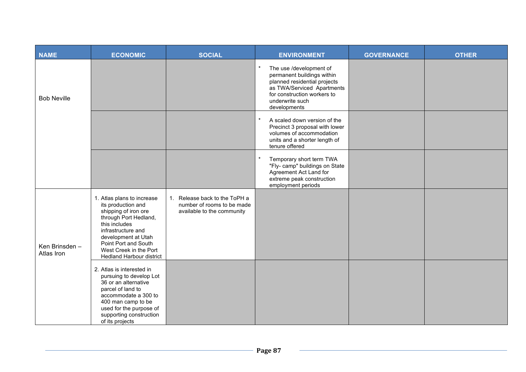| <b>NAME</b>                  | <b>ECONOMIC</b>                                                                                                                                                                                                                                      | <b>SOCIAL</b>                                                                                            | <b>ENVIRONMENT</b>                                                                                                                                                                    | <b>GOVERNANCE</b> | <b>OTHER</b> |
|------------------------------|------------------------------------------------------------------------------------------------------------------------------------------------------------------------------------------------------------------------------------------------------|----------------------------------------------------------------------------------------------------------|---------------------------------------------------------------------------------------------------------------------------------------------------------------------------------------|-------------------|--------------|
| <b>Bob Neville</b>           |                                                                                                                                                                                                                                                      |                                                                                                          | The use /development of<br>permanent buildings within<br>planned residential projects<br>as TWA/Serviced Apartments<br>for construction workers to<br>underwrite such<br>developments |                   |              |
|                              |                                                                                                                                                                                                                                                      |                                                                                                          | A scaled down version of the<br>Precinct 3 proposal with lower<br>volumes of accommodation<br>units and a shorter length of<br>tenure offered                                         |                   |              |
|                              |                                                                                                                                                                                                                                                      |                                                                                                          | $\star$<br>Temporary short term TWA<br>"Fly- camp" buildings on State<br>Agreement Act Land for<br>extreme peak construction<br>employment periods                                    |                   |              |
| Ken Brinsden -<br>Atlas Iron | 1. Atlas plans to increase<br>its production and<br>shipping of iron ore<br>through Port Hedland,<br>this includes<br>infrastructure and<br>development at Utah<br>Point Port and South<br>West Creek in the Port<br><b>Hedland Harbour district</b> | Release back to the ToPH a<br>$\mathbf{1}$ .<br>number of rooms to be made<br>available to the community |                                                                                                                                                                                       |                   |              |
|                              | 2. Atlas is interested in<br>pursuing to develop Lot<br>36 or an alternative<br>parcel of land to<br>accommodate a 300 to<br>400 man camp to be<br>used for the purpose of<br>supporting construction<br>of its projects                             |                                                                                                          |                                                                                                                                                                                       |                   |              |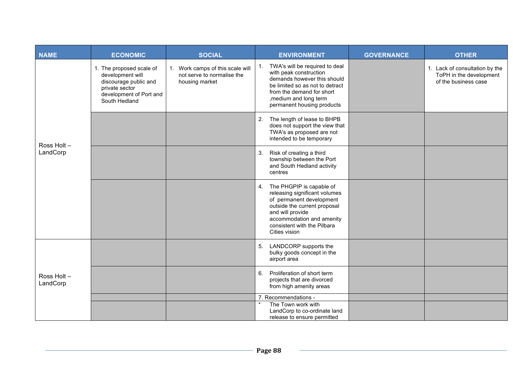| <b>NAME</b>             | <b>ECONOMIC</b>                                                                                                                     | <b>SOCIAL</b>                                                                    | <b>ENVIRONMENT</b>                                                                                                                                                                                                        | <b>GOVERNANCE</b> | <b>OTHER</b>                                                                      |
|-------------------------|-------------------------------------------------------------------------------------------------------------------------------------|----------------------------------------------------------------------------------|---------------------------------------------------------------------------------------------------------------------------------------------------------------------------------------------------------------------------|-------------------|-----------------------------------------------------------------------------------|
| Ross Holt -<br>LandCorp | 1. The proposed scale of<br>development will<br>discourage public and<br>private sector<br>development of Port and<br>South Hedland | 1. Work camps of this scale will<br>not serve to normalise the<br>housing market | TWA's will be required to deal<br>1.<br>with peak construction<br>demands however this should<br>be limited so as not to detract<br>from the demand for short<br>, medium and long term<br>permanent housing products     |                   | 1. Lack of consultation by the<br>ToPH in the development<br>of the business case |
|                         |                                                                                                                                     |                                                                                  | The length of lease to BHPB<br>2.<br>does not support the view that<br>TWA's as proposed are not<br>intended to be temporary                                                                                              |                   |                                                                                   |
|                         |                                                                                                                                     |                                                                                  | Risk of creating a third<br>3.<br>township between the Port<br>and South Hedland activity<br>centres                                                                                                                      |                   |                                                                                   |
|                         |                                                                                                                                     |                                                                                  | 4. The PHGPIP is capable of<br>releasing significant volumes<br>of permanent development<br>outside the current proposal<br>and will provide<br>accommodation and amenity<br>consistent with the Pilbara<br>Cities vision |                   |                                                                                   |
| Ross Holt -<br>LandCorp |                                                                                                                                     |                                                                                  | LANDCORP supports the<br>5.<br>bulky goods concept in the<br>airport area                                                                                                                                                 |                   |                                                                                   |
|                         |                                                                                                                                     |                                                                                  | Proliferation of short term<br>6.<br>projects that are divorced<br>from high amenity areas                                                                                                                                |                   |                                                                                   |
|                         |                                                                                                                                     |                                                                                  | 7. Recommendations -<br>The Town work with                                                                                                                                                                                |                   |                                                                                   |
|                         |                                                                                                                                     |                                                                                  | LandCorp to co-ordinate land<br>release to ensure permitted                                                                                                                                                               |                   |                                                                                   |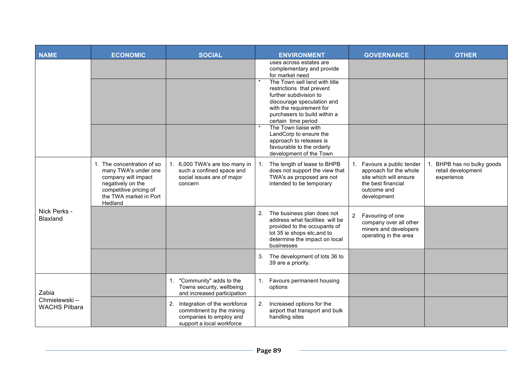| <b>NAME</b>                                   | <b>ECONOMIC</b>                                                                                                                                               | <b>SOCIAL</b>                                                                                                          | <b>ENVIRONMENT</b>                                                                                                                                                                                    | <b>GOVERNANCE</b>                                                                                                                                 | <b>OTHER</b>                                                |
|-----------------------------------------------|---------------------------------------------------------------------------------------------------------------------------------------------------------------|------------------------------------------------------------------------------------------------------------------------|-------------------------------------------------------------------------------------------------------------------------------------------------------------------------------------------------------|---------------------------------------------------------------------------------------------------------------------------------------------------|-------------------------------------------------------------|
|                                               |                                                                                                                                                               |                                                                                                                        | uses across estates are<br>complementary and provide<br>for market need                                                                                                                               |                                                                                                                                                   |                                                             |
|                                               |                                                                                                                                                               |                                                                                                                        | The Town sell land with title<br>restrictions that prevent<br>further subdivision to<br>discourage speculation and<br>with the requirement for<br>purchasers to build within a<br>certain time period |                                                                                                                                                   |                                                             |
|                                               |                                                                                                                                                               |                                                                                                                        | The Town liaise with<br>LandCorp to ensure the<br>approach to releases is<br>favourable to the orderly<br>development of the Town                                                                     |                                                                                                                                                   |                                                             |
| Nick Perks -<br>Blaxland                      | 1. The concentration of so<br>many TWA's under one<br>company will impact<br>negatively on the<br>competitive pricing of<br>the TWA market in Port<br>Hedland | 6,000 TWA's are too many in<br>$1_{\cdot}$<br>such a confined space and<br>social issues are of major<br>concern       | The length of lease to BHPB<br>does not support the view that<br>TWA's as proposed are not<br>intended to be temporary                                                                                | Favours a public tender<br>1 <sub>1</sub><br>approach for the whole<br>site which will ensure<br>the best financial<br>outcome and<br>development | BHPB has no bulky goods<br>retail development<br>experience |
|                                               |                                                                                                                                                               |                                                                                                                        | 2.<br>The business plan does not<br>address what facilities will be<br>provided to the occupants of<br>lot 35 ie shops etc, and to<br>determine the impact on local<br>businesses                     | Favouring of one<br>$\overline{2}$<br>company over all other<br>miners and developers<br>operating in the area                                    |                                                             |
|                                               |                                                                                                                                                               |                                                                                                                        | The development of lots 36 to<br>3.<br>39 are a priority.                                                                                                                                             |                                                                                                                                                   |                                                             |
| Zabia<br>Chmielewski-<br><b>WACHS Pilbara</b> |                                                                                                                                                               | "Community" adds to the<br>1.<br>Towns security, wellbeing<br>and increased participation                              | 1. Favours permanent housing<br>options                                                                                                                                                               |                                                                                                                                                   |                                                             |
|                                               |                                                                                                                                                               | Integration of the workforce<br>2.<br>commitment by the mining<br>companies to employ and<br>support a local workforce | 2.<br>Increased options for the<br>airport that transport and bulk<br>handling sites                                                                                                                  |                                                                                                                                                   |                                                             |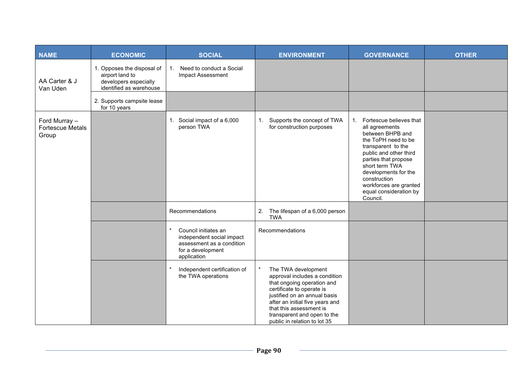| <b>NAME</b>                                       | <b>ECONOMIC</b>                                                                                   | <b>SOCIAL</b>                                                                                                                 | <b>ENVIRONMENT</b>                                                                                                                                                                                                                                                           | <b>GOVERNANCE</b>                                                                                                                                                                                                                                                                                        | <b>OTHER</b> |
|---------------------------------------------------|---------------------------------------------------------------------------------------------------|-------------------------------------------------------------------------------------------------------------------------------|------------------------------------------------------------------------------------------------------------------------------------------------------------------------------------------------------------------------------------------------------------------------------|----------------------------------------------------------------------------------------------------------------------------------------------------------------------------------------------------------------------------------------------------------------------------------------------------------|--------------|
| AA Carter & J<br>Van Uden                         | 1. Opposes the disposal of<br>airport land to<br>developers especially<br>identified as warehouse | Need to conduct a Social<br>1.<br>Impact Assessment                                                                           |                                                                                                                                                                                                                                                                              |                                                                                                                                                                                                                                                                                                          |              |
|                                                   | 2. Supports campsite lease<br>for 10 years                                                        |                                                                                                                               |                                                                                                                                                                                                                                                                              |                                                                                                                                                                                                                                                                                                          |              |
| Ford Murray -<br><b>Fortescue Metals</b><br>Group |                                                                                                   | Social impact of a 6,000<br>1.<br>person TWA                                                                                  | Supports the concept of TWA<br>1.<br>for construction purposes                                                                                                                                                                                                               | Fortescue believes that<br>$\mathbf{1}$ .<br>all agreements<br>between BHPB and<br>the ToPH need to be<br>transparent to the<br>public and other third<br>parties that propose<br>short term TWA<br>developments for the<br>construction<br>workforces are granted<br>equal consideration by<br>Council. |              |
|                                                   |                                                                                                   | Recommendations                                                                                                               | The lifespan of a 6,000 person<br>2.<br><b>TWA</b>                                                                                                                                                                                                                           |                                                                                                                                                                                                                                                                                                          |              |
|                                                   |                                                                                                   | $\star$<br>Council initiates an<br>independent social impact<br>assessment as a condition<br>for a development<br>application | Recommendations                                                                                                                                                                                                                                                              |                                                                                                                                                                                                                                                                                                          |              |
|                                                   |                                                                                                   | Independent certification of<br>the TWA operations                                                                            | The TWA development<br>approval includes a condition<br>that ongoing operation and<br>certificate to operate is<br>justified on an annual basis<br>after an initial five years and<br>that this assessment is<br>transparent and open to the<br>public in relation to lot 35 |                                                                                                                                                                                                                                                                                                          |              |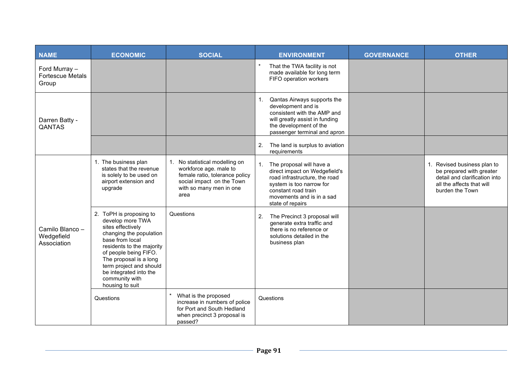| <b>NAME</b>                                       | <b>ECONOMIC</b>                                                                                                                                                                                                                                                                          | <b>SOCIAL</b>                                                                                                                                           | <b>ENVIRONMENT</b>                                                                                                                                                                                   | <b>GOVERNANCE</b> | <b>OTHER</b>                                                                                                                             |
|---------------------------------------------------|------------------------------------------------------------------------------------------------------------------------------------------------------------------------------------------------------------------------------------------------------------------------------------------|---------------------------------------------------------------------------------------------------------------------------------------------------------|------------------------------------------------------------------------------------------------------------------------------------------------------------------------------------------------------|-------------------|------------------------------------------------------------------------------------------------------------------------------------------|
| Ford Murray -<br><b>Fortescue Metals</b><br>Group |                                                                                                                                                                                                                                                                                          |                                                                                                                                                         | $\star$<br>That the TWA facility is not<br>made available for long term<br>FIFO operation workers                                                                                                    |                   |                                                                                                                                          |
| Darren Batty -<br>QANTAS                          |                                                                                                                                                                                                                                                                                          |                                                                                                                                                         | 1. Qantas Airways supports the<br>development and is<br>consistent with the AMP and<br>will greatly assist in funding<br>the development of the<br>passenger terminal and apron                      |                   |                                                                                                                                          |
|                                                   |                                                                                                                                                                                                                                                                                          |                                                                                                                                                         | 2.<br>The land is surplus to aviation<br>requirements                                                                                                                                                |                   |                                                                                                                                          |
| Camilo Blanco -<br>Wedgefield<br>Association      | 1. The business plan<br>states that the revenue<br>is solely to be used on<br>airport extension and<br>upgrade                                                                                                                                                                           | No statistical modelling on<br>workforce age. male to<br>female ratio, tolerance policy<br>social impact on the Town<br>with so many men in one<br>area | 1.<br>The proposal will have a<br>direct impact on Wedgefield's<br>road infrastructure, the road<br>system is too narrow for<br>constant road train<br>movements and is in a sad<br>state of repairs |                   | 1. Revised business plan to<br>be prepared with greater<br>detail and clarification into<br>all the affects that will<br>burden the Town |
|                                                   | 2. ToPH is proposing to<br>develop more TWA<br>sites effectively<br>changing the population<br>base from local<br>residents to the majority<br>of people being FIFO.<br>The proposal is a long<br>term project and should<br>be integrated into the<br>community with<br>housing to suit | Questions                                                                                                                                               | 2.<br>The Precinct 3 proposal will<br>generate extra traffic and<br>there is no reference or<br>solutions detailed in the<br>business plan                                                           |                   |                                                                                                                                          |
|                                                   | Questions                                                                                                                                                                                                                                                                                | What is the proposed<br>increase in numbers of police<br>for Port and South Hedland<br>when precinct 3 proposal is<br>passed?                           | Questions                                                                                                                                                                                            |                   |                                                                                                                                          |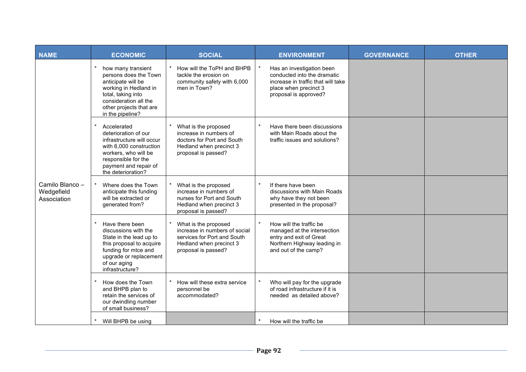| <b>NAME</b>                                  | <b>ECONOMIC</b>                                                                                                                                                                           | <b>SOCIAL</b>                                                                                                                          | <b>ENVIRONMENT</b>                                                                                                                               | <b>GOVERNANCE</b> | <b>OTHER</b> |
|----------------------------------------------|-------------------------------------------------------------------------------------------------------------------------------------------------------------------------------------------|----------------------------------------------------------------------------------------------------------------------------------------|--------------------------------------------------------------------------------------------------------------------------------------------------|-------------------|--------------|
| Camilo Blanco -<br>Wedgefield<br>Association | how many transient<br>persons does the Town<br>anticipate will be<br>working in Hedland in<br>total, taking into<br>consideration all the<br>other projects that are<br>in the pipeline?  | How will the ToPH and BHPB<br>tackle the erosion on<br>community safety with 6,000<br>men in Town?                                     | Has an investigation been<br>conducted into the dramatic<br>increase in traffic that will take<br>place when precinct 3<br>proposal is approved? |                   |              |
|                                              | Accelerated<br>deterioration of our<br>infrastructure will occur<br>with 6,000 construction<br>workers, who will be<br>responsible for the<br>payment and repair of<br>the deterioration? | What is the proposed<br>increase in numbers of<br>doctors for Port and South<br>Hedland when precinct 3<br>proposal is passed?         | Have there been discussions<br>with Main Roads about the<br>traffic issues and solutions?                                                        |                   |              |
|                                              | Where does the Town<br>anticipate this funding<br>will be extracted or<br>generated from?                                                                                                 | What is the proposed<br>increase in numbers of<br>nurses for Port and South<br>Hedland when precinct 3<br>proposal is passed?          | If there have been<br>discussions with Main Roads<br>why have they not been<br>presented in the proposal?                                        |                   |              |
|                                              | Have there been<br>discussions with the<br>State in the lead up to<br>this proposal to acquire<br>funding for mtce and<br>upgrade or replacement<br>of our aging<br>infrastructure?       | What is the proposed<br>increase in numbers of social<br>services for Port and South<br>Hedland when precinct 3<br>proposal is passed? | How will the traffic be<br>managed at the intersection<br>entry and exit of Great<br>Northern Highway leading in<br>and out of the camp?         |                   |              |
|                                              | How does the Town<br>and BHPB plan to<br>retain the services of<br>our dwindling number<br>of small business?                                                                             | How will these extra service<br>personnel be<br>accommodated?                                                                          | Who will pay for the upgrade<br>of road infrastructure if it is<br>needed as detailed above?                                                     |                   |              |
|                                              | Will BHPB be using                                                                                                                                                                        |                                                                                                                                        | How will the traffic be                                                                                                                          |                   |              |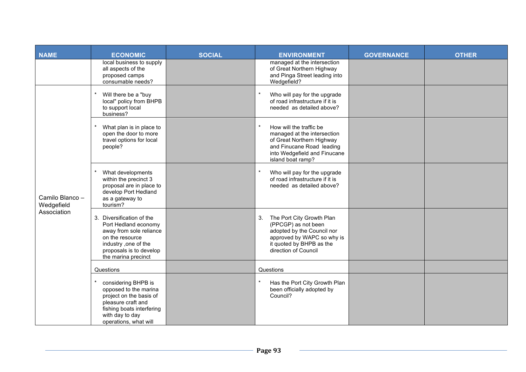| <b>NAME</b>                                  | <b>ECONOMIC</b>                                                                                                                                                           | <b>SOCIAL</b> | <b>ENVIRONMENT</b>                                                                                                                                                     | <b>GOVERNANCE</b> | <b>OTHER</b> |
|----------------------------------------------|---------------------------------------------------------------------------------------------------------------------------------------------------------------------------|---------------|------------------------------------------------------------------------------------------------------------------------------------------------------------------------|-------------------|--------------|
|                                              | local business to supply<br>all aspects of the<br>proposed camps<br>consumable needs?                                                                                     |               | managed at the intersection<br>of Great Northern Highway<br>and Pinga Street leading into<br>Wedgefield?                                                               |                   |              |
| Camilo Blanco -<br>Wedgefield<br>Association | Will there be a "buy<br>local" policy from BHPB<br>to support local<br>business?                                                                                          |               | Who will pay for the upgrade<br>of road infrastructure if it is<br>needed as detailed above?                                                                           |                   |              |
|                                              | What plan is in place to<br>open the door to more<br>travel options for local<br>people?                                                                                  |               | How will the traffic be<br>managed at the intersection<br>of Great Northern Highway<br>and Finucane Road leading<br>into Wedgefield and Finucane<br>island boat ramp?  |                   |              |
|                                              | What developments<br>within the precinct 3<br>proposal are in place to<br>develop Port Hedland<br>as a gateway to<br>tourism?                                             |               | Who will pay for the upgrade<br>of road infrastructure if it is<br>needed as detailed above?                                                                           |                   |              |
|                                              | 3. Diversification of the<br>Port Hedland economy<br>away from sole reliance<br>on the resource<br>industry ,one of the<br>proposals is to develop<br>the marina precinct |               | The Port City Growth Plan<br>3.<br>(PPCGP) as not been<br>adopted by the Council nor<br>approved by WAPC so why is<br>it quoted by BHPB as the<br>direction of Council |                   |              |
|                                              | Questions                                                                                                                                                                 |               | Questions                                                                                                                                                              |                   |              |
|                                              | considering BHPB is<br>opposed to the marina<br>project on the basis of<br>pleasure craft and<br>fishing boats interfering<br>with day to day<br>operations, what will    |               | Has the Port City Growth Plan<br>been officially adopted by<br>Council?                                                                                                |                   |              |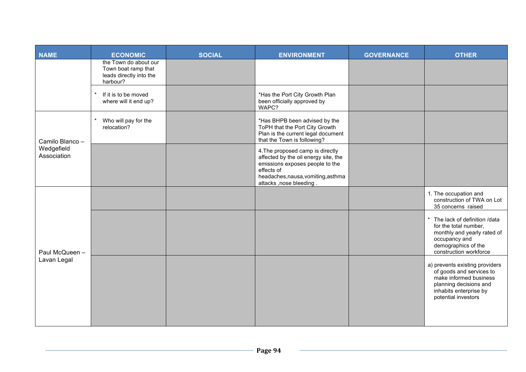| <b>NAME</b>                   | <b>ECONOMIC</b>                                                                     | <b>SOCIAL</b> | <b>ENVIRONMENT</b>                                                                                                                                                                           | <b>GOVERNANCE</b> | <b>OTHER</b>                                                                                                                                                    |
|-------------------------------|-------------------------------------------------------------------------------------|---------------|----------------------------------------------------------------------------------------------------------------------------------------------------------------------------------------------|-------------------|-----------------------------------------------------------------------------------------------------------------------------------------------------------------|
|                               | the Town do about our<br>Town boat ramp that<br>leads directly into the<br>harbour? |               |                                                                                                                                                                                              |                   |                                                                                                                                                                 |
|                               | If it is to be moved<br>where will it end up?                                       |               | *Has the Port City Growth Plan<br>been officially approved by<br>WAPC?                                                                                                                       |                   |                                                                                                                                                                 |
| Camilo Blanco -               | Who will pay for the<br>relocation?                                                 |               | *Has BHPB been advised by the<br>ToPH that the Port City Growth<br>Plan is the current legal document<br>that the Town is following?                                                         |                   |                                                                                                                                                                 |
| Wedgefield<br>Association     |                                                                                     |               | 4. The proposed camp is directly<br>affected by the oil energy site, the<br>emissions exposes people to the<br>effects of<br>headaches, nausa, vomiting, asthma<br>attacks , nose bleeding . |                   |                                                                                                                                                                 |
| Paul McQueen -<br>Lavan Legal |                                                                                     |               |                                                                                                                                                                                              |                   | 1. The occupation and<br>construction of TWA on Lot<br>35 concerns raised                                                                                       |
|                               |                                                                                     |               |                                                                                                                                                                                              |                   | The lack of definition /data<br>for the total number,<br>monthly and yearly rated of<br>occupancy and<br>demographics of the<br>construction workforce          |
|                               |                                                                                     |               |                                                                                                                                                                                              |                   | a) prevents existing providers<br>of goods and services to<br>make informed business<br>planning decisions and<br>inhabits enterprise by<br>potential investors |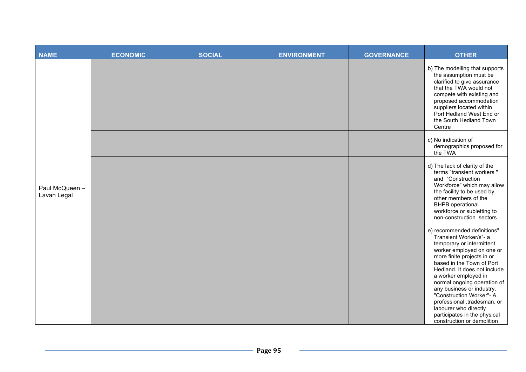| <b>NAME</b>                   | <b>ECONOMIC</b> | <b>SOCIAL</b> | <b>ENVIRONMENT</b> | <b>GOVERNANCE</b> | <b>OTHER</b>                                                                                                                                                                                                                                                                                                                                                                                                                                     |
|-------------------------------|-----------------|---------------|--------------------|-------------------|--------------------------------------------------------------------------------------------------------------------------------------------------------------------------------------------------------------------------------------------------------------------------------------------------------------------------------------------------------------------------------------------------------------------------------------------------|
| Paul McQueen -<br>Lavan Legal |                 |               |                    |                   | b) The modelling that supports<br>the assumption must be<br>clarified to give assurance<br>that the TWA would not<br>compete with existing and<br>proposed accommodation<br>suppliers located within<br>Port Hedland West End or<br>the South Hedland Town<br>Centre                                                                                                                                                                             |
|                               |                 |               |                    |                   | c) No indication of<br>demographics proposed for<br>the TWA                                                                                                                                                                                                                                                                                                                                                                                      |
|                               |                 |               |                    |                   | d) The lack of clarity of the<br>terms "transient workers"<br>and "Construction<br>Workforce" which may allow<br>the facility to be used by<br>other members of the<br><b>BHPB</b> operational<br>workforce or subletting to<br>non-construction sectors                                                                                                                                                                                         |
|                               |                 |               |                    |                   | e) recommended definitions"<br>Transient Worker/s"- a<br>temporary or intermittent<br>worker employed on one or<br>more finite projects in or<br>based in the Town of Port<br>Hedland. It does not include<br>a worker employed in<br>normal ongoing operation of<br>any business or industry.<br>"Construction Worker"- A<br>professional ,tradesman, or<br>labourer who directly<br>participates in the physical<br>construction or demolition |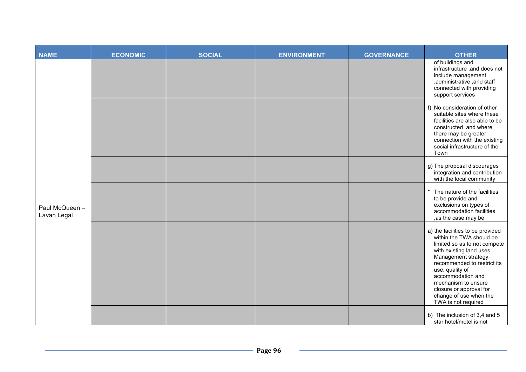| NAME                          | <b>ECONOMIC</b> | <b>SOCIAL</b> | <b>ENVIRONMENT</b> | <b>GOVERNANCE</b> | <b>OTHER</b>                                                                                                                                                                                                                                                                                                              |
|-------------------------------|-----------------|---------------|--------------------|-------------------|---------------------------------------------------------------------------------------------------------------------------------------------------------------------------------------------------------------------------------------------------------------------------------------------------------------------------|
|                               |                 |               |                    |                   | of buildings and<br>infrastructure, and does not<br>include management<br>, administrative , and staff<br>connected with providing<br>support services                                                                                                                                                                    |
| Paul McQueen -<br>Lavan Legal |                 |               |                    |                   | f) No consideration of other<br>suitable sites where these<br>facilities are also able to be<br>constructed and where<br>there may be greater<br>connection with the existing<br>social infrastructure of the<br>Town                                                                                                     |
|                               |                 |               |                    |                   | g) The proposal discourages<br>integration and contribution<br>with the local community                                                                                                                                                                                                                                   |
|                               |                 |               |                    |                   | * The nature of the facilities<br>to be provide and<br>exclusions on types of<br>accommodation facilities<br>,as the case may be                                                                                                                                                                                          |
|                               |                 |               |                    |                   | a) the facilities to be provided<br>within the TWA should be<br>limited so as to not compete<br>with existing land uses.<br>Management strategy<br>recommended to restrict its<br>use, quality of<br>accommodation and<br>mechanism to ensure<br>closure or approval for<br>change of use when the<br>TWA is not required |
|                               |                 |               |                    |                   | b) The inclusion of 3,4 and 5<br>star hotel/motel is not                                                                                                                                                                                                                                                                  |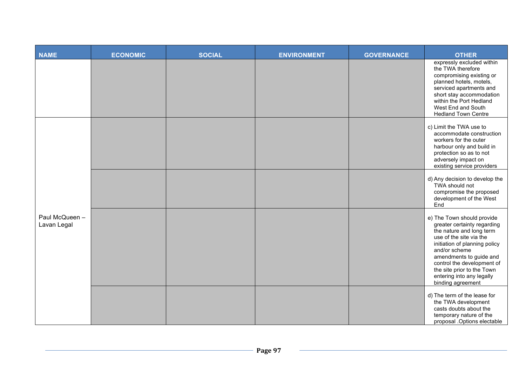| <b>NAME</b>                   | <b>ECONOMIC</b> | <b>SOCIAL</b> | <b>ENVIRONMENT</b> | <b>GOVERNANCE</b> | <b>OTHER</b>                                                                                                                                                                                                                                                                                                |
|-------------------------------|-----------------|---------------|--------------------|-------------------|-------------------------------------------------------------------------------------------------------------------------------------------------------------------------------------------------------------------------------------------------------------------------------------------------------------|
|                               |                 |               |                    |                   | expressly excluded within<br>the TWA therefore<br>compromising existing or<br>planned hotels, motels,<br>serviced apartments and<br>short stay accommodation<br>within the Port Hedland<br>West End and South<br><b>Hedland Town Centre</b>                                                                 |
| Paul McQueen -<br>Lavan Legal |                 |               |                    |                   | c) Limit the TWA use to<br>accommodate construction<br>workers for the outer<br>harbour only and build in<br>protection so as to not<br>adversely impact on<br>existing service providers                                                                                                                   |
|                               |                 |               |                    |                   | d) Any decision to develop the<br>TWA should not<br>compromise the proposed<br>development of the West<br>End                                                                                                                                                                                               |
|                               |                 |               |                    |                   | e) The Town should provide<br>greater certainty regarding<br>the nature and long term<br>use of the site via the<br>initiation of planning policy<br>and/or scheme<br>amendments to guide and<br>control the development of<br>the site prior to the Town<br>entering into any legally<br>binding agreement |
|                               |                 |               |                    |                   | d) The term of the lease for<br>the TWA development<br>casts doubts about the<br>temporary nature of the<br>proposal .Options electable                                                                                                                                                                     |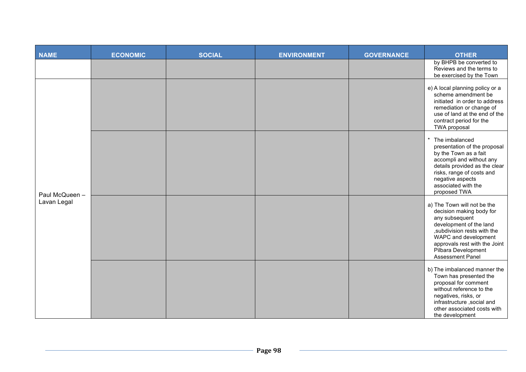| <b>NAME</b>                   | <b>ECONOMIC</b> | <b>SOCIAL</b> | <b>ENVIRONMENT</b> | <b>GOVERNANCE</b> | <b>OTHER</b>                                                                                                                                                                                                                                    |
|-------------------------------|-----------------|---------------|--------------------|-------------------|-------------------------------------------------------------------------------------------------------------------------------------------------------------------------------------------------------------------------------------------------|
|                               |                 |               |                    |                   | by BHPB be converted to<br>Reviews and the terms to<br>be exercised by the Town                                                                                                                                                                 |
| Paul McQueen -<br>Lavan Legal |                 |               |                    |                   | e) A local planning policy or a<br>scheme amendment be<br>initiated in order to address<br>remediation or change of<br>use of land at the end of the<br>contract period for the<br>TWA proposal                                                 |
|                               |                 |               |                    |                   | The imbalanced<br>presentation of the proposal<br>by the Town as a fait<br>accompli and without any<br>details provided as the clear<br>risks, range of costs and<br>negative aspects<br>associated with the<br>proposed TWA                    |
|                               |                 |               |                    |                   | a) The Town will not be the<br>decision making body for<br>any subsequent<br>development of the land<br>, subdivision rests with the<br>WAPC and development<br>approvals rest with the Joint<br>Pilbara Development<br><b>Assessment Panel</b> |
|                               |                 |               |                    |                   | b) The imbalanced manner the<br>Town has presented the<br>proposal for comment<br>without reference to the<br>negatives, risks, or<br>infrastructure , social and<br>other associated costs with<br>the development                             |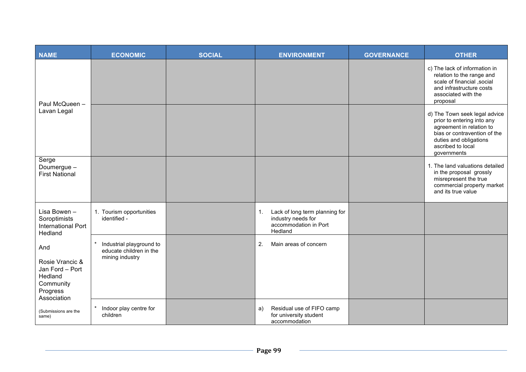| <b>NAME</b>                                                                                  | <b>ECONOMIC</b>                                                        | <b>SOCIAL</b> | <b>ENVIRONMENT</b>                                                                             | <b>GOVERNANCE</b> | <b>OTHER</b>                                                                                                                                                                          |
|----------------------------------------------------------------------------------------------|------------------------------------------------------------------------|---------------|------------------------------------------------------------------------------------------------|-------------------|---------------------------------------------------------------------------------------------------------------------------------------------------------------------------------------|
| Paul McQueen -                                                                               |                                                                        |               |                                                                                                |                   | c) The lack of information in<br>relation to the range and<br>scale of financial , social<br>and infrastructure costs<br>associated with the<br>proposal                              |
| Lavan Legal                                                                                  |                                                                        |               |                                                                                                |                   | d) The Town seek legal advice<br>prior to entering into any<br>agreement in relation to<br>bias or contravention of the<br>duties and obligations<br>ascribed to local<br>governments |
| Serge<br>Doumergue -<br><b>First National</b>                                                |                                                                        |               |                                                                                                |                   | 1. The land valuations detailed<br>in the proposal grossly<br>misrepresent the true<br>commercial property market<br>and its true value                                               |
| Lisa Bowen -<br>Soroptimists<br><b>International Port</b><br>Hedland                         | 1. Tourism opportunities<br>identified -                               |               | Lack of long term planning for<br>1.<br>industry needs for<br>accommodation in Port<br>Hedland |                   |                                                                                                                                                                                       |
| And<br>Rosie Vrancic &<br>Jan Ford - Port<br>Hedland<br>Community<br>Progress<br>Association | Industrial playground to<br>educate children in the<br>mining industry |               | 2.<br>Main areas of concern                                                                    |                   |                                                                                                                                                                                       |
| (Submissions are the<br>same)                                                                | Indoor play centre for<br>children                                     |               | Residual use of FIFO camp<br>a)<br>for university student<br>accommodation                     |                   |                                                                                                                                                                                       |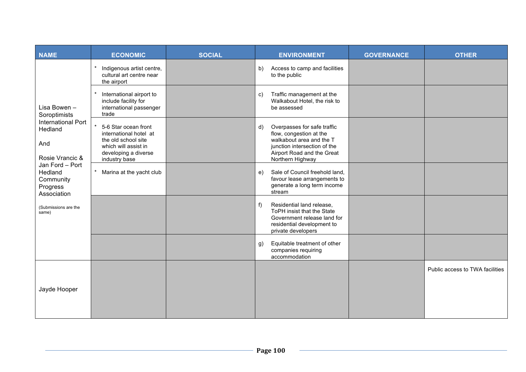| <b>NAME</b>                                                                                                                                                                                    | <b>ECONOMIC</b>                                                                                                                        | <b>SOCIAL</b> | <b>ENVIRONMENT</b>                                                                                                                                                         | <b>GOVERNANCE</b> | <b>OTHER</b>                    |
|------------------------------------------------------------------------------------------------------------------------------------------------------------------------------------------------|----------------------------------------------------------------------------------------------------------------------------------------|---------------|----------------------------------------------------------------------------------------------------------------------------------------------------------------------------|-------------------|---------------------------------|
|                                                                                                                                                                                                | Indigenous artist centre,<br>cultural art centre near<br>the airport                                                                   |               | Access to camp and facilities<br>b)<br>to the public                                                                                                                       |                   |                                 |
| Lisa Bowen -<br>Soroptimists<br>International Port<br>Hedland<br>And<br>Rosie Vrancic &<br>Jan Ford - Port<br>Hedland<br>Community<br>Progress<br>Association<br>(Submissions are the<br>same) | International airport to<br>include facility for<br>international passenger<br>trade                                                   |               | Traffic management at the<br>$\mathbf{C}$<br>Walkabout Hotel, the risk to<br>be assessed                                                                                   |                   |                                 |
|                                                                                                                                                                                                | 5-6 Star ocean front<br>international hotel at<br>the old school site<br>which will assist in<br>developing a diverse<br>industry base |               | Overpasses for safe traffic<br>d)<br>flow, congestion at the<br>walkabout area and the T<br>junction intersection of the<br>Airport Road and the Great<br>Northern Highway |                   |                                 |
|                                                                                                                                                                                                | Marina at the yacht club                                                                                                               |               | Sale of Council freehold land,<br>e)<br>favour lease arrangements to<br>generate a long term income<br>stream                                                              |                   |                                 |
|                                                                                                                                                                                                |                                                                                                                                        |               | Residential land release,<br>f<br>ToPH insist that the State<br>Government release land for<br>residential development to<br>private developers                            |                   |                                 |
|                                                                                                                                                                                                |                                                                                                                                        |               | Equitable treatment of other<br>g)<br>companies requiring<br>accommodation                                                                                                 |                   |                                 |
| Jayde Hooper                                                                                                                                                                                   |                                                                                                                                        |               |                                                                                                                                                                            |                   | Public access to TWA facilities |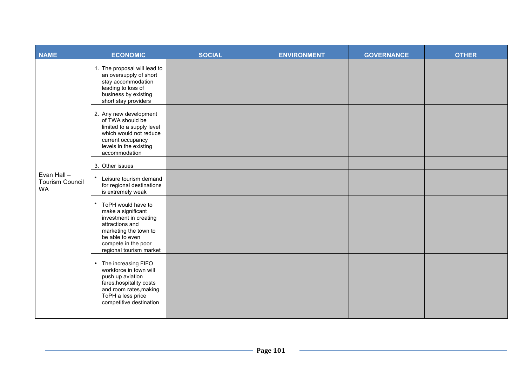| <b>NAME</b>                                        | <b>ECONOMIC</b>                                                                                                                                                                     | <b>SOCIAL</b> | <b>ENVIRONMENT</b> | <b>GOVERNANCE</b> | <b>OTHER</b> |
|----------------------------------------------------|-------------------------------------------------------------------------------------------------------------------------------------------------------------------------------------|---------------|--------------------|-------------------|--------------|
|                                                    | 1. The proposal will lead to<br>an oversupply of short<br>stay accommodation<br>leading to loss of<br>business by existing<br>short stay providers                                  |               |                    |                   |              |
|                                                    | 2. Any new development<br>of TWA should be<br>limited to a supply level<br>which would not reduce<br>current occupancy<br>levels in the existing<br>accommodation                   |               |                    |                   |              |
|                                                    | 3. Other issues                                                                                                                                                                     |               |                    |                   |              |
| Evan Hall -<br><b>Tourism Council</b><br><b>WA</b> | $\star$<br>Leisure tourism demand<br>for regional destinations<br>is extremely weak                                                                                                 |               |                    |                   |              |
|                                                    | ToPH would have to<br>make a significant<br>investment in creating<br>attractions and<br>marketing the town to<br>be able to even<br>compete in the poor<br>regional tourism market |               |                    |                   |              |
|                                                    | • The increasing FIFO<br>workforce in town will<br>push up aviation<br>fares, hospitality costs<br>and room rates, making<br>ToPH a less price<br>competitive destination           |               |                    |                   |              |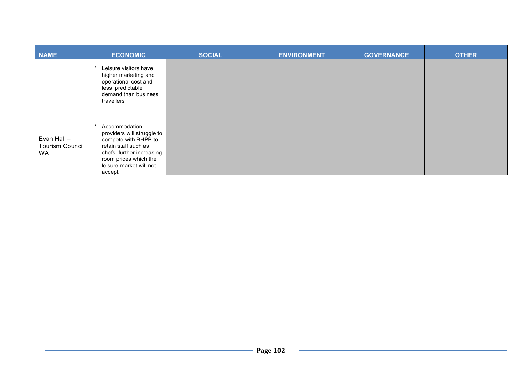| <b>NAME</b>                                        | <b>ECONOMIC</b>                                                                                                                                                                        | <b>SOCIAL</b> | <b>ENVIRONMENT</b> | <b>GOVERNANCE</b> | <b>OTHER</b> |
|----------------------------------------------------|----------------------------------------------------------------------------------------------------------------------------------------------------------------------------------------|---------------|--------------------|-------------------|--------------|
|                                                    | Leisure visitors have<br>higher marketing and<br>operational cost and<br>less predictable<br>demand than business<br>travellers                                                        |               |                    |                   |              |
| Evan Hall -<br><b>Tourism Council</b><br><b>WA</b> | Accommodation<br>providers will struggle to<br>compete with BHPB to<br>retain staff such as<br>chefs, further increasing<br>room prices which the<br>leisure market will not<br>accept |               |                    |                   |              |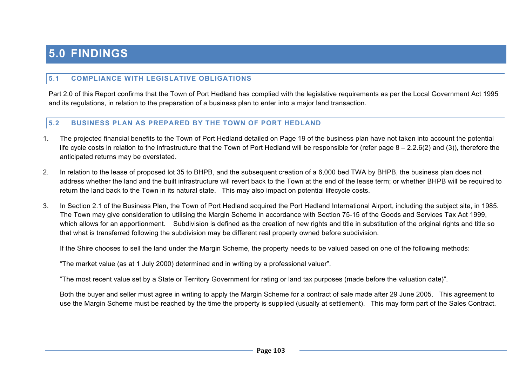# **5.0 FINDINGS**

### **5.1 COMPLIANCE WITH LEGISLATIVE OBLIGATIONS**

Part 2.0 of this Report confirms that the Town of Port Hedland has complied with the legislative requirements as per the Local Government Act 1995 and its regulations, in relation to the preparation of a business plan to enter into a major land transaction.

#### **5.2 BUSINESS PLAN AS PREPARED BY THE TOWN OF PORT HEDLAND**

- 1. The projected financial benefits to the Town of Port Hedland detailed on Page 19 of the business plan have not taken into account the potential life cycle costs in relation to the infrastructure that the Town of Port Hedland will be responsible for (refer page  $8 - 2.2.6(2)$  and (3)), therefore the anticipated returns may be overstated.
- 2. In relation to the lease of proposed lot 35 to BHPB, and the subsequent creation of a 6,000 bed TWA by BHPB, the business plan does not address whether the land and the built infrastructure will revert back to the Town at the end of the lease term; or whether BHPB will be required to return the land back to the Town in its natural state. This may also impact on potential lifecycle costs.
- 3. In Section 2.1 of the Business Plan, the Town of Port Hedland acquired the Port Hedland International Airport, including the subject site, in 1985. The Town may give consideration to utilising the Margin Scheme in accordance with Section 75-15 of the Goods and Services Tax Act 1999, which allows for an apportionment. Subdivision is defined as the creation of new rights and title in substitution of the original rights and title so that what is transferred following the subdivision may be different real property owned before subdivision.

If the Shire chooses to sell the land under the Margin Scheme, the property needs to be valued based on one of the following methods:

"The market value (as at 1 July 2000) determined and in writing by a professional valuer".

"The most recent value set by a State or Territory Government for rating or land tax purposes (made before the valuation date)".

Both the buyer and seller must agree in writing to apply the Margin Scheme for a contract of sale made after 29 June 2005. This agreement to use the Margin Scheme must be reached by the time the property is supplied (usually at settlement). This may form part of the Sales Contract.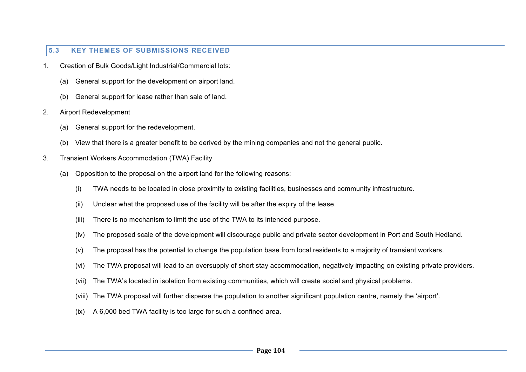### **5.3 KEY THEMES OF SUBMISSIONS RECEIVED**

- 1. Creation of Bulk Goods/Light Industrial/Commercial lots:
	- (a) General support for the development on airport land.
	- (b) General support for lease rather than sale of land.
- 2. Airport Redevelopment
	- (a) General support for the redevelopment.
	- (b) View that there is a greater benefit to be derived by the mining companies and not the general public.
- 3. Transient Workers Accommodation (TWA) Facility
	- (a) Opposition to the proposal on the airport land for the following reasons:
		- (i) TWA needs to be located in close proximity to existing facilities, businesses and community infrastructure.
		- (ii) Unclear what the proposed use of the facility will be after the expiry of the lease.
		- (iii) There is no mechanism to limit the use of the TWA to its intended purpose.
		- (iv) The proposed scale of the development will discourage public and private sector development in Port and South Hedland.
		- (v) The proposal has the potential to change the population base from local residents to a majority of transient workers.
		- (vi) The TWA proposal will lead to an oversupply of short stay accommodation, negatively impacting on existing private providers.
		- (vii) The TWA's located in isolation from existing communities, which will create social and physical problems.
		- (viii) The TWA proposal will further disperse the population to another significant population centre, namely the 'airport'.
		- (ix) A 6,000 bed TWA facility is too large for such a confined area.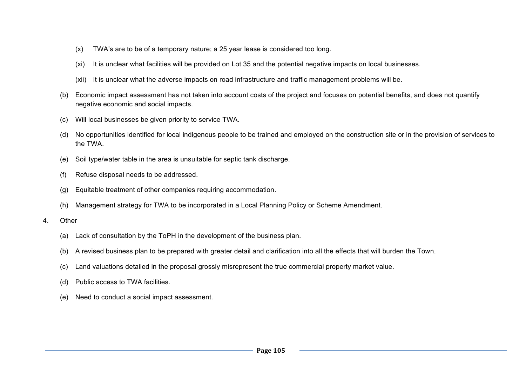- (x) TWA's are to be of a temporary nature; a 25 year lease is considered too long.
- (xi) It is unclear what facilities will be provided on Lot 35 and the potential negative impacts on local businesses.
- (xii) It is unclear what the adverse impacts on road infrastructure and traffic management problems will be.
- (b) Economic impact assessment has not taken into account costs of the project and focuses on potential benefits, and does not quantify negative economic and social impacts.
- (c) Will local businesses be given priority to service TWA.
- (d) No opportunities identified for local indigenous people to be trained and employed on the construction site or in the provision of services to the TWA.
- (e) Soil type/water table in the area is unsuitable for septic tank discharge.
- (f) Refuse disposal needs to be addressed.
- (g) Equitable treatment of other companies requiring accommodation.
- (h) Management strategy for TWA to be incorporated in a Local Planning Policy or Scheme Amendment.
- 4. Other
	- (a) Lack of consultation by the ToPH in the development of the business plan.
	- (b) A revised business plan to be prepared with greater detail and clarification into all the effects that will burden the Town.
	- (c) Land valuations detailed in the proposal grossly misrepresent the true commercial property market value.
	- (d) Public access to TWA facilities.
	- (e) Need to conduct a social impact assessment.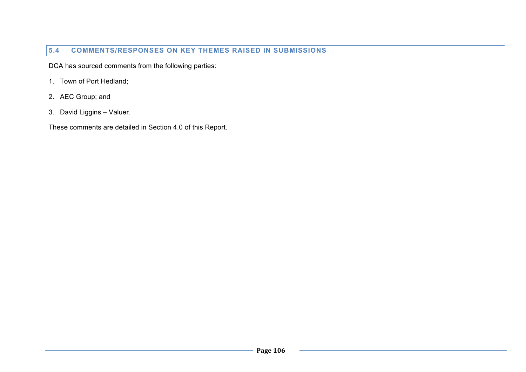## **5.4 COMMENTS/RESPONSES ON KEY THEMES RAISED IN SUBMISSIONS**

DCA has sourced comments from the following parties:

- 1. Town of Port Hedland;
- 2. AEC Group; and
- 3. David Liggins Valuer.

These comments are detailed in Section 4.0 of this Report.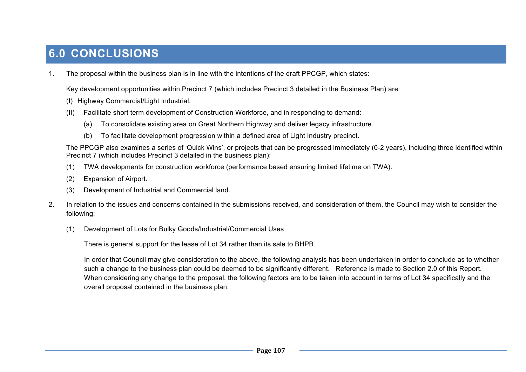# **6.0 CONCLUSIONS**

1. The proposal within the business plan is in line with the intentions of the draft PPCGP, which states:

Key development opportunities within Precinct 7 (which includes Precinct 3 detailed in the Business Plan) are:

- (I) Highway Commercial/Light Industrial.
- (II) Facilitate short term development of Construction Workforce, and in responding to demand:
	- (a) To consolidate existing area on Great Northern Highway and deliver legacy infrastructure.
	- (b) To facilitate development progression within a defined area of Light Industry precinct.

The PPCGP also examines a series of 'Quick Wins', or projects that can be progressed immediately (0-2 years), including three identified within Precinct 7 (which includes Precinct 3 detailed in the business plan):

- (1) TWA developments for construction workforce (performance based ensuring limited lifetime on TWA).
- (2) Expansion of Airport.
- (3) Development of Industrial and Commercial land.
- 2. In relation to the issues and concerns contained in the submissions received, and consideration of them, the Council may wish to consider the following:
	- (1) Development of Lots for Bulky Goods/Industrial/Commercial Uses

There is general support for the lease of Lot 34 rather than its sale to BHPB.

In order that Council may give consideration to the above, the following analysis has been undertaken in order to conclude as to whether such a change to the business plan could be deemed to be significantly different. Reference is made to Section 2.0 of this Report. When considering any change to the proposal, the following factors are to be taken into account in terms of Lot 34 specifically and the overall proposal contained in the business plan: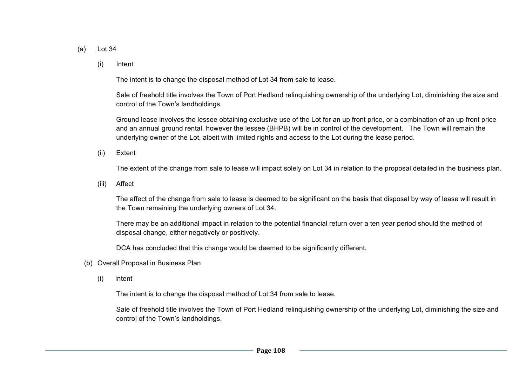- (a) Lot 34
	- (i) Intent

The intent is to change the disposal method of Lot 34 from sale to lease.

Sale of freehold title involves the Town of Port Hedland relinquishing ownership of the underlying Lot, diminishing the size and control of the Town's landholdings.

Ground lease involves the lessee obtaining exclusive use of the Lot for an up front price, or a combination of an up front price and an annual ground rental, however the lessee (BHPB) will be in control of the development. The Town will remain the underlying owner of the Lot, albeit with limited rights and access to the Lot during the lease period.

(ii) Extent

The extent of the change from sale to lease will impact solely on Lot 34 in relation to the proposal detailed in the business plan.

(iii) Affect

The affect of the change from sale to lease is deemed to be significant on the basis that disposal by way of lease will result in the Town remaining the underlying owners of Lot 34.

There may be an additional impact in relation to the potential financial return over a ten year period should the method of disposal change, either negatively or positively.

DCA has concluded that this change would be deemed to be significantly different.

- (b) Overall Proposal in Business Plan
	- (i) Intent

The intent is to change the disposal method of Lot 34 from sale to lease.

Sale of freehold title involves the Town of Port Hedland relinquishing ownership of the underlying Lot, diminishing the size and control of the Town's landholdings.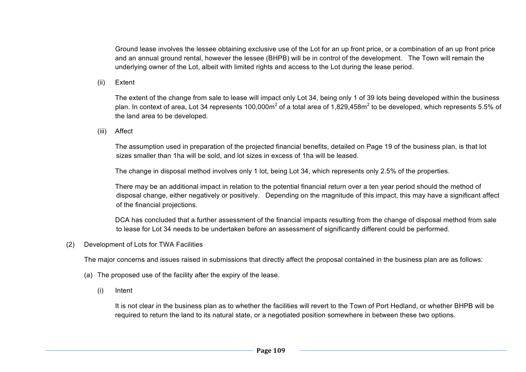Ground lease involves the lessee obtaining exclusive use of the Lot for an up front price, or a combination of an up front price and an annual ground rental, however the lessee (BHPB) will be in control of the development. The Town will remain the underlying owner of the Lot, albeit with limited rights and access to the Lot during the lease period.

(ii) Extent

The extent of the change from sale to lease will impact only Lot 34, being only 1 of 39 lots being developed within the business plan. In context of area, Lot 34 represents 100,000m<sup>2</sup> of a total area of 1,829,458m<sup>2</sup> to be developed, which represents 5.5% of the land area to be developed.

(iii) Affect

The assumption used in preparation of the projected financial benefits, detailed on Page 19 of the business plan, is that lot sizes smaller than 1ha will be sold, and lot sizes in excess of 1ha will be leased.

The change in disposal method involves only 1 lot, being Lot 34, which represents only 2.5% of the properties.

There may be an additional impact in relation to the potential financial return over a ten year period should the method of disposal change, either negatively or positively. Depending on the magnitude of this impact, this may have a significant affect of the financial projections.

DCA has concluded that a further assessment of the financial impacts resulting from the change of disposal method from sale to lease for Lot 34 needs to be undertaken before an assessment of significantly different could be performed.

(2) Development of Lots for TWA Facilities

The major concerns and issues raised in submissions that directly affect the proposal contained in the business plan are as follows:

- (a) The proposed use of the facility after the expiry of the lease.
	- (i) Intent

It is not clear in the business plan as to whether the facilities will revert to the Town of Port Hedland, or whether BHPB will be required to return the land to its natural state, or a negotiated position somewhere in between these two options.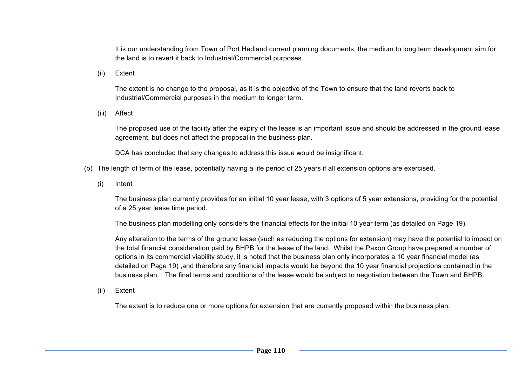It is our understanding from Town of Port Hedland current planning documents, the medium to long term development aim for the land is to revert it back to Industrial/Commercial purposes.

(ii) Extent

The extent is no change to the proposal, as it is the objective of the Town to ensure that the land reverts back to Industrial/Commercial purposes in the medium to longer term.

(iii) Affect

The proposed use of the facility after the expiry of the lease is an important issue and should be addressed in the ground lease agreement, but does not affect the proposal in the business plan.

DCA has concluded that any changes to address this issue would be insignificant.

- (b) The length of term of the lease, potentially having a life period of 25 years if all extension options are exercised.
	- (i) Intent

The business plan currently provides for an initial 10 year lease, with 3 options of 5 year extensions, providing for the potential of a 25 year lease time period.

The business plan modelling only considers the financial effects for the initial 10 year term (as detailed on Page 19).

Any alteration to the terms of the ground lease (such as reducing the options for extension) may have the potential to impact on the total financial consideration paid by BHPB for the lease of the land. Whilst the Paxon Group have prepared a number of options in its commercial viability study, it is noted that the business plan only incorporates a 10 year financial model (as detailed on Page 19) ,and therefore any financial impacts would be beyond the 10 year financial projections contained in the business plan. The final terms and conditions of the lease would be subject to negotiation between the Town and BHPB.

(ii) Extent

The extent is to reduce one or more options for extension that are currently proposed within the business plan.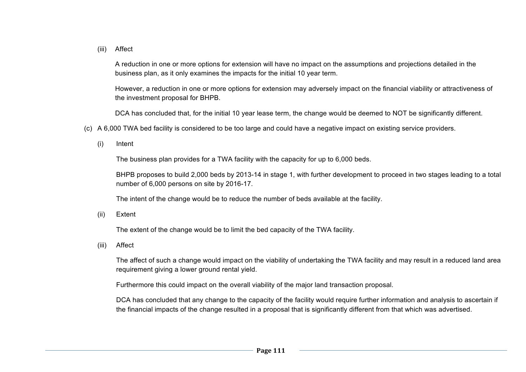(iii) Affect

A reduction in one or more options for extension will have no impact on the assumptions and projections detailed in the business plan, as it only examines the impacts for the initial 10 year term.

However, a reduction in one or more options for extension may adversely impact on the financial viability or attractiveness of the investment proposal for BHPB.

DCA has concluded that, for the initial 10 year lease term, the change would be deemed to NOT be significantly different.

- (c) A 6,000 TWA bed facility is considered to be too large and could have a negative impact on existing service providers.
	- (i) Intent

The business plan provides for a TWA facility with the capacity for up to 6,000 beds.

BHPB proposes to build 2,000 beds by 2013-14 in stage 1, with further development to proceed in two stages leading to a total number of 6,000 persons on site by 2016-17.

The intent of the change would be to reduce the number of beds available at the facility.

(ii) Extent

The extent of the change would be to limit the bed capacity of the TWA facility.

(iii) Affect

The affect of such a change would impact on the viability of undertaking the TWA facility and may result in a reduced land area requirement giving a lower ground rental yield.

Furthermore this could impact on the overall viability of the major land transaction proposal.

DCA has concluded that any change to the capacity of the facility would require further information and analysis to ascertain if the financial impacts of the change resulted in a proposal that is significantly different from that which was advertised.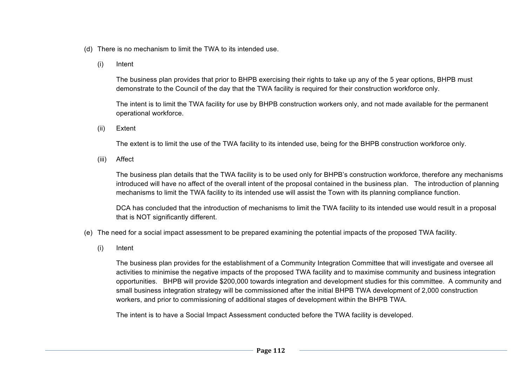- (d) There is no mechanism to limit the TWA to its intended use.
	- (i) Intent

The business plan provides that prior to BHPB exercising their rights to take up any of the 5 year options, BHPB must demonstrate to the Council of the day that the TWA facility is required for their construction workforce only.

The intent is to limit the TWA facility for use by BHPB construction workers only, and not made available for the permanent operational workforce.

(ii) Extent

The extent is to limit the use of the TWA facility to its intended use, being for the BHPB construction workforce only.

(iii) Affect

The business plan details that the TWA facility is to be used only for BHPB's construction workforce, therefore any mechanisms introduced will have no affect of the overall intent of the proposal contained in the business plan. The introduction of planning mechanisms to limit the TWA facility to its intended use will assist the Town with its planning compliance function.

DCA has concluded that the introduction of mechanisms to limit the TWA facility to its intended use would result in a proposal that is NOT significantly different.

- (e) The need for a social impact assessment to be prepared examining the potential impacts of the proposed TWA facility.
	- (i) Intent

The business plan provides for the establishment of a Community Integration Committee that will investigate and oversee all activities to minimise the negative impacts of the proposed TWA facility and to maximise community and business integration opportunities. BHPB will provide \$200,000 towards integration and development studies for this committee. A community and small business integration strategy will be commissioned after the initial BHPB TWA development of 2,000 construction workers, and prior to commissioning of additional stages of development within the BHPB TWA.

The intent is to have a Social Impact Assessment conducted before the TWA facility is developed.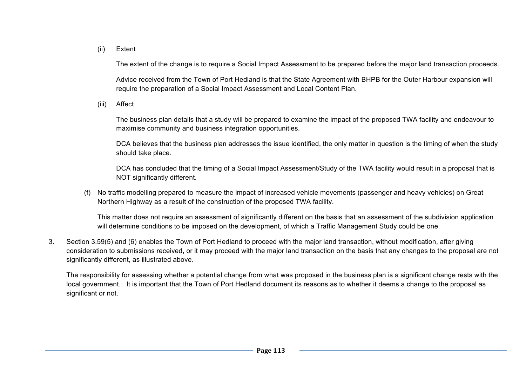#### (ii) Extent

The extent of the change is to require a Social Impact Assessment to be prepared before the major land transaction proceeds.

Advice received from the Town of Port Hedland is that the State Agreement with BHPB for the Outer Harbour expansion will require the preparation of a Social Impact Assessment and Local Content Plan.

(iii) Affect

The business plan details that a study will be prepared to examine the impact of the proposed TWA facility and endeavour to maximise community and business integration opportunities.

DCA believes that the business plan addresses the issue identified, the only matter in question is the timing of when the study should take place.

DCA has concluded that the timing of a Social Impact Assessment/Study of the TWA facility would result in a proposal that is NOT significantly different.

(f) No traffic modelling prepared to measure the impact of increased vehicle movements (passenger and heavy vehicles) on Great Northern Highway as a result of the construction of the proposed TWA facility.

This matter does not require an assessment of significantly different on the basis that an assessment of the subdivision application will determine conditions to be imposed on the development, of which a Traffic Management Study could be one.

3. Section 3.59(5) and (6) enables the Town of Port Hedland to proceed with the major land transaction, without modification, after giving consideration to submissions received, or it may proceed with the major land transaction on the basis that any changes to the proposal are not significantly different, as illustrated above.

The responsibility for assessing whether a potential change from what was proposed in the business plan is a significant change rests with the local government. It is important that the Town of Port Hedland document its reasons as to whether it deems a change to the proposal as significant or not.